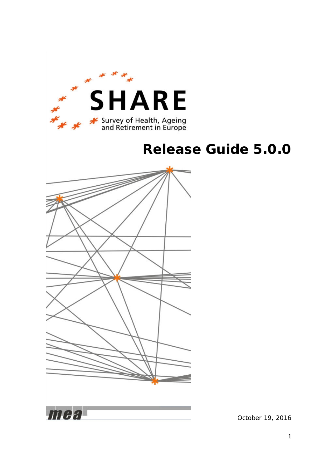

1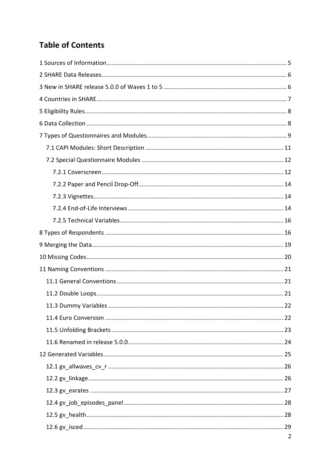# **Table of Contents**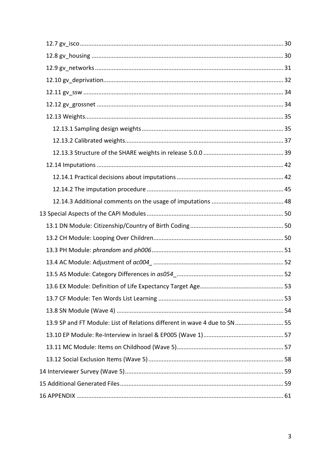| 13.9 SP and FT Module: List of Relations different in wave 4 due to SN  55 |  |
|----------------------------------------------------------------------------|--|
|                                                                            |  |
|                                                                            |  |
|                                                                            |  |
|                                                                            |  |
|                                                                            |  |
|                                                                            |  |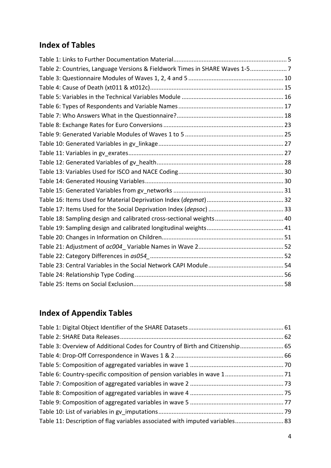# **Index of Tables**

| Table 2: Countries, Language Versions & Fieldwork Times in SHARE Waves 1-57 |  |
|-----------------------------------------------------------------------------|--|
|                                                                             |  |
|                                                                             |  |
|                                                                             |  |
|                                                                             |  |
|                                                                             |  |
|                                                                             |  |
|                                                                             |  |
|                                                                             |  |
|                                                                             |  |
|                                                                             |  |
|                                                                             |  |
|                                                                             |  |
|                                                                             |  |
|                                                                             |  |
|                                                                             |  |
|                                                                             |  |
|                                                                             |  |
|                                                                             |  |
|                                                                             |  |
|                                                                             |  |
|                                                                             |  |
|                                                                             |  |
|                                                                             |  |

# **Index of Appendix Tables**

| Table 3: Overview of Additional Codes for Country of Birth and Citizenship 65 |  |
|-------------------------------------------------------------------------------|--|
|                                                                               |  |
|                                                                               |  |
|                                                                               |  |
|                                                                               |  |
|                                                                               |  |
|                                                                               |  |
|                                                                               |  |
| Table 11: Description of flag variables associated with imputed variables 83  |  |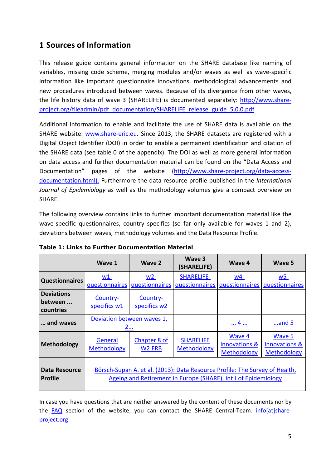## <span id="page-4-0"></span>**1 Sources of Information**

This release guide contains general information on the SHARE database like naming of variables, missing code scheme, merging modules and/or waves as well as wave-specific information like important questionnaire innovations, methodological advancements and new procedures introduced between waves. Because of its divergence from other waves, the life history data of wave 3 (SHARELIFE) is documented separately: [http://www.share](http://www.share-project.org/fileadmin/pdf_documentation/SHARELIFE_release_guide_5.0.0.pdf)[project.org/fileadmin/pdf\\_documentation/SHARELIFE\\_release\\_guide\\_5.0.0.pdf](http://www.share-project.org/fileadmin/pdf_documentation/SHARELIFE_release_guide_5.0.0.pdf)

Additional information to enable and facilitate the use of SHARE data is available on the SHARE website: [www.share-eric.eu.](http://www.share-eric.eu/) Since 2013, the SHARE datasets are registered with a Digital Object Identifier (DOI) in order to enable a permanent identification and citation of the SHARE data (see table [0](#page-60-2) of the appendix). The DOI as well as more general information on data access and further documentation material can be found on the "Data Access and Documentation" pages of the website [\(http://www.share-project.org/data-access](http://www.share-project.org/data-access-documentation.html)[documentation.html\)](http://www.share-project.org/data-access-documentation.html). Furthermore the data resource profile published in the *International Journal of Epidemiology* as well as the methodology volumes give a compact overview on SHARE.

The following overview contains links to further important documentation material like the wave-specific questionnaires, country specifics (so far only available for waves 1 and 2), deviations between waves, methodology volumes and the Data Resource Profile.

|                                           | Wave 1                                 | Wave 2                             | Wave 3<br>(SHARELIFE)                                                                                                                         | Wave 4                                            | Wave 5                                                   |
|-------------------------------------------|----------------------------------------|------------------------------------|-----------------------------------------------------------------------------------------------------------------------------------------------|---------------------------------------------------|----------------------------------------------------------|
| <b>Questionnaires</b>                     | $W1-$<br>questionnaires                | $W2-$<br>questionnaires            | <b>SHARELIFE-</b><br>questionnaires                                                                                                           | <u>w4-</u><br>questionnaires                      | <u>w5-</u><br>questionnaires                             |
| <b>Deviations</b><br>between<br>countries | Country-<br>specifics w1               | Country-<br>specifics w2           |                                                                                                                                               |                                                   |                                                          |
| and waves                                 | Deviation between waves 1,<br><u>2</u> |                                    |                                                                                                                                               | 4                                                 | $$ and 5                                                 |
| <b>Methodology</b>                        | General<br><b>Methodology</b>          | Chapter 8 of<br>W <sub>2</sub> FRB | <b>SHARELIFE</b><br>Methodology                                                                                                               | Wave 4<br><b>Innovations &amp;</b><br>Methodology | Wave 5<br><b>Innovations &amp;</b><br><b>Methodology</b> |
| <b>Data Resource</b><br><b>Profile</b>    |                                        |                                    | Börsch-Supan A. et al. (2013): Data Resource Profile: The Survey of Health,<br>Ageing and Retirement in Europe (SHARE), Int J of Epidemiology |                                                   |                                                          |

<span id="page-4-1"></span>**Table 1: Links to Further Documentation Material**

In case you have questions that are neither answered by the content of these documents nor by the [FAQ](http://www.share-project.org/group-faq/faqs.html) section of the website, you can contact the SHARE Central-Team:  $info[at] share$ project.org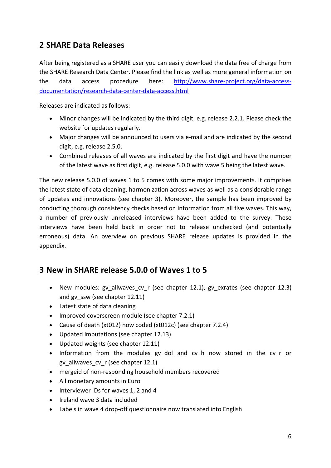## <span id="page-5-0"></span>**2 SHARE Data Releases**

After being registered as a SHARE user you can easily download the data free of charge from the SHARE Research Data Center. Please find the link as well as more general information on the data access procedure here: [http://www.share-project.org/data-access](http://www.share-project.org/data-access-documentation/research-data-center-data-access.html)[documentation/research-data-center-data-access.html](http://www.share-project.org/data-access-documentation/research-data-center-data-access.html)

Releases are indicated as follows:

- Minor changes will be indicated by the third digit, e.g. release 2.2.1. Please check the website for updates regularly.
- Major changes will be announced to users via e-mail and are indicated by the second digit, e.g. release 2.5.0.
- Combined releases of all waves are indicated by the first digit and have the number of the latest wave as first digit, e.g. release 5.0.0 with wave 5 being the latest wave.

The new release 5.0.0 of waves 1 to 5 comes with some major improvements. It comprises the latest state of data cleaning, harmonization across waves as well as a considerable range of updates and innovations (see chapter [3\)](#page-5-1). Moreover, the sample has been improved by conducting thorough consistency checks based on information from all five waves. This way, a number of previously unreleased interviews have been added to the survey. These interviews have been held back in order not to release unchecked (and potentially erroneous) data. An overview on previous SHARE release updates is provided in the appendix.

## <span id="page-5-1"></span>**3 New in SHARE release 5.0.0 of Waves 1 to 5**

- New modules: gv\_allwaves\_cv\_r (see chapter [12.1\)](#page-25-0), gv\_exrates (see chapter [12.3\)](#page-26-0) and gv\_ssw (see chapter [12.11\)](#page-33-0)
- Latest state of data cleaning
- Improved coverscreen module (see chapter [7.2.1\)](#page-11-1)
- Cause of death (xt012) now coded (xt012c) (see chapter [7.2.4\)](#page-13-2)
- Updated imputations (see chapte[r 12.13\)](#page-41-0)
- Updated weights (see chapter [12.11\)](#page-33-0)
- Information from the modules gy dol and cv h now stored in the cv r or gv\_allwaves\_cv\_r (see chapter [12.1\)](#page-25-0)
- mergeid of non-responding household members recovered
- All monetary amounts in Euro
- Interviewer IDs for waves 1, 2 and 4
- Ireland wave 3 data included
- Labels in wave 4 drop-off questionnaire now translated into English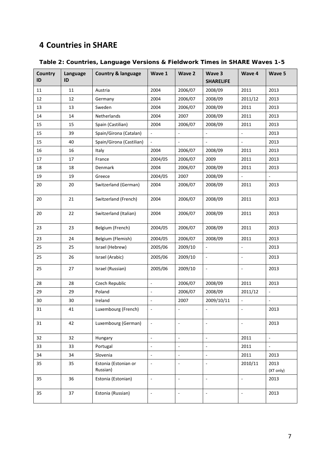## <span id="page-6-0"></span>**Countries in SHARE**

| Country<br>ID | Language<br>ID | <b>Country &amp; language</b>    | Wave 1                   | Wave 2                   | Wave 3<br><b>SHARELIFE</b> | Wave 4                   | Wave 5                   |
|---------------|----------------|----------------------------------|--------------------------|--------------------------|----------------------------|--------------------------|--------------------------|
| 11            | 11             | Austria                          | 2004                     | 2006/07                  | 2008/09                    | 2011                     | 2013                     |
| 12            | 12             | Germany                          | 2004                     | 2006/07                  | 2008/09                    | 2011/12                  | 2013                     |
| 13            | 13             | Sweden                           | 2004                     | 2006/07                  | 2008/09                    | 2011                     | 2013                     |
| 14            | 14             | Netherlands                      | 2004                     | 2007                     | 2008/09                    | 2011                     | 2013                     |
| 15            | 15             | Spain (Castilian)                | 2004                     | 2006/07                  | 2008/09                    | 2011                     | 2013                     |
| 15            | 39             | Spain/Girona (Catalan)           |                          | $\blacksquare$           |                            |                          | 2013                     |
| 15            | 40             | Spain/Girona (Castilian)         |                          | $\frac{1}{2}$            | ÷,                         | ÷,                       | 2013                     |
| 16            | 16             | Italy                            | 2004                     | 2006/07                  | 2008/09                    | 2011                     | 2013                     |
| 17            | 17             | France                           | 2004/05                  | 2006/07                  | 2009                       | 2011                     | 2013                     |
| 18            | 18             | Denmark                          | 2004                     | 2006/07                  | 2008/09                    | 2011                     | 2013                     |
| 19            | 19             | Greece                           | 2004/05                  | 2007                     | 2008/09                    | $\overline{\phantom{a}}$ | $\frac{1}{2}$            |
| 20            | 20             | Switzerland (German)             | 2004                     | 2006/07                  | 2008/09                    | 2011                     | 2013                     |
| 20            | 21             | Switzerland (French)             | 2004                     | 2006/07                  | 2008/09                    | 2011                     | 2013                     |
| 20            | 22             | Switzerland (Italian)            | 2004                     | 2006/07                  | 2008/09                    | 2011                     | 2013                     |
| 23            | 23             | Belgium (French)                 | 2004/05                  | 2006/07                  | 2008/09                    | 2011                     | 2013                     |
| 23            | 24             | Belgium (Flemish)                | 2004/05                  | 2006/07                  | 2008/09                    | 2011                     | 2013                     |
| 25            | 25             | Israel (Hebrew)                  | 2005/06                  | 2009/10                  | $\overline{\phantom{a}}$   | $\overline{\phantom{a}}$ | 2013                     |
| 25            | 26             | Israel (Arabic)                  | 2005/06                  | 2009/10                  | ÷,                         | ÷,                       | 2013                     |
| 25            | 27             | Israel (Russian)                 | 2005/06                  | 2009/10                  | ÷,                         | ä,                       | 2013                     |
| 28            | 28             | Czech Republic                   | $\Box$                   | 2006/07                  | 2008/09                    | 2011                     | 2013                     |
| 29            | 29             | Poland                           |                          | 2006/07                  | 2008/09                    | 2011/12                  | ÷,                       |
| 30            | 30             | Ireland                          | ÷,                       | 2007                     | 2009/10/11                 | $\Box$                   | $\overline{\phantom{a}}$ |
| 31            | 41             | Luxembourg (French)              |                          | ÷,                       |                            |                          | 2013                     |
| 31            | 42             | Luxembourg (German)              | $\Box$                   | $\blacksquare$           | $\blacksquare$             | ÷,                       | 2013                     |
| 32            | 32             | Hungary                          | $\Box$                   | $\Box$                   | $\Box$                     | 2011                     | $\omega$                 |
| 33            | 33             | Portugal                         | ä,                       | $\frac{1}{2}$            | ÷,                         | 2011                     | $\omega$                 |
| 34            | 34             | Slovenia                         | $\overline{\phantom{a}}$ | $\overline{\phantom{a}}$ | $\frac{1}{2}$              | 2011                     | 2013                     |
| 35            | 35             | Estonia (Estonian or<br>Russian) | $\Box$                   | $\overline{\phantom{a}}$ | $\blacksquare$             | 2010/11                  | 2013<br>(XT only)        |
| 35            | 36             | Estonia (Estonian)               | $\Box$                   | $\Box$                   | $\blacksquare$             | $\overline{\phantom{a}}$ | 2013                     |
| 35            | 37             | Estonia (Russian)                | $\Box$                   | $\overline{\phantom{a}}$ | $\Box$                     | $\overline{\phantom{a}}$ | 2013                     |

<span id="page-6-1"></span>**Table 2: Countries, Language Versions & Fieldwork Times in SHARE Waves 1-5**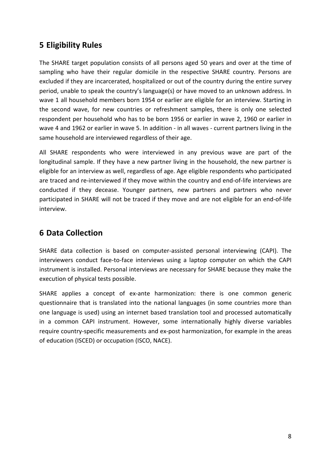## <span id="page-7-0"></span>**5 Eligibility Rules**

The SHARE target population consists of all persons aged 50 years and over at the time of sampling who have their regular domicile in the respective SHARE country. Persons are excluded if they are incarcerated, hospitalized or out of the country during the entire survey period, unable to speak the country's language(s) or have moved to an unknown address. In wave 1 all household members born 1954 or earlier are eligible for an interview. Starting in the second wave, for new countries or refreshment samples, there is only one selected respondent per household who has to be born 1956 or earlier in wave 2, 1960 or earlier in wave 4 and 1962 or earlier in wave 5. In addition - in all waves - current partners living in the same household are interviewed regardless of their age.

All SHARE respondents who were interviewed in any previous wave are part of the longitudinal sample. If they have a new partner living in the household, the new partner is eligible for an interview as well, regardless of age. Age eligible respondents who participated are traced and re-interviewed if they move within the country and end-of-life interviews are conducted if they decease. Younger partners, new partners and partners who never participated in SHARE will not be traced if they move and are not eligible for an end-of-life interview.

## <span id="page-7-1"></span>**6 Data Collection**

SHARE data collection is based on computer-assisted personal interviewing (CAPI). The interviewers conduct face-to-face interviews using a laptop computer on which the CAPI instrument is installed. Personal interviews are necessary for SHARE because they make the execution of physical tests possible.

SHARE applies a concept of ex-ante harmonization: there is one common generic questionnaire that is translated into the national languages (in some countries more than one language is used) using an internet based translation tool and processed automatically in a common CAPI instrument. However, some internationally highly diverse variables require country-specific measurements and ex-post harmonization, for example in the areas of education (ISCED) or occupation (ISCO, NACE).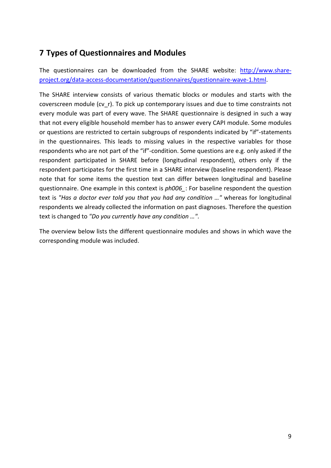## <span id="page-8-0"></span>**7 Types of Questionnaires and Modules**

The questionnaires can be downloaded from the SHARE website: [http://www.share](http://www.share-project.org/data-access-documentation/questionnaires/questionnaire-wave-1.html)[project.org/data-access-documentation/questionnaires/questionnaire-wave-1.html.](http://www.share-project.org/data-access-documentation/questionnaires/questionnaire-wave-1.html)

The SHARE interview consists of various thematic blocks or modules and starts with the coverscreen module (cv\_r). To pick up contemporary issues and due to time constraints not every module was part of every wave. The SHARE questionnaire is designed in such a way that not every eligible household member has to answer every CAPI module. Some modules or questions are restricted to certain subgroups of respondents indicated by "if"-statements in the questionnaires. This leads to missing values in the respective variables for those respondents who are not part of the "if"-condition. Some questions are e.g. only asked if the respondent participated in SHARE before (longitudinal respondent), others only if the respondent participates for the first time in a SHARE interview (baseline respondent). Please note that for some items the question text can differ between longitudinal and baseline questionnaire. One example in this context is *ph006\_*: For baseline respondent the question text is *"Has a doctor ever told you that you had any condition …"* whereas for longitudinal respondents we already collected the information on past diagnoses. Therefore the question text is changed to *"Do you currently have any condition …"*.

The overview below lists the different questionnaire modules and shows in which wave the corresponding module was included.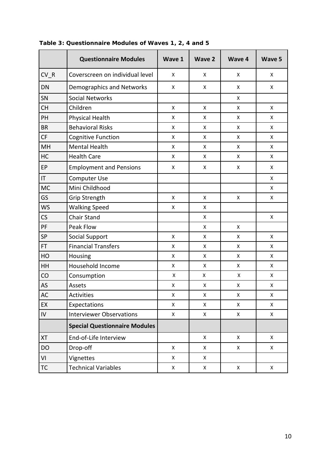|                                         | <b>Questionnaire Modules</b>         | Wave 1             | <b>Wave 2</b>      | <b>Wave 4</b>      | Wave 5             |
|-----------------------------------------|--------------------------------------|--------------------|--------------------|--------------------|--------------------|
| CV R                                    | Coverscreen on individual level      | X                  | X                  | X                  | X                  |
| DN                                      | Demographics and Networks            | X                  | X                  | Χ                  | X                  |
| SN                                      | <b>Social Networks</b>               |                    |                    | $\pmb{\mathsf{X}}$ |                    |
| <b>CH</b>                               | Children                             | $\pmb{\mathsf{X}}$ | X                  | X                  | $\pmb{\mathsf{X}}$ |
| PH                                      | Physical Health                      | X                  | X                  | X                  | X                  |
| <b>BR</b>                               | <b>Behavioral Risks</b>              | X                  | X                  | X                  | $\pmb{\mathsf{X}}$ |
| CF                                      | <b>Cognitive Function</b>            | $\pmb{\mathsf{X}}$ | X                  | X                  | $\pmb{\mathsf{X}}$ |
| MH                                      | <b>Mental Health</b>                 | X                  | X                  | X                  | X                  |
| HC                                      | <b>Health Care</b>                   | $\pmb{\mathsf{X}}$ | X                  | X                  | X                  |
| EP                                      | <b>Employment and Pensions</b>       | X                  | X                  | Χ                  | X                  |
| $\mathsf{I}\mathsf{T}$                  | Computer Use                         |                    |                    |                    | X                  |
| <b>MC</b>                               | Mini Childhood                       |                    |                    |                    | X                  |
| GS                                      | <b>Grip Strength</b>                 | $\pmb{\mathsf{X}}$ | X                  | Χ                  | X                  |
| <b>WS</b>                               | <b>Walking Speed</b>                 | $\pmb{\mathsf{X}}$ | X                  |                    |                    |
| CS                                      | <b>Chair Stand</b>                   |                    | X                  |                    | X                  |
| PF                                      | Peak Flow                            |                    | X                  | X                  |                    |
| SP                                      | <b>Social Support</b>                | $\pmb{\mathsf{X}}$ | X                  | X                  | X                  |
| <b>Financial Transfers</b><br><b>FT</b> |                                      | $\pmb{\mathsf{X}}$ | X                  | X                  | $\pmb{\mathsf{X}}$ |
| HO                                      | Housing                              | $\pmb{\mathsf{X}}$ | X                  | X                  | X                  |
| HH                                      | Household Income                     | X                  | X                  | X                  | X                  |
| CO                                      | Consumption                          | $\pmb{\mathsf{X}}$ | $\pmb{\mathsf{X}}$ | Χ                  | X                  |
| AS                                      | Assets                               | Χ                  | X                  | X                  | X                  |
| <b>AC</b>                               | <b>Activities</b>                    | X                  | X                  | X                  | $\pmb{\mathsf{X}}$ |
| EX                                      | Expectations                         | $\pmb{\mathsf{X}}$ | X                  | Χ                  | X                  |
| IV                                      | <b>Interviewer Observations</b>      | X                  | X                  | X                  | X                  |
|                                         | <b>Special Questionnaire Modules</b> |                    |                    |                    |                    |
| <b>XT</b>                               | End-of-Life Interview                |                    | X                  | X                  | X                  |
| <b>DO</b>                               | Drop-off                             | X                  | X                  | X                  | X                  |
| VI                                      | Vignettes                            | X                  | X                  |                    |                    |
| <b>TC</b>                               | <b>Technical Variables</b>           | X                  | X                  | X                  | X                  |

### <span id="page-9-0"></span>**Table 3: Questionnaire Modules of Waves 1, 2, 4 and 5**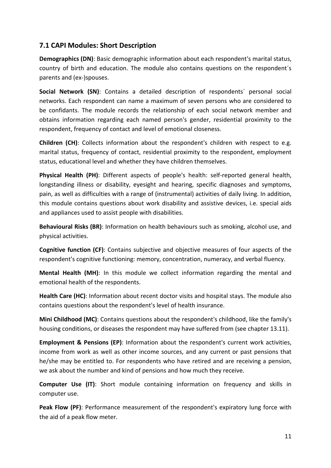### <span id="page-10-0"></span>**7.1 CAPI Modules: Short Description**

**Demographics (DN)**: Basic demographic information about each respondent's marital status, country of birth and education. The module also contains questions on the respondent´s parents and (ex-)spouses.

**Social Network (SN)**: Contains a detailed description of respondents´ personal social networks. Each respondent can name a maximum of seven persons who are considered to be confidants. The module records the relationship of each social network member and obtains information regarding each named person's gender, residential proximity to the respondent, frequency of contact and level of emotional closeness.

**Children (CH)**: Collects information about the respondent's children with respect to e.g. marital status, frequency of contact, residential proximity to the respondent, employment status, educational level and whether they have children themselves.

**Physical Health (PH)**: Different aspects of people's health: self-reported general health, longstanding illness or disability, eyesight and hearing, specific diagnoses and symptoms, pain, as well as difficulties with a range of (instrumental) activities of daily living. In addition, this module contains questions about work disability and assistive devices, i.e. special aids and appliances used to assist people with disabilities.

**Behavioural Risks (BR)**: Information on health behaviours such as smoking, alcohol use, and physical activities.

**Cognitive function (CF)**: Contains subjective and objective measures of four aspects of the respondent's cognitive functioning: memory, concentration, numeracy, and verbal fluency.

**Mental Health (MH)**: In this module we collect information regarding the mental and emotional health of the respondents.

**Health Care (HC)**: Information about recent doctor visits and hospital stays. The module also contains questions about the respondent's level of health insurance.

**Mini Childhood (MC)**: Contains questions about the respondent's childhood, like the family's housing conditions, or diseases the respondent may have suffered from (see chapter [13.11\)](#page-56-1).

**Employment & Pensions (EP)**: Information about the respondent's current work activities, income from work as well as other income sources, and any current or past pensions that he/she may be entitled to. For respondents who have retired and are receiving a pension, we ask about the number and kind of pensions and how much they receive.

**Computer Use (IT)**: Short module containing information on frequency and skills in computer use.

**Peak Flow (PF)**: Performance measurement of the respondent's expiratory lung force with the aid of a peak flow meter.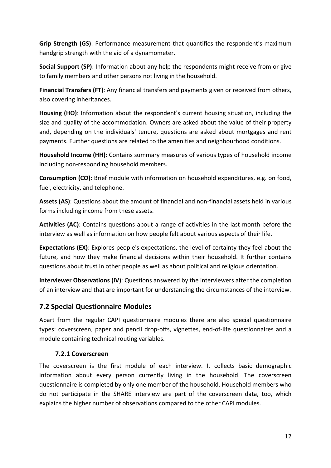**Grip Strength (GS)**: Performance measurement that quantifies the respondent's maximum handgrip strength with the aid of a dynamometer.

**Social Support (SP)**: Information about any help the respondents might receive from or give to family members and other persons not living in the household.

**Financial Transfers (FT)**: Any financial transfers and payments given or received from others, also covering inheritances.

**Housing (HO)**: Information about the respondent's current housing situation, including the size and quality of the accommodation. Owners are asked about the value of their property and, depending on the individuals' tenure, questions are asked about mortgages and rent payments. Further questions are related to the amenities and neighbourhood conditions.

**Household Income (HH)**: Contains summary measures of various types of household income including non-responding household members.

**Consumption (CO):** Brief module with information on household expenditures, e.g. on food, fuel, electricity, and telephone.

**Assets (AS)**: Questions about the amount of financial and non-financial assets held in various forms including income from these assets.

**Activities (AC)**: Contains questions about a range of activities in the last month before the interview as well as information on how people felt about various aspects of their life.

**Expectations (EX)**: Explores people's expectations, the level of certainty they feel about the future, and how they make financial decisions within their household. It further contains questions about trust in other people as well as about political and religious orientation.

**Interviewer Observations (IV)**: Questions answered by the interviewers after the completion of an interview and that are important for understanding the circumstances of the interview.

## <span id="page-11-0"></span>**7.2 Special Questionnaire Modules**

Apart from the regular CAPI questionnaire modules there are also special questionnaire types: coverscreen, paper and pencil drop-offs, vignettes, end-of-life questionnaires and a module containing technical routing variables.

### <span id="page-11-1"></span>**7.2.1 Coverscreen**

The coverscreen is the first module of each interview. It collects basic demographic information about every person currently living in the household. The coverscreen questionnaire is completed by only one member of the household. Household members who do not participate in the SHARE interview are part of the coverscreen data, too, which explains the higher number of observations compared to the other CAPI modules.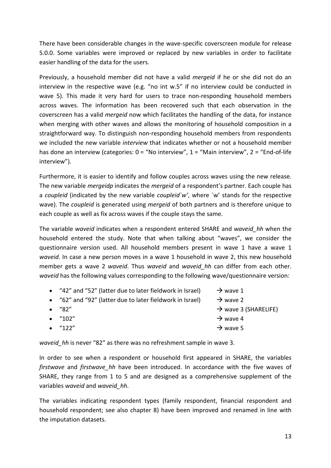There have been considerable changes in the wave-specific coverscreen module for release 5.0.0. Some variables were improved or replaced by new variables in order to facilitate easier handling of the data for the users.

Previously, a household member did not have a valid *mergeid* if he or she did not do an interview in the respective wave (e.g. "no int w.5" if no interview could be conducted in wave 5). This made it very hard for users to trace non-responding household members across waves. The information has been recovered such that each observation in the coverscreen has a valid *mergeid* now which facilitates the handling of the data, for instance when merging with other waves and allows the monitoring of household composition in a straightforward way. To distinguish non-responding household members from respondents we included the new variable *interview* that indicates whether or not a household member has done an interview (categories: 0 = "No interview", 1 = "Main interview", 2 = "End-of-life interview").

Furthermore, it is easier to identify and follow couples across waves using the new release. The new variable *mergeidp* indicates the *mergeid* of a respondent's partner. Each couple has a *coupleid* (indicated by the new variable *coupleid`w'*, where `w' stands for the respective wave). The *coupleid* is generated using *mergeid* of both partners and is therefore unique to each couple as well as fix across waves if the couple stays the same.

The variable *waveid* indicates when a respondent entered SHARE and *waveid\_hh* when the household entered the study. Note that when talking about "waves", we consider the questionnaire version used. All household members present in wave 1 have a wave 1 *waveid*. In case a new person moves in a wave 1 household in wave 2, this new household member gets a wave 2 *waveid*. Thus *waveid* and *waveid\_hh* can differ from each other. *waveid* has the following values corresponding to the following wave/questionnaire version:

| • "42" and "52" (latter due to later fieldwork in Israel) | $\rightarrow$ wave 1             |
|-----------------------------------------------------------|----------------------------------|
| • "62" and "92" (latter due to later fieldwork in Israel) | $\rightarrow$ wave 2             |
| $\bullet$ "82"                                            | $\rightarrow$ wave 3 (SHARELIFE) |
| • $"102"$                                                 | $\rightarrow$ wave 4             |
| $\bullet$ "122"                                           | $\rightarrow$ wave 5             |
|                                                           |                                  |

*waveid\_hh* is never "82" as there was no refreshment sample in wave 3.

In order to see when a respondent or household first appeared in SHARE, the variables *firstwave* and *firstwave\_hh* have been introduced. In accordance with the five waves of SHARE, they range from 1 to 5 and are designed as a comprehensive supplement of the variables *waveid* and *waveid\_hh*.

The variables indicating respondent types (family respondent, financial respondent and household respondent; see also chapter [8\)](#page-15-1) have been improved and renamed in line with the imputation datasets.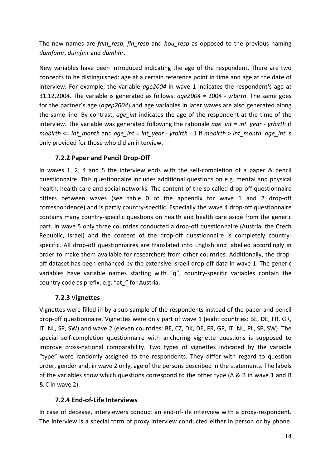The new names are *fam\_resp*, *fin\_resp* and *hou\_resp* as opposed to the previous naming *dumfamr*, *dumfinr* and *dumhhr*.

New variables have been introduced indicating the age of the respondent. There are two concepts to be distinguished: age at a certain reference point in time and age at the date of interview. For example, the variable *age2004* in wave 1 indicates the respondent's age at 31.12.2004. The variable is generated as follows: *age2004* = 2004 - *yrbirth*. The same goes for the partner´s age (*agep2004*) and age variables in later waves are also generated along the same line. By contrast, *age\_int* indicates the age of the respondent at the time of the interview. The variable was generated following the rationale *age int* = *int* year - *yrbirth* if *mobirth* <= *int\_month* and *age\_int* = *int\_year* - *yrbirth* - 1 if *mobirth* > *int\_month*. *age\_int* is only provided for those who did an interview.

### <span id="page-13-0"></span>**7.2.2 Paper and Pencil Drop-Off**

In waves 1, 2, 4 and 5 the interview ends with the self-completion of a paper & pencil questionnaire. This questionnaire includes additional questions on e.g. mental and physical health, health care and social networks. The content of the so-called drop-off questionnaire differs between waves (see table [0](#page-65-1) of the appendix for wave 1 and 2 drop-off correspondence) and is partly country-specific. Especially the wave 4 drop-off questionnaire contains many country-specific questions on health and health care aside from the generic part. In wave 5 only three countries conducted a drop-off questionnaire (Austria, the Czech Republic, Israel) and the content of the drop-off questionnaire is completely countryspecific. All drop-off questionnaires are translated into English and labelled accordingly in order to make them available for researchers from other countries. Additionally, the dropoff dataset has been enhanced by the extensive Israeli drop-off data in wave 1. The generic variables have variable names starting with "q", country-specific variables contain the country code as prefix, e.g. "at\_" for Austria.

### <span id="page-13-1"></span>**7.2.3** V**ignettes**

Vignettes were filled in by a sub-sample of the respondents instead of the paper and pencil drop-off questionnaire. Vignettes were only part of wave 1 (eight countries: BE, DE, FR, GR, IT, NL, SP, SW) and wave 2 (eleven countries: BE, CZ, DK, DE, FR, GR, IT, NL, PL, SP, SW). The special self-completion questionnaire with anchoring vignette questions is supposed to improve cross-national comparability. Two types of vignettes indicated by the variable "type" were randomly assigned to the respondents. They differ with regard to question order, gender and, in wave 2 only, age of the persons described in the statements. The labels of the variables show which questions correspond to the other type (A & B in wave 1 and B & C in wave 2).

### <span id="page-13-2"></span>**7.2.4 End-of-Life Interviews**

In case of decease, interviewers conduct an end-of-life interview with a proxy-respondent. The interview is a special form of proxy interview conducted either in person or by phone.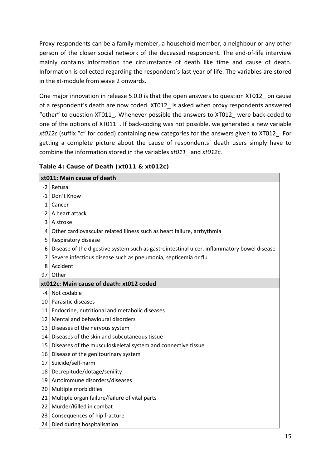Proxy-respondents can be a family member, a household member, a neighbour or any other person of the closer social network of the deceased respondent. The end-of-life interview mainly contains information the circumstance of death like time and cause of death. Information is collected regarding the respondent's last year of life. The variables are stored in the xt-module from wave 2 onwards.

One major innovation in release 5.0.0 is that the open answers to question XT012\_ on cause of a respondent's death are now coded. XT012 is asked when proxy respondents answered "other" to question XT011\_. Whenever possible the answers to XT012\_ were back-coded to one of the options of XT011. If back-coding was not possible, we generated a new variable *xt012c* (suffix "c" for coded) containing new categories for the answers given to XT012\_. For getting a complete picture about the cause of respondents´ death users simply have to combine the information stored in the variables *xt011\_* and *xt012c*.

<span id="page-14-0"></span>

| Table 4: Cause of Death (xt011 & xt012c) |
|------------------------------------------|
|------------------------------------------|

|                 | xt011: Main cause of death                                                                   |
|-----------------|----------------------------------------------------------------------------------------------|
| $-2$            | Refusal                                                                                      |
|                 | -1   Don't Know                                                                              |
| 1 <sup>1</sup>  | Cancer                                                                                       |
|                 | $2$   A heart attack                                                                         |
|                 | 3 A stroke                                                                                   |
|                 | 4 Other cardiovascular related illness such as heart failure, arrhythmia                     |
|                 | 5   Respiratory disease                                                                      |
|                 | 6 Disease of the digestive system such as gastrointestinal ulcer, inflammatory bowel disease |
|                 | 7 Severe infectious disease such as pneumonia, septicemia or flu                             |
| 8               | Accident                                                                                     |
|                 | 97 Other                                                                                     |
|                 | xt012c: Main cause of death: xt012 coded                                                     |
|                 | -4 Not codable                                                                               |
|                 | 10   Parasitic diseases                                                                      |
| 11              | Endocrine, nutritional and metabolic diseases                                                |
|                 | 12 Mental and behavioural disorders                                                          |
|                 | 13   Diseases of the nervous system                                                          |
|                 | 14 Diseases of the skin and subcutaneous tissue                                              |
|                 | 15 Diseases of the musculoskeletal system and connective tissue                              |
|                 | 16   Disease of the genitourinary system                                                     |
|                 | 17 Suicide/self-harm                                                                         |
|                 | 18   Decrepitude/dotage/senility                                                             |
|                 | 19 Autoimmune disorders/diseases                                                             |
|                 | 20 Multiple morbidities                                                                      |
| 21 <sub>1</sub> | Multiple organ failure/failure of vital parts                                                |
|                 | 22   Murder/Killed in combat                                                                 |
| 23              | Consequences of hip fracture                                                                 |
| 24              | Died during hospitalisation                                                                  |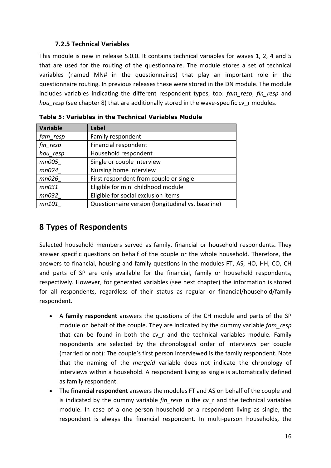#### <span id="page-15-0"></span>**7.2.5 Technical Variables**

This module is new in release 5.0.0. It contains technical variables for waves 1, 2, 4 and 5 that are used for the routing of the questionnaire. The module stores a set of technical variables (named MN# in the questionnaires) that play an important role in the questionnaire routing. In previous releases these were stored in the DN module. The module includes variables indicating the different respondent types, too: *fam\_resp*, *fin\_resp* and *hou\_resp* (see chapter [8\)](#page-15-1) that are additionally stored in the wave-specific cv\_r modules.

| Variable | Label                                             |
|----------|---------------------------------------------------|
| fam_resp | Family respondent                                 |
| fin_resp | Financial respondent                              |
| hou resp | Household respondent                              |
| mn005    | Single or couple interview                        |
| mn024    | Nursing home interview                            |
| mn026    | First respondent from couple or single            |
| mn031    | Eligible for mini childhood module                |
| mn032    | Eligible for social exclusion items               |
| mn101    | Questionnaire version (longitudinal vs. baseline) |

<span id="page-15-2"></span>**Table 5: Variables in the Technical Variables Module**

## <span id="page-15-1"></span>**8 Types of Respondents**

Selected household members served as family, financial or household respondents**.** They answer specific questions on behalf of the couple or the whole household. Therefore, the answers to financial, housing and family questions in the modules FT, AS, HO, HH, CO, CH and parts of SP are only available for the financial, family or household respondents, respectively. However, for generated variables (see next chapter) the information is stored for all respondents, regardless of their status as regular or financial/household/family respondent.

- A **family respondent** answers the questions of the CH module and parts of the SP module on behalf of the couple. They are indicated by the dummy variable *fam\_resp* that can be found in both the cv r and the technical variables module. Family respondents are selected by the chronological order of interviews per couple (married or not): The couple's first person interviewed is the family respondent. Note that the naming of the *mergeid* variable does not indicate the chronology of interviews within a household. A respondent living as single is automatically defined as family respondent.
- The **financial respondent** answers the modules FT and AS on behalf of the couple and is indicated by the dummy variable *fin\_resp* in the cv\_r and the technical variables module. In case of a one-person household or a respondent living as single, the respondent is always the financial respondent. In multi-person households, the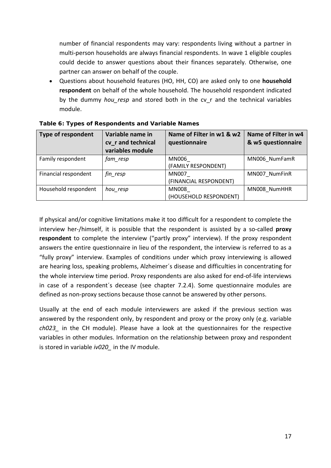number of financial respondents may vary: respondents living without a partner in multi-person households are always financial respondents. In wave 1 eligible couples could decide to answer questions about their finances separately. Otherwise, one partner can answer on behalf of the couple.

• Questions about household features (HO, HH, CO) are asked only to one **household respondent** on behalf of the whole household. The household respondent indicated by the dummy *hou\_resp* and stored both in the cv\_r and the technical variables module.

| <b>Type of respondent</b> | Variable name in<br>cv r and technical<br>variables module | Name of Filter in w1 & w2<br>questionnaire | Name of Filter in w4<br>& w5 questionnaire |
|---------------------------|------------------------------------------------------------|--------------------------------------------|--------------------------------------------|
| Family respondent         | fam_resp                                                   | MN006<br>(FAMILY RESPONDENT)               | MN006 NumFamR                              |
| Financial respondent      | fin_resp                                                   | MN007<br>(FINANCIAL RESPONDENT)            | MN007 NumFinR                              |
| Household respondent      | hou_resp                                                   | MN008<br>(HOUSEHOLD RESPONDENT)            | MN008 NumHHR                               |

<span id="page-16-0"></span>

|  | Table 6: Types of Respondents and Variable Names |  |  |
|--|--------------------------------------------------|--|--|
|  |                                                  |  |  |

If physical and/or cognitive limitations make it too difficult for a respondent to complete the interview her-/himself, it is possible that the respondent is assisted by a so-called **proxy respondent** to complete the interview ("partly proxy" interview). If the proxy respondent answers the entire questionnaire in lieu of the respondent, the interview is referred to as a "fully proxy" interview. Examples of conditions under which proxy interviewing is allowed are hearing loss, speaking problems, Alzheimer´s disease and difficulties in concentrating for the whole interview time period. Proxy respondents are also asked for end-of-life interviews in case of a respondent´s decease (see chapter [7.2.4\)](#page-13-2). Some questionnaire modules are defined as non-proxy sections because those cannot be answered by other persons.

Usually at the end of each module interviewers are asked if the previous section was answered by the respondent only, by respondent and proxy or the proxy only (e.g. variable *ch023\_* in the CH module). Please have a look at the questionnaires for the respective variables in other modules. Information on the relationship between proxy and respondent is stored in variable *iv020\_* in the IV module.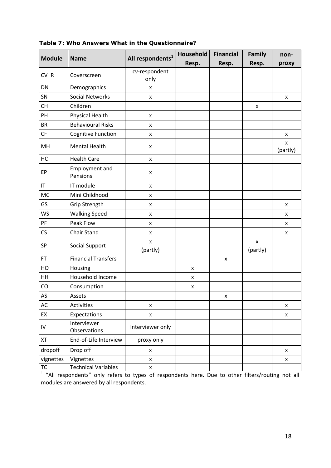|               |                                   |                              | Household | <b>Financial</b>   | Family                     | non-                           |
|---------------|-----------------------------------|------------------------------|-----------|--------------------|----------------------------|--------------------------------|
| <b>Module</b> | <b>Name</b>                       | All respondents <sup>1</sup> | Resp.     | Resp.              | Resp.                      | proxy                          |
| $CV_R$        | Coverscreen                       | cv-respondent<br>only        |           |                    |                            |                                |
| DN            | Demographics                      | $\pmb{\mathsf{x}}$           |           |                    |                            |                                |
| SN            | <b>Social Networks</b>            | $\pmb{\mathsf{X}}$           |           |                    |                            | $\pmb{\times}$                 |
| <b>CH</b>     | Children                          |                              |           |                    | X                          |                                |
| PH            | Physical Health                   | $\pmb{\mathsf{X}}$           |           |                    |                            |                                |
| <b>BR</b>     | <b>Behavioural Risks</b>          | x                            |           |                    |                            |                                |
| CF            | Cognitive Function                | X                            |           |                    |                            | x                              |
| MH            | <b>Mental Health</b>              | X                            |           |                    |                            | $\pmb{\mathsf{x}}$<br>(partly) |
| HC            | <b>Health Care</b>                | $\pmb{\mathsf{x}}$           |           |                    |                            |                                |
| EP            | <b>Employment and</b><br>Pensions | X                            |           |                    |                            |                                |
| IT            | IT module                         | X                            |           |                    |                            |                                |
| <b>MC</b>     | Mini Childhood                    | $\pmb{\mathsf{x}}$           |           |                    |                            |                                |
| GS            | Grip Strength                     | x                            |           |                    |                            | X                              |
| <b>WS</b>     | <b>Walking Speed</b>              | X                            |           |                    |                            | X                              |
| PF            | Peak Flow                         | x                            |           |                    |                            | X                              |
| CS            | Chair Stand                       | x                            |           |                    |                            | x                              |
| SP            | <b>Social Support</b>             | $\mathsf{x}$<br>(partly)     |           |                    | $\pmb{\times}$<br>(partly) |                                |
| <b>FT</b>     | <b>Financial Transfers</b>        |                              |           | $\pmb{\mathsf{x}}$ |                            |                                |
| HO            | Housing                           |                              | X         |                    |                            |                                |
| HH            | Household Income                  |                              | X         |                    |                            |                                |
| CO            | Consumption                       |                              | X         |                    |                            |                                |
| AS            | Assets                            |                              |           | x                  |                            |                                |
| AC            | Activities                        | $\pmb{\mathsf{x}}$           |           |                    |                            | $\pmb{\times}$                 |
| EX            | Expectations                      | X                            |           |                    |                            | X                              |
| IV            | Interviewer<br>Observations       | Interviewer only             |           |                    |                            |                                |
| XT            | End-of-Life Interview             | proxy only                   |           |                    |                            |                                |
| dropoff       | Drop off                          | X                            |           |                    |                            | $\pmb{\mathsf{x}}$             |
| vignettes     | Vignettes                         | X                            |           |                    |                            | X                              |
| <b>TC</b>     | <b>Technical Variables</b>        | $\pmb{\mathsf{x}}$           |           |                    |                            |                                |

<span id="page-17-0"></span>**Table 7: Who Answers What in the Questionnaire?**

<sup>1</sup> "All respondents" only refers to types of respondents here. Due to other filters/routing not all modules are answered by all respondents.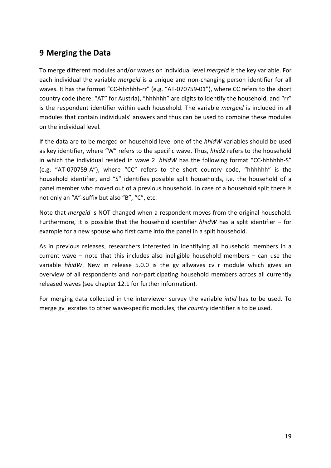## <span id="page-18-0"></span>**9 Merging the Data**

To merge different modules and/or waves on individual level *mergeid* is the key variable. For each individual the variable *mergeid* is a unique and non-changing person identifier for all waves. It has the format "CC-hhhhhh-rr" (e.g. "AT-070759-01"), where CC refers to the short country code (here: "AT" for Austria), "hhhhhh" are digits to identify the household, and "rr" is the respondent identifier within each household. The variable *mergeid* is included in all modules that contain individuals' answers and thus can be used to combine these modules on the individual level.

If the data are to be merged on household level one of the *hhidW* variables should be used as key identifier, where "W" refers to the specific wave. Thus, *hhid2* refers to the household in which the individual resided in wave 2. *hhidW* has the following format "CC-hhhhhh-S" (e.g. "AT-070759-A"), where "CC" refers to the short country code, "hhhhhh" is the household identifier, and "S" identifies possible split households, i.e. the household of a panel member who moved out of a previous household. In case of a household split there is not only an "A"-suffix but also "B", "C", etc.

Note that *mergeid* is NOT changed when a respondent moves from the original household. Furthermore, it is possible that the household identifier *hhidW* has a split identifier – for example for a new spouse who first came into the panel in a split household.

As in previous releases, researchers interested in identifying all household members in a current wave – note that this includes also ineligible household members – can use the variable *hhidW*. New in release 5.0.0 is the gv allwaves cv r module which gives an overview of all respondents and non-participating household members across all currently released waves (see chapte[r 12.1](#page-25-0) for further information).

For merging data collected in the interviewer survey the variable *intid* has to be used. To merge gv\_exrates to other wave-specific modules, the *country* identifier is to be used.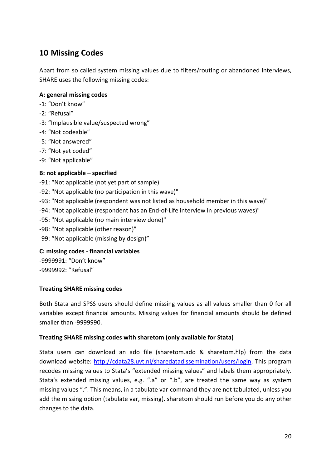## <span id="page-19-0"></span>**10 Missing Codes**

Apart from so called system missing values due to filters/routing or abandoned interviews, SHARE uses the following missing codes:

#### **A: general missing codes**

- -1: "Don't know"
- -2: "Refusal"
- -3: "Implausible value/suspected wrong"
- -4: "Not codeable"
- -5: "Not answered"
- -7: "Not yet coded"
- -9: "Not applicable"

#### **B: not applicable – specified**

- -91: "Not applicable (not yet part of sample)
- -92: "Not applicable (no participation in this wave)"
- -93: "Not applicable (respondent was not listed as household member in this wave)"
- -94: "Not applicable (respondent has an End-of-Life interview in previous waves)"
- -95: "Not applicable (no main interview done)"
- -98: "Not applicable (other reason)"
- -99: "Not applicable (missing by design)"

### **C: missing codes - financial variables**

-9999991: "Don't know" -9999992: "Refusal"

#### **Treating SHARE missing codes**

Both Stata and SPSS users should define missing values as all values smaller than 0 for all variables except financial amounts. Missing values for financial amounts should be defined smaller than -9999990.

#### **Treating SHARE missing codes with sharetom (only available for Stata)**

Stata users can download an ado file (sharetom.ado & sharetom.hlp) from the data download website: [http://cdata28.uvt.nl/sharedatadissemination/users/login.](http://cdata28.uvt.nl/sharedatadissemination/users/login) This program recodes missing values to Stata's "extended missing values" and labels them appropriately. Stata's extended missing values, e.g. ".a" or ".b", are treated the same way as system missing values ".". This means, in a tabulate var-command they are not tabulated, unless you add the missing option (tabulate var, missing). sharetom should run before you do any other changes to the data.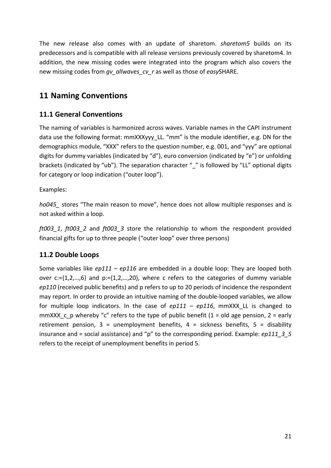The new release also comes with an update of sharetom. *sharetom5* builds on its predecessors and is compatible with all release versions previously covered by sharetom4. In addition, the new missing codes were integrated into the program which also covers the new missing codes from *gv\_allwaves\_cv\_r* as well as those of *easy*SHARE.

## <span id="page-20-0"></span>**11 Naming Conventions**

### <span id="page-20-1"></span>**11.1 General Conventions**

The naming of variables is harmonized across waves. Variable names in the CAPI instrument data use the following format: mmXXXyyy\_LL. "mm" is the module identifier, e.g. DN for the demographics module, "XXX" refers to the question number, e.g. 001, and "yyy" are optional digits for dummy variables (indicated by "d"), euro conversion (indicated by "e") or unfolding brackets (indicated by "ub"). The separation character " " is followed by "LL" optional digits for category or loop indication ("outer loop").

Examples:

*ho045\_* stores "The main reason to move", hence does not allow multiple responses and is not asked within a loop.

*ft003\_1*, *ft003\_2* and *ft003\_3* store the relationship to whom the respondent provided financial gifts for up to three people ("outer loop" over three persons)

### <span id="page-20-2"></span>**11.2 Double Loops**

Some variables like *ep111* – *ep116* are embedded in a double loop: They are looped both over  $c:=\{1,2,...,6\}$  and  $p:=\{1,2,...,20\}$ , where c refers to the categories of dummy variable *ep110* (received public benefits) and p refers to up to 20 periods of incidence the respondent may report. In order to provide an intuitive naming of the double-looped variables, we allow for multiple loop indicators. In the case of *ep111* – *ep116*, mmXXX\_LL is changed to mmXXX c p whereby "c" refers to the type of public benefit (1 = old age pension, 2 = early retirement pension,  $3 =$  unemployment benefits,  $4 =$  sickness benefits,  $5 =$  disability insurance and = social assistance) and "p" to the corresponding period. Example: *ep111\_3\_5* refers to the receipt of unemployment benefits in period 5.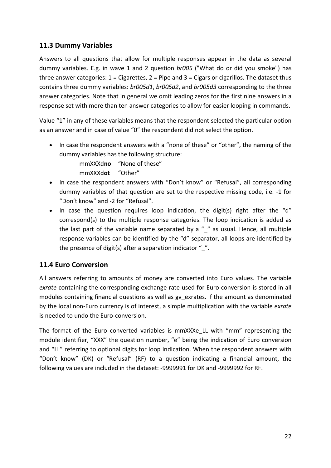### <span id="page-21-0"></span>**11.3 Dummy Variables**

Answers to all questions that allow for multiple responses appear in the data as several dummy variables. E.g. in wave 1 and 2 question *br005* ("What do or did you smoke") has three answer categories:  $1 =$  Cigarettes,  $2 =$  Pipe and  $3 =$  Cigars or cigarillos. The dataset thus contains three dummy variables: *br005d1*, *br005d2*, and *br005d3* corresponding to the three answer categories. Note that in general we omit leading zeros for the first nine answers in a response set with more than ten answer categories to allow for easier looping in commands.

Value "1" in any of these variables means that the respondent selected the particular option as an answer and in case of value "0" the respondent did not select the option.

• In case the respondent answers with a "none of these" or "other", the naming of the dummy variables has the following structure:

mmXXXd**no** "None of these"

mmXXXd**ot** "Other"

- In case the respondent answers with "Don't know" or "Refusal", all corresponding dummy variables of that question are set to the respective missing code, i.e. -1 for "Don't know" and -2 for "Refusal".
- In case the question requires loop indication, the digit(s) right after the "d" correspond(s) to the multiple response categories. The loop indication is added as the last part of the variable name separated by a  $''$  " as usual. Hence, all multiple response variables can be identified by the "d"-separator, all loops are identified by the presence of digit(s) after a separation indicator  $"$ .

## <span id="page-21-1"></span>**11.4 Euro Conversion**

All answers referring to amounts of money are converted into Euro values. The variable *exrate* containing the corresponding exchange rate used for Euro conversion is stored in all modules containing financial questions as well as gv\_exrates. If the amount as denominated by the local non-Euro currency is of interest, a simple multiplication with the variable *exrate* is needed to undo the Euro-conversion.

The format of the Euro converted variables is mmXXXe\_LL with "mm" representing the module identifier, "XXX" the question number, "e" being the indication of Euro conversion and "LL" referring to optional digits for loop indication. When the respondent answers with "Don't know" (DK) or "Refusal" (RF) to a question indicating a financial amount, the following values are included in the dataset: -9999991 for DK and -9999992 for RF.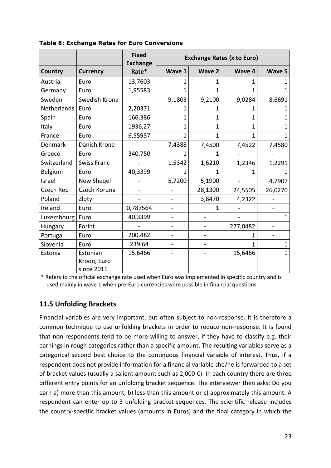|             |                           | <b>Fixed</b><br><b>Exchange</b> | <b>Exchange Rates (x to Euro)</b> |               |          |              |
|-------------|---------------------------|---------------------------------|-----------------------------------|---------------|----------|--------------|
| Country     | <b>Currency</b>           | Rate*                           | Wave 1                            | <b>Wave 2</b> | Wave 4   | Wave 5       |
| Austria     | Euro                      | 13,7603                         | 1                                 |               |          |              |
| Germany     | Euro                      | 1,95583                         | 1                                 |               |          | 1            |
| Sweden      | Swedish Krona             |                                 | 9,1803                            | 9,2100        | 9,0284   | 8,6691       |
| Netherlands | Euro                      | 2,20371                         | 1                                 | 1             | 1        |              |
| Spain       | Euro                      | 166,386                         | 1                                 | 1             | 1        | 1            |
| Italy       | Euro                      | 1936,27                         | 1                                 | 1             | 1        | 1            |
| France      | Euro                      | 6,55957                         | 1                                 | 1             | 1        | 1            |
| Denmark     | Danish Krone              |                                 | 7,4388                            | 7,4500        | 7,4522   | 7,4580       |
| Greece      | Euro                      | 340.750                         |                                   |               |          |              |
| Switzerland | <b>Swiss Franc</b>        |                                 | 1,5342                            | 1,6210        | 1,2346   | 1,2291       |
| Belgium     | Euro                      | 40,3399                         |                                   |               |          |              |
| Israel      | New Shegel                |                                 | 5,7200                            | 5,1900        |          | 4,7907       |
| Czech Rep   | Czech Koruna              |                                 |                                   | 28,1300       | 24,5505  | 26,0270      |
| Poland      | Zloty                     |                                 |                                   | 3,8470        | 4,2322   |              |
| Ireland     | Euro                      | 0,787564                        |                                   |               |          |              |
| Luxembourg  | Euro                      | 40.3399                         |                                   |               |          | $\mathbf{1}$ |
| Hungary     | Forint                    |                                 |                                   |               | 277,0482 |              |
| Portugal    | Euro                      | 200.482                         |                                   |               | 1        |              |
| Slovenia    | Euro                      | 239.64                          |                                   |               | 1        | 1            |
| Estonia     | Estonian                  | 15.6466                         |                                   |               | 15,6466  | $\mathbf{1}$ |
|             | Kroon, Euro<br>since 2011 |                                 |                                   |               |          |              |

<span id="page-22-1"></span>**Table 8: Exchange Rates for Euro Conversions**

\* Refers to the official exchange rate used when Euro was implemented in specific country and is used mainly in wave 1 when pre-Euro currencies were possible in financial questions.

### <span id="page-22-0"></span>**11.5 Unfolding Brackets**

Financial variables are very important, but often subject to non-response. It is therefore a common technique to use unfolding brackets in order to reduce non-response. It is found that non-respondents tend to be more willing to answer, if they have to classify e.g. their earnings in rough categories rather than a specific amount. The resulting variables serve as a categorical second best choice to the continuous financial variable of interest. Thus, if a respondent does not provide information for a financial variable she/he is forwarded to a set of bracket values (usually a salient amount such as 2,000 €). In each country there are three different entry points for an unfolding bracket sequence. The interviewer then asks: Do you earn a) more than this amount, b) less than this amount or c) approximately this amount. A respondent can enter up to 3 unfolding bracket sequences. The scientific release includes the country-specific bracket values (amounts in Euros) and the final category in which the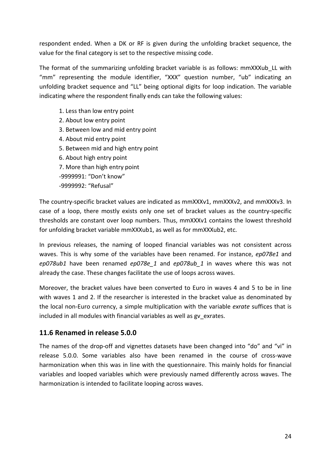respondent ended. When a DK or RF is given during the unfolding bracket sequence, the value for the final category is set to the respective missing code.

The format of the summarizing unfolding bracket variable is as follows: mmXXXub LL with "mm" representing the module identifier, "XXX" question number, "ub" indicating an unfolding bracket sequence and "LL" being optional digits for loop indication. The variable indicating where the respondent finally ends can take the following values:

- 1. Less than low entry point
- 2. About low entry point
- 3. Between low and mid entry point
- 4. About mid entry point
- 5. Between mid and high entry point
- 6. About high entry point
- 7. More than high entry point
- -9999991: "Don't know"
- -9999992: "Refusal"

The country-specific bracket values are indicated as mmXXXv1, mmXXXv2, and mmXXXv3. In case of a loop, there mostly exists only one set of bracket values as the country-specific thresholds are constant over loop numbers. Thus, mmXXXv1 contains the lowest threshold for unfolding bracket variable mmXXXub1, as well as for mmXXXub2, etc.

In previous releases, the naming of looped financial variables was not consistent across waves. This is why some of the variables have been renamed. For instance, *ep078e1* and *ep078ub1* have been renamed *ep078e\_1* and *ep078ub\_1* in waves where this was not already the case. These changes facilitate the use of loops across waves.

Moreover, the bracket values have been converted to Euro in waves 4 and 5 to be in line with waves 1 and 2. If the researcher is interested in the bracket value as denominated by the local non-Euro currency, a simple multiplication with the variable *exrate* suffices that is included in all modules with financial variables as well as gv\_exrates.

### <span id="page-23-0"></span>**11.6 Renamed in release 5.0.0**

The names of the drop-off and vignettes datasets have been changed into "do" and "vi" in release 5.0.0. Some variables also have been renamed in the course of cross-wave harmonization when this was in line with the questionnaire. This mainly holds for financial variables and looped variables which were previously named differently across waves. The harmonization is intended to facilitate looping across waves.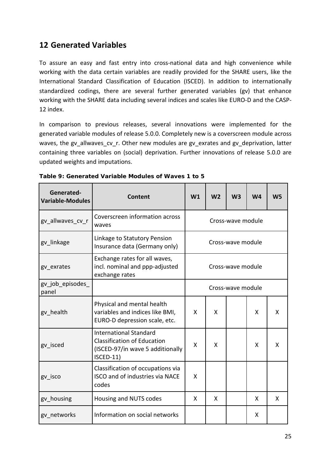## <span id="page-24-0"></span>**12 Generated Variables**

To assure an easy and fast entry into cross-national data and high convenience while working with the data certain variables are readily provided for the SHARE users, like the International Standard Classification of Education (ISCED). In addition to internationally standardized codings, there are several further generated variables (gv) that enhance working with the SHARE data including several indices and scales like EURO-D and the CASP-12 index.

In comparison to previous releases, several innovations were implemented for the generated variable modules of release 5.0.0. Completely new is a coverscreen module across waves, the gv\_allwaves\_cv\_r. Other new modules are gv\_exrates and gv\_deprivation, latter containing three variables on (social) deprivation. Further innovations of release 5.0.0 are updated weights and imputations.

| Generated-<br><b>Variable-Modules</b> | Content                                                                                                              | W1 | W <sub>2</sub> | W <sub>3</sub>    | W <sub>4</sub> | W <sub>5</sub> |
|---------------------------------------|----------------------------------------------------------------------------------------------------------------------|----|----------------|-------------------|----------------|----------------|
| gv allwaves cv r                      | Coverscreen information across<br>waves                                                                              |    |                | Cross-wave module |                |                |
| gv linkage                            | Linkage to Statutory Pension<br>Insurance data (Germany only)                                                        |    |                | Cross-wave module |                |                |
| gv exrates                            | Exchange rates for all waves,<br>incl. nominal and ppp-adjusted<br>exchange rates                                    |    |                | Cross-wave module |                |                |
| gv_job_episodes<br>panel              |                                                                                                                      |    |                | Cross-wave module |                |                |
| gv health                             | Physical and mental health<br>variables and indices like BMI,<br>EURO-D depression scale, etc.                       | X  | X              |                   | X              | X              |
| gv isced                              | <b>International Standard</b><br><b>Classification of Education</b><br>(ISCED-97/in wave 5 additionally<br>ISCED-11) | X  | X              |                   | X              | X              |
| gv isco                               | Classification of occupations via<br><b>ISCO and of industries via NACE</b><br>codes                                 | X  |                |                   |                |                |
| gy housing                            | Housing and NUTS codes                                                                                               | X  | X              |                   | X              | X              |
| gy networks                           | Information on social networks                                                                                       |    |                |                   | X              |                |

<span id="page-24-1"></span>**Table 9: Generated Variable Modules of Waves 1 to 5**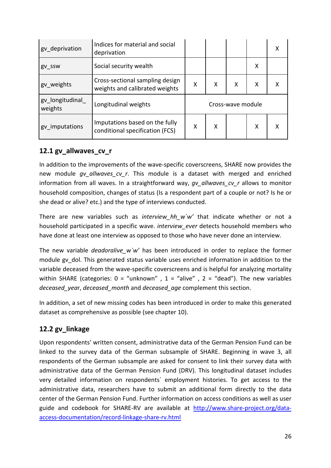| gv deprivation             | Indices for material and social<br>deprivation                    |                   |   |   |   | x |
|----------------------------|-------------------------------------------------------------------|-------------------|---|---|---|---|
| gv_ssw                     | Social security wealth                                            |                   |   |   | Χ |   |
| gv_weights                 | Cross-sectional sampling design<br>weights and calibrated weights | X                 | X | X | X |   |
| gv_longitudinal<br>weights | Longitudinal weights                                              | Cross-wave module |   |   |   |   |
| gv_imputations             | Imputations based on the fully<br>conditional specification (FCS) | X                 | x |   | x |   |

### <span id="page-25-0"></span>**12.1 gv\_allwaves\_cv\_r**

In addition to the improvements of the wave-specific coverscreens, SHARE now provides the new module *gv\_allwaves\_cv\_r*. This module is a dataset with merged and enriched information from all waves. In a straightforward way, *gv\_allwaves\_cv\_r* allows to monitor household composition, changes of status (Is a respondent part of a couple or not? Is he or she dead or alive? etc.) and the type of interviews conducted.

There are new variables such as *interview hh* w`w' that indicate whether or not a household participated in a specific wave. *interview\_ever* detects household members who have done at least one interview as opposed to those who have never done an interview.

The new variable *deadoralive* w'w' has been introduced in order to replace the former module gy dol. This generated status variable uses enriched information in addition to the variable deceased from the wave-specific coverscreens and is helpful for analyzing mortality within SHARE (categories:  $0 =$  "unknown",  $1 =$  "alive",  $2 =$  "dead"). The new variables *deceased\_yea*r, *deceased\_month* and *deceased\_age* complement this section.

In addition, a set of new missing codes has been introduced in order to make this generated dataset as comprehensive as possible (see chapter [10\)](#page-19-0).

## <span id="page-25-1"></span>**12.2 gv\_linkage**

Upon respondents' written consent, administrative data of the German Pension Fund can be linked to the survey data of the German subsample of SHARE. Beginning in wave 3, all respondents of the German subsample are asked for consent to link their survey data with administrative data of the German Pension Fund (DRV). This longitudinal dataset includes very detailed information on respondents´ employment histories. To get access to the administrative data, researchers have to submit an additional form directly to the data center of the German Pension Fund. Further information on access conditions as well as user guide and codebook for SHARE-RV are available at [http://www.share-project.org/data](http://www.share-project.org/data-access-documentation/record-linkage-share-rv.html)[access-documentation/record-linkage-share-rv.html](http://www.share-project.org/data-access-documentation/record-linkage-share-rv.html)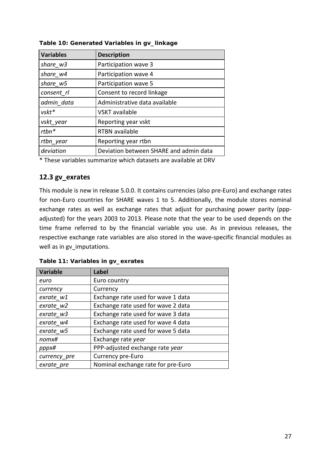| <b>Variables</b> | <b>Description</b>                     |
|------------------|----------------------------------------|
| share w3         | Participation wave 3                   |
| share w4         | Participation wave 4                   |
| share w5         | Participation wave 5                   |
| consent rl       | Consent to record linkage              |
| admin data       | Administrative data available          |
| $v$ skt $*$      | <b>VSKT</b> available                  |
| vskt year        | Reporting year vskt                    |
| $rtbn*$          | <b>RTBN</b> available                  |
| rtbn year        | Reporting year rtbn                    |
| deviation        | Deviation between SHARE and admin data |
|                  |                                        |

<span id="page-26-1"></span>**Table 10: Generated Variables in gv\_linkage**

\* These variables summarize which datasets are available at DRV

### <span id="page-26-0"></span>**12.3 gv\_exrates**

This module is new in release 5.0.0. It contains currencies (also pre-Euro) and exchange rates for non-Euro countries for SHARE waves 1 to 5. Additionally, the module stores nominal exchange rates as well as exchange rates that adjust for purchasing power parity (pppadjusted) for the years 2003 to 2013. Please note that the year to be used depends on the time frame referred to by the financial variable you use. As in previous releases, the respective exchange rate variables are also stored in the wave-specific financial modules as well as in gv\_imputations.

| <b>Variable</b> | <b>Label</b>                       |
|-----------------|------------------------------------|
| euro            | Euro country                       |
| currency        | Currency                           |
| exrate w1       | Exchange rate used for wave 1 data |
| exrate w2       | Exchange rate used for wave 2 data |
| exrate w3       | Exchange rate used for wave 3 data |
| exrate_w4       | Exchange rate used for wave 4 data |
| exrate w5       | Exchange rate used for wave 5 data |
| nomx#           | Exchange rate year                 |
| pppx#           | PPP-adjusted exchange rate year    |
| currency pre    | Currency pre-Euro                  |
| exrate pre      | Nominal exchange rate for pre-Euro |

<span id="page-26-2"></span>**Table 11: Variables in gv\_exrates**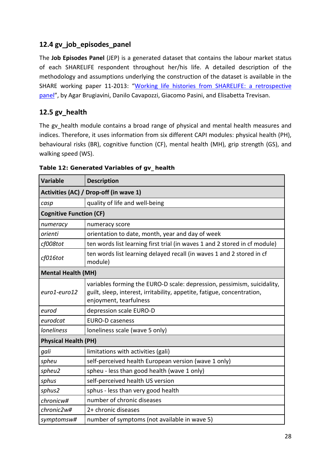### <span id="page-27-0"></span>**12.4 gv\_job\_episodes\_panel**

The **Job Episodes Panel** (JEP) is a generated dataset that contains the labour market status of each SHARELIFE respondent throughout her/his life. A detailed description of the methodology and assumptions underlying the construction of the dataset is available in the SHARE working paper 11-2013: ["Working life histories from SHARELIFE: a retrospective](http://www.share-project.org/fileadmin/pdf_documentation/Working_Paper_Series/WP_Series_11_2013_Brugiavini_Cavapozzi_Pasini_Trevisan.pdf)  [panel"](http://www.share-project.org/fileadmin/pdf_documentation/Working_Paper_Series/WP_Series_11_2013_Brugiavini_Cavapozzi_Pasini_Trevisan.pdf), by Agar Brugiavini, Danilo Cavapozzi, Giacomo Pasini, and Elisabetta Trevisan.

### <span id="page-27-1"></span>**12.5 gv\_health**

The gv\_health module contains a broad range of physical and mental health measures and indices. Therefore, it uses information from six different CAPI modules: physical health (PH), behavioural risks (BR), cognitive function (CF), mental health (MH), grip strength (GS), and walking speed (WS).

| <b>Variable</b>                | <b>Description</b>                                                                                                                                                           |  |  |  |  |
|--------------------------------|------------------------------------------------------------------------------------------------------------------------------------------------------------------------------|--|--|--|--|
|                                | Activities (AC) / Drop-off (in wave 1)                                                                                                                                       |  |  |  |  |
| casp                           | quality of life and well-being                                                                                                                                               |  |  |  |  |
| <b>Cognitive Function (CF)</b> |                                                                                                                                                                              |  |  |  |  |
| numeracy                       | numeracy score                                                                                                                                                               |  |  |  |  |
| orienti                        | orientation to date, month, year and day of week                                                                                                                             |  |  |  |  |
| cf008tot                       | ten words list learning first trial (in waves 1 and 2 stored in cf module)                                                                                                   |  |  |  |  |
| cf016tot                       | ten words list learning delayed recall (in waves 1 and 2 stored in cf<br>module)                                                                                             |  |  |  |  |
| <b>Mental Health (MH)</b>      |                                                                                                                                                                              |  |  |  |  |
| euro1-euro12                   | variables forming the EURO-D scale: depression, pessimism, suicidality,<br>guilt, sleep, interest, irritability, appetite, fatigue, concentration,<br>enjoyment, tearfulness |  |  |  |  |
| eurod                          | depression scale EURO-D                                                                                                                                                      |  |  |  |  |
| eurodcat                       | <b>EURO-D caseness</b>                                                                                                                                                       |  |  |  |  |
| <b>loneliness</b>              | loneliness scale (wave 5 only)                                                                                                                                               |  |  |  |  |
| <b>Physical Health (PH)</b>    |                                                                                                                                                                              |  |  |  |  |
| gali                           | limitations with activities (gali)                                                                                                                                           |  |  |  |  |
| spheu                          | self-perceived health European version (wave 1 only)                                                                                                                         |  |  |  |  |
| spheu2                         | spheu - less than good health (wave 1 only)                                                                                                                                  |  |  |  |  |
| sphus                          | self-perceived health US version                                                                                                                                             |  |  |  |  |
| sphus2                         | sphus - less than very good health                                                                                                                                           |  |  |  |  |
| chronicw#                      | number of chronic diseases                                                                                                                                                   |  |  |  |  |
| chronic2w#                     | 2+ chronic diseases                                                                                                                                                          |  |  |  |  |
| symptomsw#                     | number of symptoms (not available in wave 5)                                                                                                                                 |  |  |  |  |

<span id="page-27-2"></span>**Table 12: Generated Variables of gv\_health**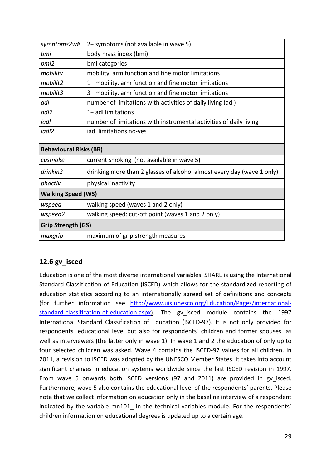| symptoms2w#                   | 2+ symptoms (not available in wave 5)                                  |  |  |
|-------------------------------|------------------------------------------------------------------------|--|--|
| bmi                           | body mass index (bmi)                                                  |  |  |
| bmi2                          | bmi categories                                                         |  |  |
| mobility                      | mobility, arm function and fine motor limitations                      |  |  |
| mobilit2                      | 1+ mobility, arm function and fine motor limitations                   |  |  |
| mobilit3                      | 3+ mobility, arm function and fine motor limitations                   |  |  |
| adl                           | number of limitations with activities of daily living (adl)            |  |  |
| adl2                          | 1+ adl limitations                                                     |  |  |
| iadl                          | number of limitations with instrumental activities of daily living     |  |  |
| iadl2                         | iadl limitations no-yes                                                |  |  |
| <b>Behavioural Risks (BR)</b> |                                                                        |  |  |
| cusmoke                       | current smoking (not available in wave 5)                              |  |  |
| drinkin2                      | drinking more than 2 glasses of alcohol almost every day (wave 1 only) |  |  |
| phactiv                       | physical inactivity                                                    |  |  |
| <b>Walking Speed (WS)</b>     |                                                                        |  |  |
| wspeed                        | walking speed (waves 1 and 2 only)                                     |  |  |
| wspeed2                       | walking speed: cut-off point (waves 1 and 2 only)                      |  |  |
| <b>Grip Strength (GS)</b>     |                                                                        |  |  |
| maxgrip                       | maximum of grip strength measures                                      |  |  |

## <span id="page-28-0"></span>**12.6 gv\_isced**

Education is one of the most diverse international variables. SHARE is using the International Standard Classification of Education (ISCED) which allows for the standardized reporting of education statistics according to an internationally agreed set of definitions and concepts (for further information see [http://www.uis.unesco.org/Education/Pages/international](http://www.uis.unesco.org/Education/Pages/international-standard-classification-of-education.aspx)[standard-classification-of-education.aspx\)](http://www.uis.unesco.org/Education/Pages/international-standard-classification-of-education.aspx). The gv isced module contains the 1997 International Standard Classification of Education (ISCED-97). It is not only provided for respondents´ educational level but also for respondents´ children and former spouses´ as well as interviewers (the latter only in wave 1). In wave 1 and 2 the education of only up to four selected children was asked. Wave 4 contains the ISCED-97 values for all children. In 2011, a revision to ISCED was adopted by the UNESCO Member States. It takes into account significant changes in education systems worldwide since the last ISCED revision in 1997. From wave 5 onwards both ISCED versions (97 and 2011) are provided in gv isced. Furthermore, wave 5 also contains the educational level of the respondents´ parents. Please note that we collect information on education only in the baseline interview of a respondent indicated by the variable mn101 in the technical variables module. For the respondents' children information on educational degrees is updated up to a certain age.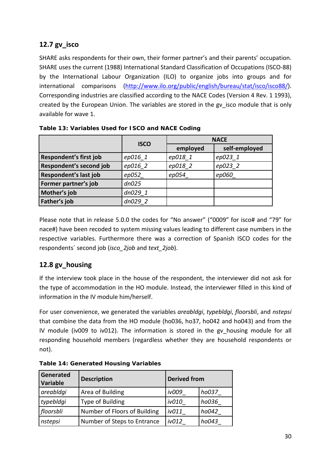## <span id="page-29-0"></span>**12.7 gv\_isco**

SHARE asks respondents for their own, their former partner's and their parents' occupation. SHARE uses the current (1988) International Standard Classification of Occupations (ISCO-88) by the International Labour Organization (ILO) to organize jobs into groups and for international comparisons [\(http://www.ilo.org/public/english/bureau/stat/isco/isco88/\)](http://www.ilo.org/public/english/bureau/stat/isco/isco88/). Corresponding industries are classified according to the NACE Codes (Version 4 Rev. 1 1993), created by the European Union. The variables are stored in the gv\_isco module that is only available for wave 1.

|                         | <b>ISCO</b> |          | <b>NACE</b>   |
|-------------------------|-------------|----------|---------------|
|                         |             | employed | self-employed |
| Respondent's first job  | ep016 1     | ep018 1  | ep023 1       |
| Respondent's second job | ep016 2     | ep018 2  | ep023 2       |
| Respondent's last job   | ep052       | ep054    | ep060         |
| Former partner's job    | dn025       |          |               |
| Mother's job            | dn029 1     |          |               |
| Father's job            | dn029 2     |          |               |

<span id="page-29-2"></span>**Table 13: Variables Used for ISCO and NACE Coding**

Please note that in release 5.0.0 the codes for "No answer" ("0009" for isco# and "79" for nace#) have been recoded to system missing values leading to different case numbers in the respective variables. Furthermore there was a correction of Spanish ISCO codes for the respondents´ second job (*isco\_2job* and *text\_2job*).

## <span id="page-29-1"></span>**12.8 gv\_housing**

If the interview took place in the house of the respondent, the interviewer did not ask for the type of accommodation in the HO module. Instead, the interviewer filled in this kind of information in the IV module him/herself.

For user convenience, we generated the variables *areabldgi*, *typebldgi*, *floorsbli*, and *nstepsi* that combine the data from the HO module (ho036, ho37, ho042 and ho043) and from the IV module (iv009 to iv012). The information is stored in the gv\_housing module for all responding household members (regardless whether they are household respondents or not).

| Generated<br>Variable | <b>Description</b><br><b>Derived from</b> |              |       |
|-----------------------|-------------------------------------------|--------------|-------|
| areabldgi             | Area of Building                          | <i>iv009</i> | ho037 |
| typebldgi             | Type of Building                          | iv010        | ho036 |
| floorsbli             | Number of Floors of Building              | iv011        | ho042 |
| nstepsi               | Number of Steps to Entrance               | iv012        | ho043 |

<span id="page-29-3"></span>**Table 14: Generated Housing Variables**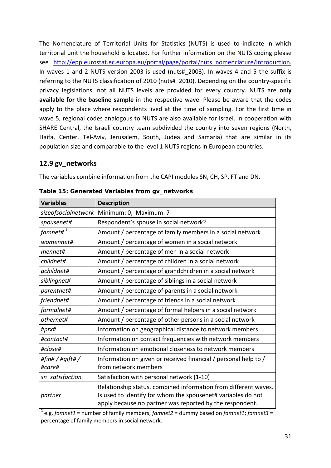The Nomenclature of Territorial Units for Statistics (NUTS) is used to indicate in which territorial unit the household is located. For further information on the NUTS coding please see [http://epp.eurostat.ec.europa.eu/portal/page/portal/nuts\\_nomenclature/introduction.](http://epp.eurostat.ec.europa.eu/portal/page/portal/nuts_nomenclature/introduction) In waves 1 and 2 NUTS version 2003 is used (nuts#\_2003). In waves 4 and 5 the suffix is referring to the NUTS classification of 2010 (nuts#\_2010). Depending on the country-specific privacy legislations, not all NUTS levels are provided for every country. NUTS are **only available for the baseline sample** in the respective wave. Please be aware that the codes apply to the place where respondents lived at the time of sampling. For the first time in wave 5, regional codes analogous to NUTS are also available for Israel. In cooperation with SHARE Central, the Israeli country team subdivided the country into seven regions (North, Haifa, Center, Tel-Aviv, Jerusalem, South, Judea and Samaria) that are similar in its population size and comparable to the level 1 NUTS regions in European countries.

### <span id="page-30-0"></span>**12.9 gv\_networks**

The variables combine information from the CAPI modules SN, CH, SP, FT and DN.

| <b>Variables</b>        | <b>Description</b>                                                                                                                                                                          |
|-------------------------|---------------------------------------------------------------------------------------------------------------------------------------------------------------------------------------------|
| sizeofsocialnetwork     | Minimum: 0, Maximum: 7                                                                                                                                                                      |
| spousenet#              | Respondent's spouse in social network?                                                                                                                                                      |
| famnet# $^{\text{1}}$   | Amount / percentage of family members in a social network                                                                                                                                   |
| womennet#               | Amount / percentage of women in a social network                                                                                                                                            |
| mennet#                 | Amount / percentage of men in a social network                                                                                                                                              |
| childnet#               | Amount / percentage of children in a social network                                                                                                                                         |
| gchildnet#              | Amount / percentage of grandchildren in a social network                                                                                                                                    |
| siblingnet#             | Amount / percentage of siblings in a social network                                                                                                                                         |
| parentnet#              | Amount / percentage of parents in a social network                                                                                                                                          |
| friendnet#              | Amount / percentage of friends in a social network                                                                                                                                          |
| formalnet#              | Amount / percentage of formal helpers in a social network                                                                                                                                   |
| othernet#               | Amount / percentage of other persons in a social network                                                                                                                                    |
| #prx#                   | Information on geographical distance to network members                                                                                                                                     |
| #contact#               | Information on contact frequencies with network members                                                                                                                                     |
| #close#                 | Information on emotional closeness to network members                                                                                                                                       |
| #fin#/#gift#/<br>#care# | Information on given or received financial / personal help to /<br>from network members                                                                                                     |
| sn_satisfaction         | Satisfaction with personal network (1-10)                                                                                                                                                   |
| partner                 | Relationship status, combined information from different waves.<br>Is used to identify for whom the spousenet# variables do not<br>apply because no partner was reported by the respondent. |

<span id="page-30-1"></span>**Table 15: Generated Variables from gv\_networks**

1 e.g. *famnet1* = number of family members; *famnet2* = dummy based on *famnet1*; *famnet3* = percentage of family members in social network.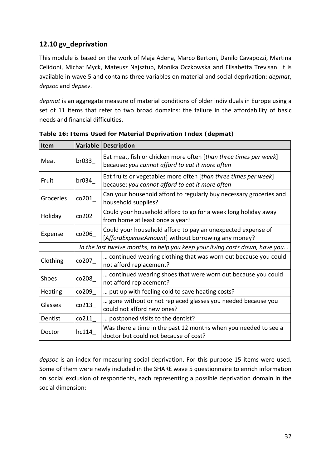### <span id="page-31-0"></span>**12.10 gv\_deprivation**

This module is based on the work of Maja Adena, Marco Bertoni, Danilo Cavapozzi, Martina Celidoni, Michał Myck, Mateusz Najsztub, Monika Oczkowska and Elisabetta Trevisan. It is available in wave 5 and contains three variables on material and social deprivation: *depmat*, *depsoc* and *depsev*.

*depmat* is an aggregate measure of material conditions of older individuals in Europe using a set of 11 items that refer to two broad domains: the failure in the affordability of basic needs and financial difficulties.

| <b>Item</b>                                                                  | Variable | <b>Description</b>                                                                                                  |  |  |
|------------------------------------------------------------------------------|----------|---------------------------------------------------------------------------------------------------------------------|--|--|
| Meat                                                                         | br033    | Eat meat, fish or chicken more often [than three times per week]<br>because: you cannot afford to eat it more often |  |  |
| Fruit                                                                        | br034    | Eat fruits or vegetables more often [than three times per week]<br>because: you cannot afford to eat it more often  |  |  |
| Groceries                                                                    | co201    | Can your household afford to regularly buy necessary groceries and<br>household supplies?                           |  |  |
| Holiday                                                                      | co202    | Could your household afford to go for a week long holiday away<br>from home at least once a year?                   |  |  |
| Expense                                                                      | co206    | Could your household afford to pay an unexpected expense of<br>[AffordExpenseAmount] without borrowing any money?   |  |  |
| In the last twelve months, to help you keep your living costs down, have you |          |                                                                                                                     |  |  |
| Clothing                                                                     | co207    | continued wearing clothing that was worn out because you could<br>not afford replacement?                           |  |  |
| Shoes                                                                        | co208    | continued wearing shoes that were worn out because you could<br>not afford replacement?                             |  |  |
| Heating                                                                      | co209_   | put up with feeling cold to save heating costs?                                                                     |  |  |
| Glasses                                                                      | co213_   | gone without or not replaced glasses you needed because you<br>could not afford new ones?                           |  |  |
| Dentist                                                                      | co211    | postponed visits to the dentist?                                                                                    |  |  |
| Doctor                                                                       | hc114    | Was there a time in the past 12 months when you needed to see a<br>doctor but could not because of cost?            |  |  |

<span id="page-31-1"></span>**Table 16: Items Used for Material Deprivation Index (***depmat***)**

*depsoc* is an index for measuring social deprivation. For this purpose 15 items were used. Some of them were newly included in the SHARE wave 5 questionnaire to enrich information on social exclusion of respondents, each representing a possible deprivation domain in the social dimension: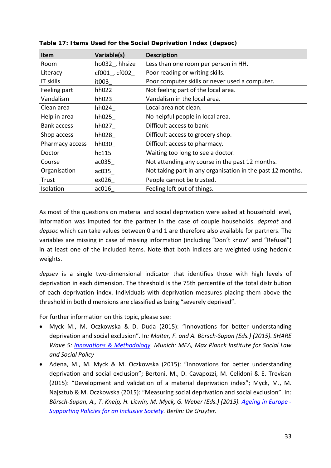| Item               | Variable(s)    | <b>Description</b>                                         |
|--------------------|----------------|------------------------------------------------------------|
| Room               | ho032, hhsize  | Less than one room per person in HH.                       |
| Literacy           | cf001_, cf002_ | Poor reading or writing skills.                            |
| IT skills          | it003          | Poor computer skills or never used a computer.             |
| Feeling part       | hh022_         | Not feeling part of the local area.                        |
| Vandalism          | hh023          | Vandalism in the local area.                               |
| Clean area         | hh024          | Local area not clean.                                      |
| Help in area       | hh025          | No helpful people in local area.                           |
| <b>Bank access</b> | hh027          | Difficult access to bank.                                  |
| Shop access        | hh028_         | Difficult access to grocery shop.                          |
| Pharmacy access    | hh030          | Difficult access to pharmacy.                              |
| Doctor             | hc115          | Waiting too long to see a doctor.                          |
| Course             | ac035_         | Not attending any course in the past 12 months.            |
| Organisation       | ac035          | Not taking part in any organisation in the past 12 months. |
| Trust              | ex026          | People cannot be trusted.                                  |
| Isolation          | ac016          | Feeling left out of things.                                |

<span id="page-32-0"></span>**Table 17: Items Used for the Social Deprivation Index (***depsoc***)**

As most of the questions on material and social deprivation were asked at household level, information was imputed for the partner in the case of couple households. *depmat* and *depsoc* which can take values between 0 and 1 are therefore also available for partners. The variables are missing in case of missing information (including "Don´t know" and "Refusal") in at least one of the included items. Note that both indices are weighted using hedonic weights.

*depsev* is a single two-dimensional indicator that identifies those with high levels of deprivation in each dimension. The threshold is the 75th percentile of the total distribution of each deprivation index. Individuals with deprivation measures placing them above the threshold in both dimensions are classified as being "severely deprived".

For further information on this topic, please see:

- Myck M., M. Oczkowska & D. Duda (2015): "Innovations for better understanding deprivation and social exclusion". In*: Malter, F. and A. Börsch-Supan (Eds.) (2015). SHARE Wave 5: [Innovations & Methodology.](http://www.share-project.org/fileadmin/pdf_documentation/Method_vol5_31March2015.pdf) Munich: MEA, Max Planck Institute for Social Law and Social Policy*
- Adena, M., M. Myck & M. Oczkowska (2015): "Innovations for better understanding deprivation and social exclusion"; Bertoni, M., D. Cavapozzi, M. Celidoni & E. Trevisan (2015): "Development and validation of a material deprivation index"; Myck, M., M. Najsztub & M. Oczkowska (2015): "Measuring social deprivation and social exclusion". In: *Börsch-Supan, A., T. Kneip, H. Litwin, M. Myck, G. Weber (Eds.) (2015). [Ageing in Europe -](http://www.degruyter.com/view/product/462442) [Supporting Policies for an Inclusive Society.](http://www.degruyter.com/view/product/462442) Berlin: De Gruyter.*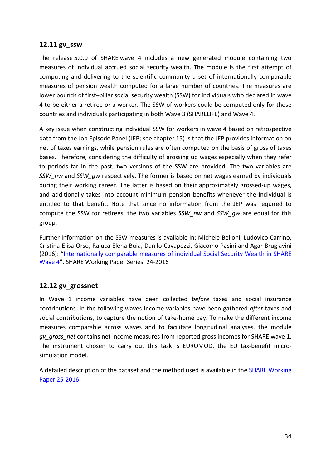#### <span id="page-33-0"></span>**12.11 gv\_ssw**

The release 5.0.0 of SHARE wave 4 includes a new generated module containing two measures of individual accrued social security wealth. The module is the first attempt of computing and delivering to the scientific community a set of internationally comparable measures of pension wealth computed for a large number of countries. The measures are lower bounds of first–pillar social security wealth (SSW) for individuals who declared in wave 4 to be either a retiree or a worker. The SSW of workers could be computed only for those countries and individuals participating in both Wave 3 (SHARELIFE) and Wave 4.

A key issue when constructing individual SSW for workers in wave 4 based on retrospective data from the Job Episode Panel (JEP; see chapter [15\)](#page-58-1) is that the JEP provides information on net of taxes earnings, while pension rules are often computed on the basis of gross of taxes bases. Therefore, considering the difficulty of grossing up wages especially when they refer to periods far in the past, two versions of the SSW are provided. The two variables are *SSW\_nw* and *SSW\_gw* respectively. The former is based on net wages earned by individuals during their working career. The latter is based on their approximately grossed-up wages, and additionally takes into account minimum pension benefits whenever the individual is entitled to that benefit. Note that since no information from the JEP was required to compute the SSW for retirees, the two variables *SSW\_nw* and *SSW\_gw* are equal for this group.

Further information on the SSW measures is available in: Michele Belloni, Ludovico Carrino, Cristina Elisa Orso, Raluca Elena Buia, Danilo Cavapozzi, Giacomo Pasini and Agar Brugiavini (2016): ["Internationally comparable measures of individual Social Security Wealth in SHARE](http://www.share-project.org/uploads/tx_sharepublications/WP_Series_24_2016_Belloni_et_al.pdf)  [Wave 4"](http://www.share-project.org/uploads/tx_sharepublications/WP_Series_24_2016_Belloni_et_al.pdf). SHARE Working Paper Series: 24-2016

### <span id="page-33-1"></span>**12.12 gv\_grossnet**

In Wave 1 income variables have been collected *before* taxes and social insurance contributions. In the following waves income variables have been gathered *after* taxes and social contributions, to capture the notion of take-home pay. To make the different income measures comparable across waves and to facilitate longitudinal analyses, the module *gv\_gross\_net* contains net income measures from reported gross incomes for SHARE wave 1. The instrument chosen to carry out this task is EUROMOD, the EU tax-benefit microsimulation model.

A detailed description of the dataset and the method used is available in the **SHARE Working** [Paper 25-2016](http://www.share-project.org/uploads/tx_sharepublications/WP_Series_25_2016_Bertoni_et_al.pdf)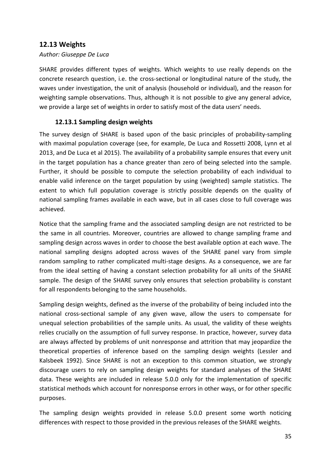### <span id="page-34-0"></span>**12.13 Weights**

#### *Author: Giuseppe De Luca*

SHARE provides different types of weights. Which weights to use really depends on the concrete research question, i.e. the cross-sectional or longitudinal nature of the study, the waves under investigation, the unit of analysis (household or individual), and the reason for weighting sample observations. Thus, although it is not possible to give any general advice, we provide a large set of weights in order to satisfy most of the data users' needs.

#### <span id="page-34-1"></span>**12.13.1 Sampling design weights**

The survey design of SHARE is based upon of the basic principles of probability-sampling with maximal population coverage (see, for example, De Luca and Rossetti 2008, Lynn et al 2013, and De Luca et al 2015). The availability of a probability sample ensures that every unit in the target population has a chance greater than zero of being selected into the sample. Further, it should be possible to compute the selection probability of each individual to enable valid inference on the target population by using (weighted) sample statistics. The extent to which full population coverage is strictly possible depends on the quality of national sampling frames available in each wave, but in all cases close to full coverage was achieved.

Notice that the sampling frame and the associated sampling design are not restricted to be the same in all countries. Moreover, countries are allowed to change sampling frame and sampling design across waves in order to choose the best available option at each wave. The national sampling designs adopted across waves of the SHARE panel vary from simple random sampling to rather complicated multi-stage designs. As a consequence, we are far from the ideal setting of having a constant selection probability for all units of the SHARE sample. The design of the SHARE survey only ensures that selection probability is constant for all respondents belonging to the same households.

Sampling design weights, defined as the inverse of the probability of being included into the national cross-sectional sample of any given wave, allow the users to compensate for unequal selection probabilities of the sample units. As usual, the validity of these weights relies crucially on the assumption of full survey response. In practice, however, survey data are always affected by problems of unit nonresponse and attrition that may jeopardize the theoretical properties of inference based on the sampling design weights (Lessler and Kalsbeek 1992). Since SHARE is not an exception to this common situation, we strongly discourage users to rely on sampling design weights for standard analyses of the SHARE data. These weights are included in release 5.0.0 only for the implementation of specific statistical methods which account for nonresponse errors in other ways, or for other specific purposes.

The sampling design weights provided in release 5.0.0 present some worth noticing differences with respect to those provided in the previous releases of the SHARE weights.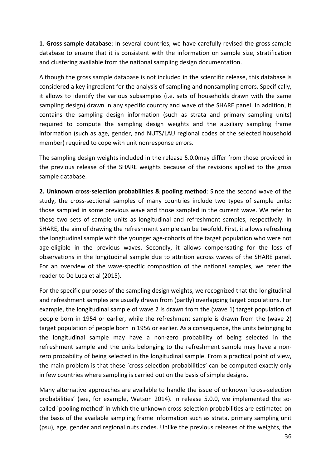**1**. **Gross sample database**: In several countries, we have carefully revised the gross sample database to ensure that it is consistent with the information on sample size, stratification and clustering available from the national sampling design documentation.

Although the gross sample database is not included in the scientific release, this database is considered a key ingredient for the analysis of sampling and nonsampling errors. Specifically, it allows to identify the various subsamples (i.e. sets of households drawn with the same sampling design) drawn in any specific country and wave of the SHARE panel. In addition, it contains the sampling design information (such as strata and primary sampling units) required to compute the sampling design weights and the auxiliary sampling frame information (such as age, gender, and NUTS/LAU regional codes of the selected household member) required to cope with unit nonresponse errors.

The sampling design weights included in the release 5.0.0may differ from those provided in the previous release of the SHARE weights because of the revisions applied to the gross sample database.

**2. Unknown cross-selection probabilities & pooling method**: Since the second wave of the study, the cross-sectional samples of many countries include two types of sample units: those sampled in some previous wave and those sampled in the current wave. We refer to these two sets of sample units as longitudinal and refreshment samples, respectively. In SHARE, the aim of drawing the refreshment sample can be twofold. First, it allows refreshing the longitudinal sample with the younger age-cohorts of the target population who were not age-eligible in the previous waves. Secondly, it allows compensating for the loss of observations in the longitudinal sample due to attrition across waves of the SHARE panel. For an overview of the wave-specific composition of the national samples, we refer the reader to De Luca et al (2015).

For the specific purposes of the sampling design weights, we recognized that the longitudinal and refreshment samples are usually drawn from (partly) overlapping target populations. For example, the longitudinal sample of wave 2 is drawn from the (wave 1) target population of people born in 1954 or earlier, while the refreshment sample is drawn from the (wave 2) target population of people born in 1956 or earlier. As a consequence, the units belonging to the longitudinal sample may have a non-zero probability of being selected in the refreshment sample and the units belonging to the refreshment sample may have a nonzero probability of being selected in the longitudinal sample. From a practical point of view, the main problem is that these `cross-selection probabilities' can be computed exactly only in few countries where sampling is carried out on the basis of simple designs.

Many alternative approaches are available to handle the issue of unknown `cross-selection probabilities' (see, for example, Watson 2014). In release 5.0.0, we implemented the socalled `pooling method' in which the unknown cross-selection probabilities are estimated on the basis of the available sampling frame information such as strata, primary sampling unit (psu), age, gender and regional nuts codes. Unlike the previous releases of the weights, the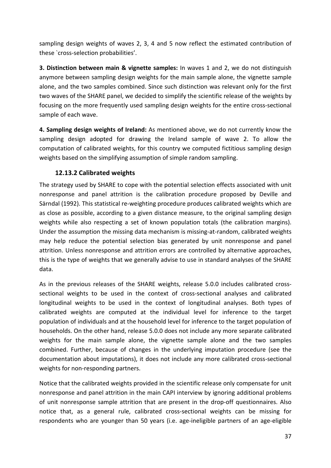sampling design weights of waves 2, 3, 4 and 5 now reflect the estimated contribution of these `cross-selection probabilities'.

**3. Distinction between main & vignette samples:** In waves 1 and 2, we do not distinguish anymore between sampling design weights for the main sample alone, the vignette sample alone, and the two samples combined. Since such distinction was relevant only for the first two waves of the SHARE panel, we decided to simplify the scientific release of the weights by focusing on the more frequently used sampling design weights for the entire cross-sectional sample of each wave.

**4. Sampling design weights of Ireland:** As mentioned above, we do not currently know the sampling design adopted for drawing the Ireland sample of wave 2. To allow the computation of calibrated weights, for this country we computed fictitious sampling design weights based on the simplifying assumption of simple random sampling.

# **12.13.2 Calibrated weights**

The strategy used by SHARE to cope with the potential selection effects associated with unit nonresponse and panel attrition is the calibration procedure proposed by Deville and Särndal (1992). This statistical re-weighting procedure produces calibrated weights which are as close as possible, according to a given distance measure, to the original sampling design weights while also respecting a set of known population totals (the calibration margins). Under the assumption the missing data mechanism is missing-at-random, calibrated weights may help reduce the potential selection bias generated by unit nonresponse and panel attrition. Unless nonresponse and attrition errors are controlled by alternative approaches, this is the type of weights that we generally advise to use in standard analyses of the SHARE data.

As in the previous releases of the SHARE weights, release 5.0.0 includes calibrated crosssectional weights to be used in the context of cross-sectional analyses and calibrated longitudinal weights to be used in the context of longitudinal analyses. Both types of calibrated weights are computed at the individual level for inference to the target population of individuals and at the household level for inference to the target population of households. On the other hand, release 5.0.0 does not include any more separate calibrated weights for the main sample alone, the vignette sample alone and the two samples combined. Further, because of changes in the underlying imputation procedure (see the documentation about imputations), it does not include any more calibrated cross-sectional weights for non-responding partners.

Notice that the calibrated weights provided in the scientific release only compensate for unit nonresponse and panel attrition in the main CAPI interview by ignoring additional problems of unit nonresponse sample attrition that are present in the drop-off questionnaires. Also notice that, as a general rule, calibrated cross-sectional weights can be missing for respondents who are younger than 50 years (i.e. age-ineligible partners of an age-eligible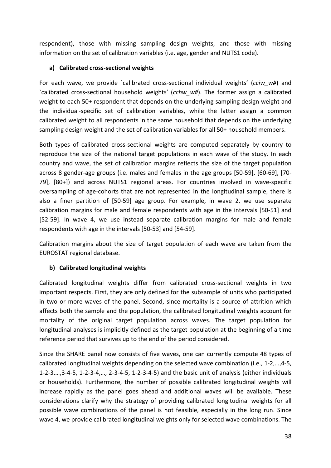respondent), those with missing sampling design weights, and those with missing information on the set of calibration variables (i.e. age, gender and NUTS1 code).

### **a) Calibrated cross-sectional weights**

For each wave, we provide `calibrated cross-sectional individual weights' (*cciw\_w#*) and `calibrated cross-sectional household weights' (*cchw\_w#*). The former assign a calibrated weight to each 50+ respondent that depends on the underlying sampling design weight and the individual-specific set of calibration variables, while the latter assign a common calibrated weight to all respondents in the same household that depends on the underlying sampling design weight and the set of calibration variables for all 50+ household members.

Both types of calibrated cross-sectional weights are computed separately by country to reproduce the size of the national target populations in each wave of the study. In each country and wave, the set of calibration margins reflects the size of the target population across 8 gender-age groups (i.e. males and females in the age groups [50-59], [60-69], [70- 79], [80+]) and across NUTS1 regional areas. For countries involved in wave-specific oversampling of age-cohorts that are not represented in the longitudinal sample, there is also a finer partition of [50-59] age group. For example, in wave 2, we use separate calibration margins for male and female respondents with age in the intervals [50-51] and [52-59]. In wave 4, we use instead separate calibration margins for male and female respondents with age in the intervals [50-53] and [54-59].

Calibration margins about the size of target population of each wave are taken from the EUROSTAT regional database.

### **b) Calibrated longitudinal weights**

Calibrated longitudinal weights differ from calibrated cross-sectional weights in two important respects. First, they are only defined for the subsample of units who participated in two or more waves of the panel. Second, since mortality is a source of attrition which affects both the sample and the population, the calibrated longitudinal weights account for mortality of the original target population across waves. The target population for longitudinal analyses is implicitly defined as the target population at the beginning of a time reference period that survives up to the end of the period considered.

Since the SHARE panel now consists of five waves, one can currently compute 48 types of calibrated longitudinal weights depending on the selected wave combination (i.e., 1-2,…,4-5, 1-2-3,…,3-4-5, 1-2-3-4,…, 2-3-4-5, 1-2-3-4-5) and the basic unit of analysis (either individuals or households). Furthermore, the number of possible calibrated longitudinal weights will increase rapidly as the panel goes ahead and additional waves will be available. These considerations clarify why the strategy of providing calibrated longitudinal weights for all possible wave combinations of the panel is not feasible, especially in the long run. Since wave 4, we provide calibrated longitudinal weights only for selected wave combinations. The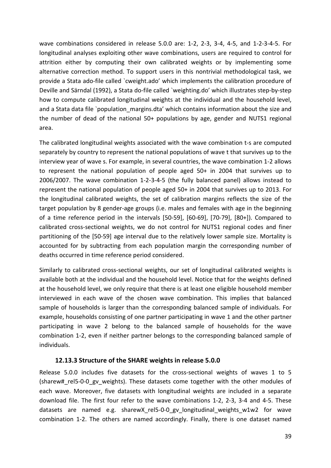wave combinations considered in release 5.0.0 are: 1-2, 2-3, 3-4, 4-5, and 1-2-3-4-5. For longitudinal analyses exploiting other wave combinations, users are required to control for attrition either by computing their own calibrated weights or by implementing some alternative correction method. To support users in this nontrivial methodological task, we provide a Stata ado-file called `cweight.ado' which implements the calibration procedure of Deville and Särndal (1992), a Stata do-file called `weighting.do' which illustrates step-by-step how to compute calibrated longitudinal weights at the individual and the household level, and a Stata data file `population margins.dta' which contains information about the size and the number of dead of the national 50+ populations by age, gender and NUTS1 regional area.

The calibrated longitudinal weights associated with the wave combination t-s are computed separately by country to represent the national populations of wave t that survives up to the interview year of wave s. For example, in several countries, the wave combination 1-2 allows to represent the national population of people aged 50+ in 2004 that survives up to 2006/2007. The wave combination 1-2-3-4-5 (the fully balanced panel) allows instead to represent the national population of people aged 50+ in 2004 that survives up to 2013. For the longitudinal calibrated weights, the set of calibration margins reflects the size of the target population by 8 gender-age groups (i.e. males and females with age in the beginning of a time reference period in the intervals [50-59], [60-69], [70-79], [80+]). Compared to calibrated cross-sectional weights, we do not control for NUTS1 regional codes and finer partitioning of the [50-59] age interval due to the relatively lower sample size. Mortality is accounted for by subtracting from each population margin the corresponding number of deaths occurred in time reference period considered.

Similarly to calibrated cross-sectional weights, our set of longitudinal calibrated weights is available both at the individual and the household level. Notice that for the weights defined at the household level, we only require that there is at least one eligible household member interviewed in each wave of the chosen wave combination. This implies that balanced sample of households is larger than the corresponding balanced sample of individuals. For example, households consisting of one partner participating in wave 1 and the other partner participating in wave 2 belong to the balanced sample of households for the wave combination 1-2, even if neither partner belongs to the corresponding balanced sample of individuals.

### **12.13.3 Structure of the SHARE weights in release 5.0.0**

Release 5.0.0 includes five datasets for the cross-sectional weights of waves 1 to 5 (sharew#\_rel5-0-0\_gv\_weights). These datasets come together with the other modules of each wave. Moreover, five datasets with longitudinal weights are included in a separate download file. The first four refer to the wave combinations 1-2, 2-3, 3-4 and 4-5. These datasets are named e.g. sharewX rel5-0-0 gv longitudinal weights w1w2 for wave combination 1-2. The others are named accordingly. Finally, there is one dataset named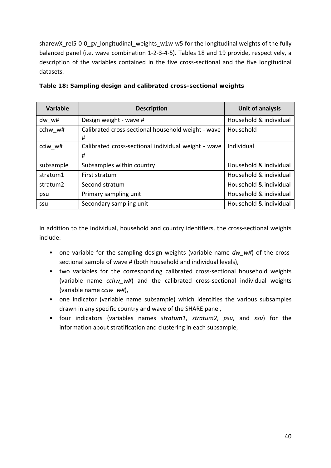sharewX\_rel5-0-0\_gv\_longitudinal\_weights\_w1w-w5 for the longitudinal weights of the fully balanced panel (i.e. wave combination 1-2-3-4-5). Tables 18 and 19 provide, respectively, a description of the variables contained in the five cross-sectional and the five longitudinal datasets.

| <b>Variable</b>      | <b>Description</b>                                       | <b>Unit of analysis</b> |
|----------------------|----------------------------------------------------------|-------------------------|
| dw w#                | Design weight - wave #                                   | Household & individual  |
| cchw w#              | Calibrated cross-sectional household weight - wave<br>#  | Household               |
| cciw w#              | Calibrated cross-sectional individual weight - wave<br># | Individual              |
| subsample            | Subsamples within country                                | Household & individual  |
| stratum1             | First stratum                                            | Household & individual  |
| stratum <sub>2</sub> | Second stratum                                           | Household & individual  |
| psu                  | Primary sampling unit                                    | Household & individual  |
| ssu                  | Secondary sampling unit                                  | Household & individual  |

**Table 18: Sampling design and calibrated cross-sectional weights**

In addition to the individual, household and country identifiers, the cross-sectional weights include:

- one variable for the sampling design weights (variable name dw w#) of the crosssectional sample of wave # (both household and individual levels),
- two variables for the corresponding calibrated cross-sectional household weights (variable name *cchw\_w#*) and the calibrated cross-sectional individual weights (variable name *cciw\_w#*),
- one indicator (variable name subsample) which identifies the various subsamples drawn in any specific country and wave of the SHARE panel,
- four indicators (variables names *stratum1*, *stratum2*, *psu*, and *ssu*) for the information about stratification and clustering in each subsample,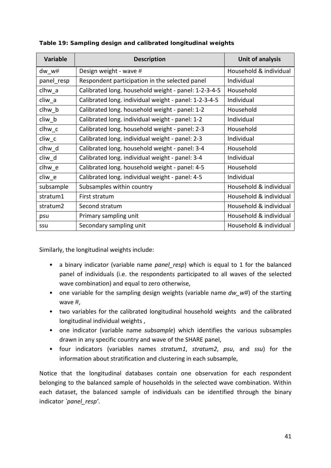| <b>Variable</b> | <b>Description</b>                                    | <b>Unit of analysis</b> |
|-----------------|-------------------------------------------------------|-------------------------|
| dw w#           | Design weight - wave #                                | Household & individual  |
| panel resp      | Respondent participation in the selected panel        | Individual              |
| clhw a          | Calibrated long. household weight - panel: 1-2-3-4-5  | Household               |
| cliw_a          | Calibrated long. individual weight - panel: 1-2-3-4-5 | Individual              |
| clhw b          | Calibrated long. household weight - panel: 1-2        | Household               |
| cliw_b          | Calibrated long. individual weight - panel: 1-2       | Individual              |
| clhw c          | Calibrated long. household weight - panel: 2-3        | Household               |
| $cliw_{c}$      | Calibrated long. individual weight - panel: 2-3       | Individual              |
| clhw d          | Calibrated long. household weight - panel: 3-4        | Household               |
| cliw d          | Calibrated long. individual weight - panel: 3-4       | Individual              |
| clhw e          | Calibrated long. household weight - panel: 4-5        | Household               |
| cliw e          | Calibrated long. individual weight - panel: 4-5       | Individual              |
| subsample       | Subsamples within country                             | Household & individual  |
| stratum1        | First stratum                                         | Household & individual  |
| stratum2        | Second stratum                                        | Household & individual  |
| psu             | Primary sampling unit                                 | Household & individual  |
| ssu             | Secondary sampling unit                               | Household & individual  |

### **Table 19: Sampling design and calibrated longitudinal weights**

Similarly, the longitudinal weights include:

- a binary indicator (variable name *panel resp*) which is equal to 1 for the balanced panel of individuals (i.e. the respondents participated to all waves of the selected wave combination) and equal to zero otherwise,
- one variable for the sampling design weights (variable name *dw\_w#*) of the starting wave #,
- two variables for the calibrated longitudinal household weights and the calibrated longitudinal individual weights ,
- one indicator (variable name *subsample*) which identifies the various subsamples drawn in any specific country and wave of the SHARE panel,
- four indicators (variables names *stratum1*, *stratum2*, *psu*, and *ssu*) for the information about stratification and clustering in each subsample,

Notice that the longitudinal databases contain one observation for each respondent belonging to the balanced sample of households in the selected wave combination. Within each dataset, the balanced sample of individuals can be identified through the binary indicator *`panel\_resp'*.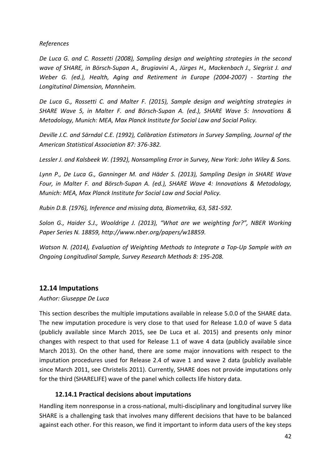*References*

*De Luca G. and C. Rossetti (2008), Sampling design and weighting strategies in the second wave of SHARE, in Börsch-Supan A., Brugiavini A., Jürges H., Mackenbach J., Siegrist J. and Weber G. (ed.), Health, Aging and Retirement in Europe (2004-2007) - Starting the Longitutinal Dimension, Mannheim.*

*De Luca G., Rossetti C. and Malter F. (2015), Sample design and weighting strategies in SHARE Wave 5, in Malter F. and Börsch-Supan A. (ed.), SHARE Wave 5: Innovations & Metodology, Munich: MEA, Max Planck Institute for Social Law and Social Policy.*

*Deville J.C. and Särndal C.E. (1992), Calibration Estimators in Survey Sampling, Journal of the American Statistical Association 87: 376-382.* 

*Lessler J. and Kalsbeek W. (1992), Nonsampling Error in Survey, New York: John Wiley & Sons.* 

*Lynn P., De Luca G., Ganninger M. and Häder S. (2013), Sampling Design in SHARE Wave Four, in Malter F. and Börsch-Supan A. (ed.), SHARE Wave 4: Innovations & Metodology, Munich: MEA, Max Planck Institute for Social Law and Social Policy.*

*Rubin D.B. (1976), Inference and missing data, Biometrika, 63, 581-592.*

*Solon G., Haider S.J., Wooldrige J. (2013), "What are we weighting for?", NBER Working Paper Series N. 18859, http://www.nber.org/papers/w18859.* 

*Watson N. (2014), Evaluation of Weighting Methods to Integrate a Top-Up Sample with an Ongoing Longitudinal Sample, Survey Research Methods 8: 195-208.*

# **12.14 Imputations**

*Author: Giuseppe De Luca*

This section describes the multiple imputations available in release 5.0.0 of the SHARE data. The new imputation procedure is very close to that used for Release 1.0.0 of wave 5 data (publicly available since March 2015, see De Luca et al. 2015) and presents only minor changes with respect to that used for Release 1.1 of wave 4 data (publicly available since March 2013). On the other hand, there are some major innovations with respect to the imputation procedures used for Release 2.4 of wave 1 and wave 2 data (publicly available since March 2011, see Christelis 2011). Currently, SHARE does not provide imputations only for the third (SHARELIFE) wave of the panel which collects life history data.

### **12.14.1 Practical decisions about imputations**

Handling item nonresponse in a cross-national, multi-disciplinary and longitudinal survey like SHARE is a challenging task that involves many different decisions that have to be balanced against each other. For this reason, we find it important to inform data users of the key steps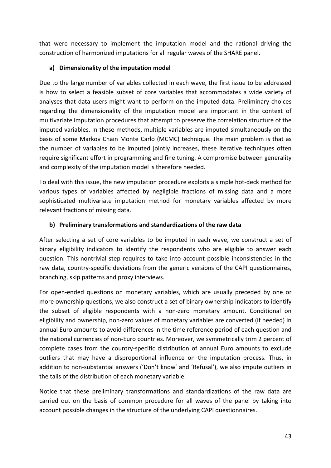that were necessary to implement the imputation model and the rational driving the construction of harmonized imputations for all regular waves of the SHARE panel.

### **a) Dimensionality of the imputation model**

Due to the large number of variables collected in each wave, the first issue to be addressed is how to select a feasible subset of core variables that accommodates a wide variety of analyses that data users might want to perform on the imputed data. Preliminary choices regarding the dimensionality of the imputation model are important in the context of multivariate imputation procedures that attempt to preserve the correlation structure of the imputed variables. In these methods, multiple variables are imputed simultaneously on the basis of some Markov Chain Monte Carlo (MCMC) technique. The main problem is that as the number of variables to be imputed jointly increases, these iterative techniques often require significant effort in programming and fine tuning. A compromise between generality and complexity of the imputation model is therefore needed.

To deal with this issue, the new imputation procedure exploits a simple hot-deck method for various types of variables affected by negligible fractions of missing data and a more sophisticated multivariate imputation method for monetary variables affected by more relevant fractions of missing data.

### **b) Preliminary transformations and standardizations of the raw data**

After selecting a set of core variables to be imputed in each wave, we construct a set of binary eligibility indicators to identify the respondents who are eligible to answer each question. This nontrivial step requires to take into account possible inconsistencies in the raw data, country-specific deviations from the generic versions of the CAPI questionnaires, branching, skip patterns and proxy interviews.

For open-ended questions on monetary variables, which are usually preceded by one or more ownership questions, we also construct a set of binary ownership indicators to identify the subset of eligible respondents with a non-zero monetary amount. Conditional on eligibility and ownership, non-zero values of monetary variables are converted (if needed) in annual Euro amounts to avoid differences in the time reference period of each question and the national currencies of non-Euro countries. Moreover, we symmetrically trim 2 percent of complete cases from the country-specific distribution of annual Euro amounts to exclude outliers that may have a disproportional influence on the imputation process. Thus, in addition to non-substantial answers ('Don't know' and 'Refusal'), we also impute outliers in the tails of the distribution of each monetary variable.

Notice that these preliminary transformations and standardizations of the raw data are carried out on the basis of common procedure for all waves of the panel by taking into account possible changes in the structure of the underlying CAPI questionnaires.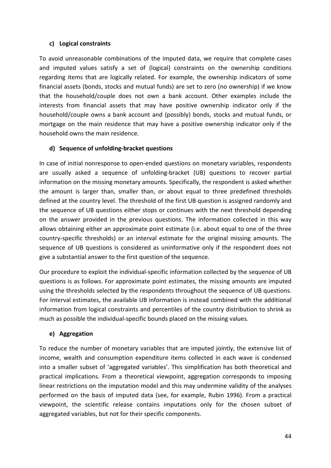### **c) Logical constraints**

To avoid unreasonable combinations of the imputed data, we require that complete cases and imputed values satisfy a set of (logical) constraints on the ownership conditions regarding items that are logically related. For example, the ownership indicators of some financial assets (bonds, stocks and mutual funds) are set to zero (no ownership) if we know that the household/couple does not own a bank account. Other examples include the interests from financial assets that may have positive ownership indicator only if the household/couple owns a bank account and (possibly) bonds, stocks and mutual funds, or mortgage on the main residence that may have a positive ownership indicator only if the household owns the main residence.

### **d) Sequence of unfolding-bracket questions**

In case of initial nonresponse to open-ended questions on monetary variables, respondents are usually asked a sequence of unfolding-bracket (UB) questions to recover partial information on the missing monetary amounts. Specifically, the respondent is asked whether the amount is larger than, smaller than, or about equal to three predefined thresholds defined at the country level. The threshold of the first UB question is assigned randomly and the sequence of UB questions either stops or continues with the next threshold depending on the answer provided in the previous questions. The information collected in this way allows obtaining either an approximate point estimate (i.e. about equal to one of the three country-specific thresholds) or an interval estimate for the original missing amounts. The sequence of UB questions is considered as uninformative only if the respondent does not give a substantial answer to the first question of the sequence.

Our procedure to exploit the individual-specific information collected by the sequence of UB questions is as follows. For approximate point estimates, the missing amounts are imputed using the thresholds selected by the respondents throughout the sequence of UB questions. For interval estimates, the available UB information is instead combined with the additional information from logical constraints and percentiles of the country distribution to shrink as much as possible the individual-specific bounds placed on the missing values.

### **e) Aggregation**

To reduce the number of monetary variables that are imputed jointly, the extensive list of income, wealth and consumption expenditure items collected in each wave is condensed into a smaller subset of 'aggregated variables'. This simplification has both theoretical and practical implications. From a theoretical viewpoint, aggregation corresponds to imposing linear restrictions on the imputation model and this may undermine validity of the analyses performed on the basis of imputed data (see, for example, Rubin 1996). From a practical viewpoint, the scientific release contains imputations only for the chosen subset of aggregated variables, but not for their specific components.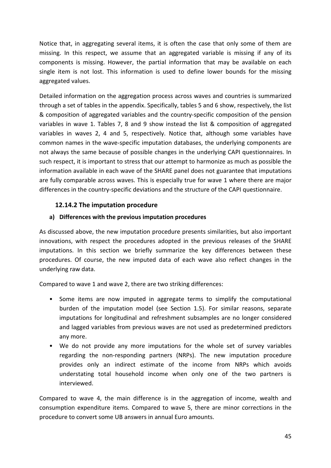Notice that, in aggregating several items, it is often the case that only some of them are missing. In this respect, we assume that an aggregated variable is missing if any of its components is missing. However, the partial information that may be available on each single item is not lost. This information is used to define lower bounds for the missing aggregated values.

Detailed information on the aggregation process across waves and countries is summarized through a set of tables in the appendix. Specifically, tables 5 and 6 show, respectively, the list & composition of aggregated variables and the country-specific composition of the pension variables in wave 1. Tables 7, 8 and 9 show instead the list & composition of aggregated variables in waves 2, 4 and 5, respectively. Notice that, although some variables have common names in the wave-specific imputation databases, the underlying components are not always the same because of possible changes in the underlying CAPI questionnaires. In such respect, it is important to stress that our attempt to harmonize as much as possible the information available in each wave of the SHARE panel does not guarantee that imputations are fully comparable across waves. This is especially true for wave 1 where there are major differences in the country-specific deviations and the structure of the CAPI questionnaire.

## **12.14.2 The imputation procedure**

### **a) Differences with the previous imputation procedures**

As discussed above, the new imputation procedure presents similarities, but also important innovations, with respect the procedures adopted in the previous releases of the SHARE imputations. In this section we briefly summarize the key differences between these procedures. Of course, the new imputed data of each wave also reflect changes in the underlying raw data.

Compared to wave 1 and wave 2, there are two striking differences:

- Some items are now imputed in aggregate terms to simplify the computational burden of the imputation model (see Section 1.5). For similar reasons, separate imputations for longitudinal and refreshment subsamples are no longer considered and lagged variables from previous waves are not used as predetermined predictors any more.
- We do not provide any more imputations for the whole set of survey variables regarding the non-responding partners (NRPs). The new imputation procedure provides only an indirect estimate of the income from NRPs which avoids understating total household income when only one of the two partners is interviewed.

Compared to wave 4, the main difference is in the aggregation of income, wealth and consumption expenditure items. Compared to wave 5, there are minor corrections in the procedure to convert some UB answers in annual Euro amounts.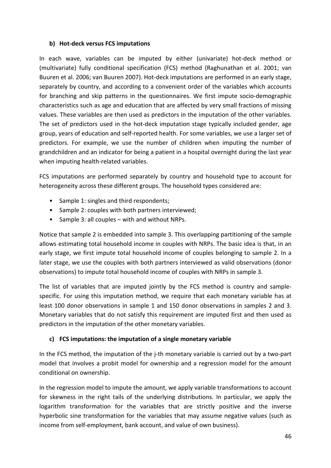#### **b) Hot-deck versus FCS imputations**

In each wave, variables can be imputed by either (univariate) hot-deck method or (multivariate) fully conditional specification (FCS) method (Raghunathan et al. 2001; van Buuren et al. 2006; van Buuren 2007). Hot-deck imputations are performed in an early stage, separately by country, and according to a convenient order of the variables which accounts for branching and skip patterns in the questionnaires. We first impute socio-demographic characteristics such as age and education that are affected by very small fractions of missing values. These variables are then used as predictors in the imputation of the other variables. The set of predictors used in the hot-deck imputation stage typically included gender, age group, years of education and self-reported health. For some variables, we use a larger set of predictors. For example, we use the number of children when imputing the number of grandchildren and an indicator for being a patient in a hospital overnight during the last year when imputing health-related variables.

FCS imputations are performed separately by country and household type to account for heterogeneity across these different groups. The household types considered are:

- Sample 1: singles and third respondents;
- Sample 2: couples with both partners interviewed;
- Sample 3: all couples with and without NRPs.

Notice that sample 2 is embedded into sample 3. This overlapping partitioning of the sample allows estimating total household income in couples with NRPs. The basic idea is that, in an early stage, we first impute total household income of couples belonging to sample 2. In a later stage, we use the couples with both partners interviewed as valid observations (donor observations) to impute total household income of couples with NRPs in sample 3.

The list of variables that are imputed jointly by the FCS method is country and samplespecific. For using this imputation method, we require that each monetary variable has at least 100 donor observations in sample 1 and 150 donor observations in samples 2 and 3. Monetary variables that do not satisfy this requirement are imputed first and then used as predictors in the imputation of the other monetary variables.

### **c) FCS imputations: the imputation of a single monetary variable**

In the FCS method, the imputation of the j-th monetary variable is carried out by a two-part model that involves a probit model for ownership and a regression model for the amount conditional on ownership.

In the regression model to impute the amount, we apply variable transformations to account for skewness in the right tails of the underlying distributions. In particular, we apply the logarithm transformation for the variables that are strictly positive and the inverse hyperbolic sine transformation for the variables that may assume negative values (such as income from self-employment, bank account, and value of own business).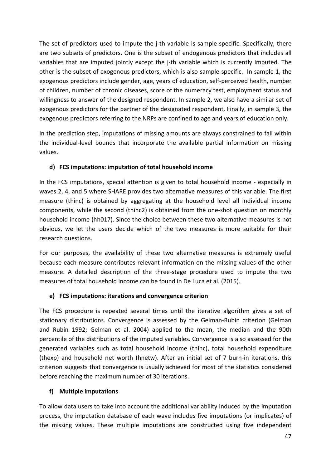The set of predictors used to impute the j-th variable is sample-specific. Specifically, there are two subsets of predictors. One is the subset of endogenous predictors that includes all variables that are imputed jointly except the j-th variable which is currently imputed. The other is the subset of exogenous predictors, which is also sample-specific. In sample 1, the exogenous predictors include gender, age, years of education, self-perceived health, number of children, number of chronic diseases, score of the numeracy test, employment status and willingness to answer of the designed respondent. In sample 2, we also have a similar set of exogenous predictors for the partner of the designated respondent. Finally, in sample 3, the exogenous predictors referring to the NRPs are confined to age and years of education only.

In the prediction step, imputations of missing amounts are always constrained to fall within the individual-level bounds that incorporate the available partial information on missing values.

### **d) FCS imputations: imputation of total household income**

In the FCS imputations, special attention is given to total household income - especially in waves 2, 4, and 5 where SHARE provides two alternative measures of this variable. The first measure (thinc) is obtained by aggregating at the household level all individual income components, while the second (thinc2) is obtained from the one-shot question on monthly household income (hh017). Since the choice between these two alternative measures is not obvious, we let the users decide which of the two measures is more suitable for their research questions.

For our purposes, the availability of these two alternative measures is extremely useful because each measure contributes relevant information on the missing values of the other measure. A detailed description of the three-stage procedure used to impute the two measures of total household income can be found in De Luca et al. (2015).

### **e) FCS imputations: iterations and convergence criterion**

The FCS procedure is repeated several times until the iterative algorithm gives a set of stationary distributions. Convergence is assessed by the Gelman-Rubin criterion (Gelman and Rubin 1992; Gelman et al. 2004) applied to the mean, the median and the 90th percentile of the distributions of the imputed variables. Convergence is also assessed for the generated variables such as total household income (thinc), total household expenditure (thexp) and household net worth (hnetw). After an initial set of 7 burn-in iterations, this criterion suggests that convergence is usually achieved for most of the statistics considered before reaching the maximum number of 30 iterations.

### **f) Multiple imputations**

To allow data users to take into account the additional variability induced by the imputation process, the imputation database of each wave includes five imputations (or implicates) of the missing values. These multiple imputations are constructed using five independent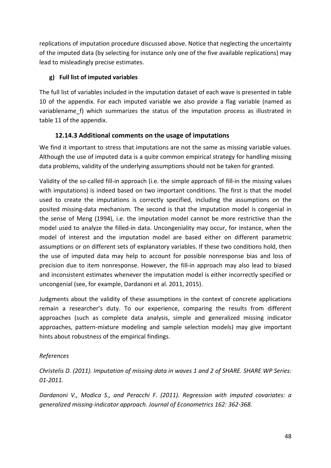replications of imputation procedure discussed above. Notice that neglecting the uncertainty of the imputed data (by selecting for instance only one of the five available replications) may lead to misleadingly precise estimates.

### **g) Full list of imputed variables**

The full list of variables included in the imputation dataset of each wave is presented in table 10 of the appendix. For each imputed variable we also provide a flag variable (named as variablename f) which summarizes the status of the imputation process as illustrated in table 11 of the appendix.

## **12.14.3 Additional comments on the usage of imputations**

We find it important to stress that imputations are not the same as missing variable values. Although the use of imputed data is a quite common empirical strategy for handling missing data problems, validity of the underlying assumptions should not be taken for granted.

Validity of the so-called fill-in approach (i.e. the simple approach of fill-in the missing values with imputations) is indeed based on two important conditions. The first is that the model used to create the imputations is correctly specified, including the assumptions on the posited missing-data mechanism. The second is that the imputation model is congenial in the sense of Meng (1994), i.e. the imputation model cannot be more restrictive than the model used to analyze the filled-in data. Uncongeniality may occur, for instance, when the model of interest and the imputation model are based either on different parametric assumptions or on different sets of explanatory variables. If these two conditions hold, then the use of imputed data may help to account for possible nonresponse bias and loss of precision due to item nonresponse. However, the fill-in approach may also lead to biased and inconsistent estimates whenever the imputation model is either incorrectly specified or uncongenial (see, for example, Dardanoni et al. 2011, 2015).

Judgments about the validity of these assumptions in the context of concrete applications remain a researcher's duty. To our experience, comparing the results from different approaches (such as complete data analysis, simple and generalized missing indicator approaches, pattern-mixture modeling and sample selection models) may give important hints about robustness of the empirical findings.

### *References*

*Christelis D. (2011). Imputation of missing data in waves 1 and 2 of SHARE. SHARE WP Series: 01-2011.*

*Dardanoni V., Modica S., and Peracchi F. (2011). Regression with imputed covariates: a generalized missing-indicator approach. Journal of Econometrics 162: 362-368.*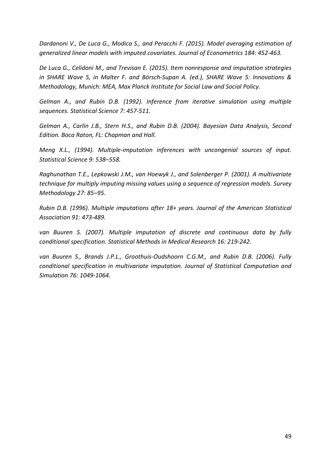*Dardanoni V., De Luca G., Modica S., and Peracchi F. (2015). Model averaging estimation of generalized linear models with imputed covariates. Journal of Econometrics 184: 452-463.* 

*De Luca G., Celidoni M., and Trevisan E. (2015). Item nonresponse and imputation strategies in SHARE Wave 5, in Malter F. and Börsch-Supan A. (ed.), SHARE Wave 5: Innovations & Methodology, Munich: MEA, Max Planck Institute for Social Law and Social Policy.* 

*Gelman A., and Rubin D.B. (1992). Inference from iterative simulation using multiple sequences. Statistical Science 7: 457-511.*

*Gelman A., Carlin J.B., Stern H.S., and Rubin D.B. (2004). Bayesian Data Analysis, Second Edition. Boca Raton, FL: Chapman and Hall.*

*Meng X.L., (1994). Multiple-imputation inferences with uncongenial sources of input. Statistical Science 9: 538–558.*

*Raghunathan T.E., Lepkowski J.M., van Hoewyk J., and Solenberger P. (2001). A multivariate technique for multiply imputing missing values using a sequence of regression models. Survey Methodology 27: 85–95.*

*Rubin D.B. (1996). Multiple imputations after 18+ years. Journal of the American Statistical Association 91: 473-489.* 

*van Buuren S. (2007). Multiple imputation of discrete and continuous data by fully conditional specification. Statistical Methods in Medical Research 16: 219-242.*

*van Buuren S., Brands J.P.L., Groothuis-Oudshoorn C.G.M., and Rubin D.B. (2006). Fully conditional specification in multivariate imputation. Journal of Statistical Computation and Simulation 76: 1049-1064.*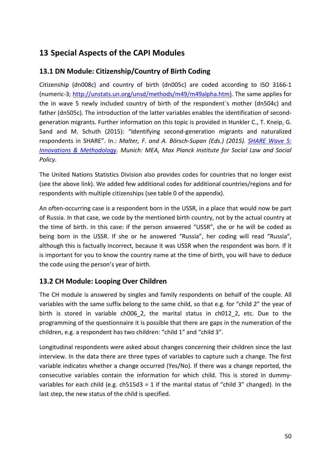# **13 Special Aspects of the CAPI Modules**

# **13.1 DN Module: Citizenship/Country of Birth Coding**

Citizenship (dn008c) and country of birth (dn005c) are coded according to ISO 3166-1 (numeric-3; [http://unstats.un.org/unsd/methods/m49/m49alpha.htm\)](http://unstats.un.org/unsd/methods/m49/m49alpha.htm). The same applies for the in wave 5 newly included country of birth of the respondent´s mother (dn504c) and father (dn505c). The introduction of the latter variables enables the identification of secondgeneration migrants. Further information on this topic is provided in Hunkler C., T. Kneip, G. Sand and M. Schuth (2015): "Identifying second-generation migrants and naturalized respondents in SHARE". In.: *Malter, F. and A. Börsch-Supan (Eds.) (2015). [SHARE Wave 5:](http://www.share-project.org/fileadmin/pdf_documentation/Method_vol5_31March2015.pdf)  [Innovations & Methodology.](http://www.share-project.org/fileadmin/pdf_documentation/Method_vol5_31March2015.pdf) Munich: MEA, Max Planck Institute for Social Law and Social Policy.*

The United Nations Statistics Division also provides codes for countries that no longer exist (see the above link). We added few additional codes for additional countries/regions and for respondents with multiple citizenships (see table [0](#page-64-0) of the appendix).

An often-occurring case is a respondent born in the USSR, in a place that would now be part of Russia. In that case, we code by the mentioned birth country, not by the actual country at the time of birth. In this case: if the person answered "USSR", she or he will be coded as being born in the USSR. If she or he answered "Russia", her coding will read "Russia", although this is factually incorrect, because it was USSR when the respondent was born. If it is important for you to know the country name at the time of birth, you will have to deduce the code using the person's year of birth.

# **13.2 CH Module: Looping Over Children**

The CH module is answered by singles and family respondents on behalf of the couple. All variables with the same suffix belong to the same child, so that e.g. for "child 2" the year of birth is stored in variable ch006 2, the marital status in ch012 2, etc. Due to the programming of the questionnaire it is possible that there are gaps in the numeration of the children, e.g. a respondent has two children: "child 1" and "child 3".

Longitudinal respondents were asked about changes concerning their children since the last interview. In the data there are three types of variables to capture such a change. The first variable indicates whether a change occurred (Yes/No). If there was a change reported, the consecutive variables contain the information for which child. This is stored in dummyvariables for each child (e.g.  $ch515d3 = 1$  if the marital status of "child 3" changed). In the last step, the new status of the child is specified.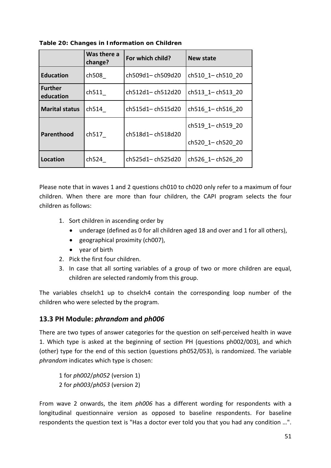|                             | Was there a<br>change? | For which child? | New state        |
|-----------------------------|------------------------|------------------|------------------|
| <b>Education</b>            | ch508                  | ch509d1-ch509d20 | ch510 1-ch510 20 |
| <b>Further</b><br>education | ch511                  | ch512d1-ch512d20 | ch513 1-ch513 20 |
| <b>Marital status</b>       | ch514                  | ch515d1-ch515d20 | ch516 1-ch516 20 |
|                             |                        |                  | ch519 1-ch519 20 |
| Parenthood                  | ch517                  | ch518d1-ch518d20 | ch520 1-ch520 20 |
| Location                    | ch524                  | ch525d1-ch525d20 | ch526 1-ch526 20 |

**Table 20: Changes in Information on Children**

Please note that in waves 1 and 2 questions ch010 to ch020 only refer to a maximum of four children. When there are more than four children, the CAPI program selects the four children as follows:

- 1. Sort children in ascending order by
	- underage (defined as 0 for all children aged 18 and over and 1 for all others),
	- geographical proximity (ch007),
	- year of birth
- 2. Pick the first four children.
- 3. In case that all sorting variables of a group of two or more children are equal, children are selected randomly from this group.

The variables chselch1 up to chselch4 contain the corresponding loop number of the children who were selected by the program.

### **13.3 PH Module:** *phrandom* **and** *ph006*

There are two types of answer categories for the question on self-perceived health in wave 1. Which type is asked at the beginning of section PH (questions ph002/003), and which (other) type for the end of this section (questions ph052/053), is randomized. The variable *phrandom* indicates which type is chosen:

1 for *ph002*/*ph052* (version 1) 2 for *ph003*/*ph053* (version 2)

From wave 2 onwards, the item *ph006* has a different wording for respondents with a longitudinal questionnaire version as opposed to baseline respondents. For baseline respondents the question text is "Has a doctor ever told you that you had any condition …".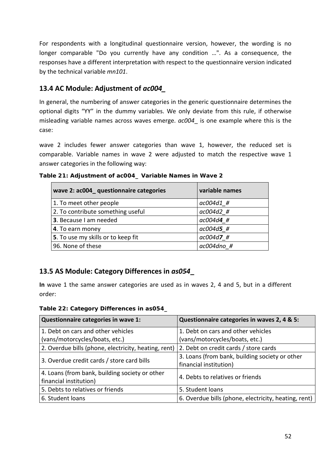For respondents with a longitudinal questionnaire version, however, the wording is no longer comparable "Do you currently have any condition …". As a consequence, the responses have a different interpretation with respect to the questionnaire version indicated by the technical variable *mn101*.

# **13.4 AC Module: Adjustment of** *ac004\_*

In general, the numbering of answer categories in the generic questionnaire determines the optional digits "YY" in the dummy variables. We only deviate from this rule, if otherwise misleading variable names across waves emerge. *ac004*\_ is one example where this is the case:

wave 2 includes fewer answer categories than wave 1, however, the reduced set is comparable. Variable names in wave 2 were adjusted to match the respective wave 1 answer categories in the following way:

| wave 2: ac004 questionnaire categories | variable names |
|----------------------------------------|----------------|
| 1. To meet other people                | ac004d1 #      |
| 2. To contribute something useful      | ac004d2 #      |
| 3. Because I am needed                 | $ac004d4$ #    |
| 4. To earn money                       | $ac004d5$ #    |
| 5. To use my skills or to keep fit     | $ac004d7$ #    |
| 96. None of these                      | ac004dno #     |

**Table 21: Adjustment of** *ac004***\_ Variable Names in Wave 2** 

# **13.5 AS Module: Category Differences in** *as054***\_**

**In** wave 1 the same answer categories are used as in waves 2, 4 and 5, but in a different order:

| Table 22: Category Differences in as054_ |  |  |  |  |  |
|------------------------------------------|--|--|--|--|--|
|------------------------------------------|--|--|--|--|--|

| Questionnaire categories in wave 1:                  | Questionnaire categories in waves 2, 4 & 5:          |
|------------------------------------------------------|------------------------------------------------------|
| 1. Debt on cars and other vehicles                   | 1. Debt on cars and other vehicles                   |
| (vans/motorcycles/boats, etc.)                       | (vans/motorcycles/boats, etc.)                       |
| 2. Overdue bills (phone, electricity, heating, rent) | 2. Debt on credit cards / store cards                |
| 3. Overdue credit cards / store card bills           | 3. Loans (from bank, building society or other       |
|                                                      | financial institution)                               |
| 4. Loans (from bank, building society or other       | 4. Debts to relatives or friends                     |
| financial institution)                               |                                                      |
| 5. Debts to relatives or friends                     | 5. Student loans                                     |
| 6. Student loans                                     | 6. Overdue bills (phone, electricity, heating, rent) |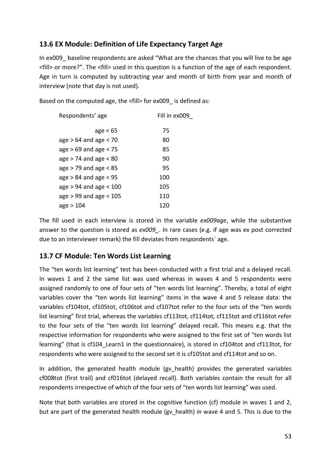# **13.6 EX Module: Definition of Life Expectancy Target Age**

In ex009 baseline respondents are asked "What are the chances that you will live to be age <fill> or more?". The <fill> used in this question is a function of the age of each respondent. Age in turn is computed by subtracting year and month of birth from year and month of interview (note that day is not used).

Based on the computed age, the <fill> for ex009 is defined as:

| Respondents' age           | Fill in ex009 |
|----------------------------|---------------|
|                            |               |
| age $< 65$                 | 75            |
| $age > 64$ and age $< 70$  | 80            |
| age $> 69$ and age $< 75$  | 85            |
| age $> 74$ and age $< 80$  | 90            |
| age $>$ 79 and age $<$ 85  | 95            |
| $age > 84$ and age $< 95$  | 100           |
| age $> 94$ and age $< 100$ | 105           |
| age $> 99$ and age $< 105$ | 110           |
| age $>104$                 | 120           |

The fill used in each interview is stored in the variable *ex009age*, while the substantive answer to the question is stored as  $ex009$ . In rare cases (e.g. if age was ex post corrected due to an interviewer remark) the fill deviates from respondents´ age.

# **13.7 CF Module: Ten Words List Learning**

The "ten words list learning" test has been conducted with a first trial and a delayed recall. In waves 1 and 2 the same list was used whereas in waves 4 and 5 respondents were assigned randomly to one of four sets of "ten words list learning". Thereby, a total of eight variables cover the "ten words list learning" items in the wave 4 and 5 release data: the variables cf104tot, cf105tot, cf106tot and cf107tot refer to the four sets of the "ten words list learning" first trial, whereas the variables cf113tot, cf114tot, cf115tot and cf116tot refer to the four sets of the "ten words list learning" delayed recall. This means e.g. that the respective information for respondents who were assigned to the first set of "ten words list learning" (that is cf104\_Learn1 in the questionnaire), is stored in cf104tot and cf113tot, for respondents who were assigned to the second set it is cf105tot and cf114tot and so on.

In addition, the generated health module (gv health) provides the generated variables cf008tot (first trail) and cf016tot (delayed recall). Both variables contain the result for all respondents irrespective of which of the four sets of "ten words list learning" was used.

Note that both variables are stored in the cognitive function (cf) module in waves 1 and 2, but are part of the generated health module (gv\_health) in wave 4 and 5. This is due to the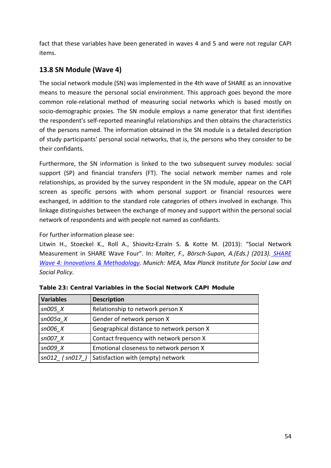fact that these variables have been generated in waves 4 and 5 and were not regular CAPI items.

# <span id="page-53-0"></span>**13.8 SN Module (Wave 4)**

The social network module (SN) was implemented in the 4th wave of SHARE as an innovative means to measure the personal social environment. This approach goes beyond the more common role-relational method of measuring social networks which is based mostly on socio-demographic proxies. The SN module employs a name generator that first identifies the respondent's self-reported meaningful relationships and then obtains the characteristics of the persons named. The information obtained in the SN module is a detailed description of study participants' personal social networks, that is, the persons who they consider to be their confidants.

Furthermore, the SN information is linked to the two subsequent survey modules: social support (SP) and financial transfers (FT). The social network member names and role relationships, as provided by the survey respondent in the SN module, appear on the CAPI screen as specific persons with whom personal support or financial resources were exchanged, in addition to the standard role categories of others involved in exchange. This linkage distinguishes between the exchange of money and support within the personal social network of respondents and with people not named as confidants.

For further information please see:

Litwin H., Stoeckel K., Roll A., Shiovitz-EzraIn S. & Kotte M. (2013): "Social Network Measurement in SHARE Wave Four". In: *Malter, F., Börsch-Supan, A.(Eds.) (2013). [SHARE](http://www.share-project.org/fileadmin/pdf_documentation/Method_FRB_FINAL.pdf)  [Wave 4: Innovations & Methodology.](http://www.share-project.org/fileadmin/pdf_documentation/Method_FRB_FINAL.pdf) Munich: MEA, Max Planck Institute for Social Law and Social Policy.*

| <b>Variables</b> | <b>Description</b>                        |
|------------------|-------------------------------------------|
| $sn005$ $X$      | Relationship to network person X          |
| $sn005a$ X       | Gender of network person X                |
| sn006 X          | Geographical distance to network person X |
| sn007 X          | Contact frequency with network person X   |
| $sn009$ $X$      | Emotional closeness to network person X   |
| $sn012$ (sn017)  | Satisfaction with (empty) network         |

|  | Table 23: Central Variables in the Social Network CAPI Module |  |  |  |
|--|---------------------------------------------------------------|--|--|--|
|  |                                                               |  |  |  |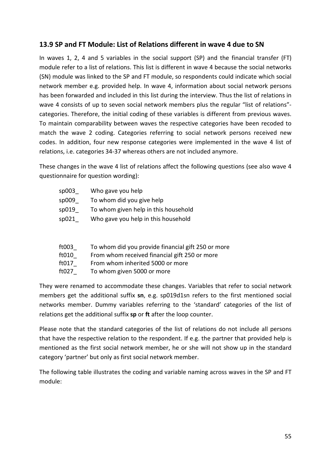## **13.9 SP and FT Module: List of Relations different in wave 4 due to SN**

In waves 1, 2, 4 and 5 variables in the social support (SP) and the financial transfer (FT) module refer to a list of relations. This list is different in wave 4 because the social networks (SN) module was linked to the SP and FT module, so respondents could indicate which social network member e.g. provided help. In wave 4, information about social network persons has been forwarded and included in this list during the interview. Thus the list of relations in wave 4 consists of up to seven social network members plus the regular "list of relations" categories. Therefore, the initial coding of these variables is different from previous waves. To maintain comparability between waves the respective categories have been recoded to match the wave 2 coding. Categories referring to social network persons received new codes. In addition, four new response categories were implemented in the wave 4 list of relations, i.e. categories 34-37 whereas others are not included anymore.

These changes in the wave 4 list of relations affect the following questions (see also wave 4 questionnaire for question wording):

| sp003 | Who gave you help                    |
|-------|--------------------------------------|
| sp009 | To whom did you give help            |
| sp019 | To whom given help in this household |
| sp021 | Who gave you help in this household  |
|       |                                      |
|       |                                      |

- ft003\_ To whom did you provide financial gift 250 or more
- ft010\_ From whom received financial gift 250 or more
- ft017 From whom inherited 5000 or more
- ft027\_ To whom given 5000 or more

They were renamed to accommodate these changes. Variables that refer to social network members get the additional suffix **sn**, e.g. sp019d1sn refers to the first mentioned social networks member. Dummy variables referring to the 'standard' categories of the list of relations get the additional suffix **sp** or **ft** after the loop counter.

Please note that the standard categories of the list of relations do not include all persons that have the respective relation to the respondent. If e.g. the partner that provided help is mentioned as the first social network member, he or she will not show up in the standard category 'partner' but only as first social network member.

The following table illustrates the coding and variable naming across waves in the SP and FT module: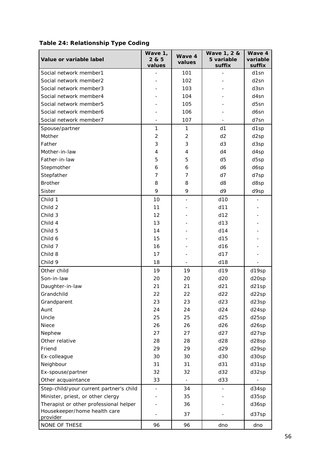| Table 24: Relationship Type Coding |  |  |
|------------------------------------|--|--|
|------------------------------------|--|--|

| Value or variable label                 | Wave 1,<br>2 & 5<br>values | Wave 4<br>values | Wave 1, 2 &<br>5 variable<br>suffix | Wave 4<br>variable<br>suffix |
|-----------------------------------------|----------------------------|------------------|-------------------------------------|------------------------------|
| Social network member1                  |                            | 101              |                                     | d1sn                         |
| Social network member2                  |                            | 102              |                                     | d2sn                         |
| Social network member3                  |                            | 103              |                                     | d3sn                         |
| Social network member4                  |                            | 104              |                                     | d4sn                         |
| Social network member5                  |                            | 105              |                                     | d5sn                         |
| Social network member6                  |                            | 106              |                                     | d6sn                         |
| Social network member7                  |                            | 107              |                                     | d7sn                         |
| Spouse/partner                          | $\mathbf{1}$               | $\mathbf{1}$     | d1                                  | d1sp                         |
| Mother                                  | $\overline{c}$             | $\overline{2}$   | d2                                  | d2sp                         |
| Father                                  | 3                          | 3                | d3                                  | d3sp                         |
| Mother-in-law                           | 4                          | 4                | d4                                  | d4sp                         |
| Father-in-law                           | 5                          | 5                | d5                                  | d5sp                         |
| Stepmother                              | 6                          | 6                | d6                                  | d6sp                         |
| Stepfather                              | $\overline{7}$             | 7                | d7                                  | d7sp                         |
| <b>Brother</b>                          | 8                          | 8                | d8                                  | d8sp                         |
| <b>Sister</b>                           | 9                          | 9                | d9                                  | d9sp                         |
| Child 1                                 | 10                         |                  | d10                                 |                              |
| Child 2                                 | 11                         |                  | d11                                 |                              |
| Child 3                                 | 12                         |                  | d12                                 |                              |
| Child 4                                 | 13                         |                  | d13                                 |                              |
| Child 5                                 | 14                         |                  | d14                                 |                              |
| Child 6                                 | 15                         |                  | d15                                 |                              |
| Child 7                                 | 16                         |                  | d16                                 |                              |
| Child 8                                 | 17                         |                  | d17                                 |                              |
| Child 9                                 | 18                         |                  | d18                                 |                              |
| Other child                             | 19                         | 19               | d19                                 | d19sp                        |
| Son-in-law                              | 20                         | 20               | d20                                 | d20sp                        |
| Daughter-in-law                         | 21                         | 21               | d21                                 | d21sp                        |
| Grandchild                              | 22                         | 22               | d22                                 | d22sp                        |
| Grandparent                             | 23                         | 23               | d23                                 | d23sp                        |
| Aunt                                    | 24                         | 24               | d24                                 | d24sp                        |
| Uncle                                   | 25                         | 25               | d25                                 | d25sp                        |
| Niece                                   | 26                         | 26               | d26                                 | d26sp                        |
| Nephew                                  | 27                         | 27               | d27                                 | d27sp                        |
| Other relative                          | 28                         | 28               | d28                                 | d28sp                        |
| Friend                                  | 29                         | 29               | d29                                 | d29sp                        |
| Ex-colleague                            | 30                         | 30               | d30                                 | d30sp                        |
| Neighbour                               | 31                         | 31               | d31                                 | d31sp                        |
| Ex-spouse/partner                       | 32                         | 32               | d32                                 | d32sp                        |
| Other acquaintance                      | 33                         |                  | d33                                 |                              |
| Step-child/your current partner's child | -                          | 34               | -                                   | d34sp                        |
| Minister, priest, or other clergy       |                            | 35               |                                     | d35sp                        |
| Therapist or other professional helper  |                            | 36               |                                     | d36sp                        |
| Housekeeper/home health care            |                            | 37               |                                     | d37sp                        |
| provider                                |                            |                  |                                     |                              |
| NONE OF THESE                           | 96                         | 96               | dno                                 | dno                          |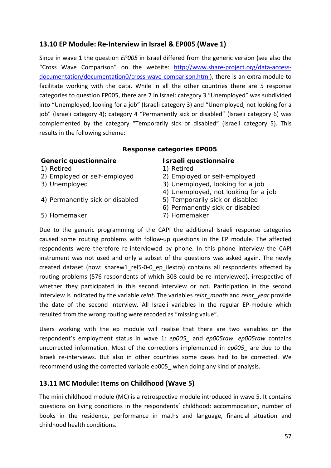# **13.10 EP Module: Re-Interview in Israel & EP005 (Wave 1)**

Since in wave 1 the question *EP005* in Israel differed from the generic version (see also the "Cross Wave Comparison" on the website: [http://www.share-project.org/data-access](http://www.share-project.org/data-access-documentation/documentation0/cross-wave-comparison.html)[documentation/documentation0/cross-wave-comparison.html\)](http://www.share-project.org/data-access-documentation/documentation0/cross-wave-comparison.html), there is an extra module to facilitate working with the data. While in all the other countries there are 5 response categories to question EP005, there are 7 in Israel: category 3 "Unemployed" was subdivided into "Unemployed, looking for a job" (Israeli category 3) and "Unemployed, not looking for a job" (Israeli category 4); category 4 "Permanently sick or disabled" (Israeli category 6) was complemented by the category "Temporarily sick or disabled" (Israeli category 5). This results in the following scheme:

### **Response categories EP005**

### **Generic questionnaire Israeli questionnaire**

- 
- 
- 
- 4) Permanently sick or disabled 5) Temporarily sick or disabled
- 
- 1) Retired 1) Retired
- 2) Employed or self-employed 2) Employed or self-employed
- 3) Unemployed 3) Unemployed, looking for a job
	- 4) Unemployed, not looking for a job
	-
	- 6) Permanently sick or disabled
	-
- 5) Homemaker 7) Homemaker

Due to the generic programming of the CAPI the additional Israeli response categories caused some routing problems with follow-up questions in the EP module. The affected respondents were therefore re-interviewed by phone. In this phone interview the CAPI instrument was not used and only a subset of the questions was asked again. The newly created dataset (now: sharew1 rel5-0-0 ep ilextra) contains all respondents affected by routing problems (576 respondents of which 308 could be re-interviewed), irrespective of whether they participated in this second interview or not. Participation in the second interview is indicated by the variable *reint*. The variables *reint\_month* and *reint\_year* provide the date of the second interview. All Israeli variables in the regular EP-module which resulted from the wrong routing were recoded as "missing value".

Users working with the ep module will realise that there are two variables on the respondent's employment status in wave 1: *ep005\_* and *ep005raw*. *ep005raw* contains uncorrected information. Most of the corrections implemented in *ep005\_* are due to the Israeli re-interviews. But also in other countries some cases had to be corrected. We recommend using the corrected variable ep005\_ when doing any kind of analysis.

# <span id="page-56-0"></span>**13.11 MC Module: Items on Childhood (Wave 5)**

The mini childhood module (MC) is a retrospective module introduced in wave 5. It contains questions on living conditions in the respondents´ childhood: accommodation, number of books in the residence, performance in maths and language, financial situation and childhood health conditions.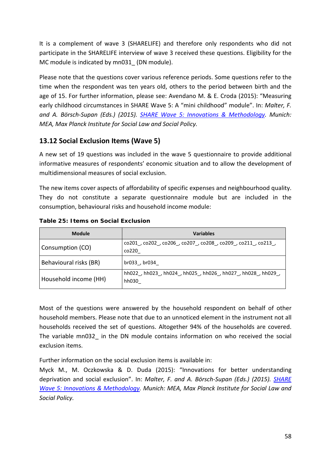It is a complement of wave 3 (SHARELIFE) and therefore only respondents who did not participate in the SHARELIFE interview of wave 3 received these questions. Eligibility for the MC module is indicated by mn031\_ (DN module).

Please note that the questions cover various reference periods. Some questions refer to the time when the respondent was ten years old, others to the period between birth and the age of 15. For further information, please see: Avendano M. & E. Croda (2015): "Measuring early childhood circumstances in SHARE Wave 5: A "mini childhood" module". In: *Malter, F. and A. Börsch-Supan (Eds.) (2015). [SHARE Wave 5: Innovations & Methodology.](http://www.share-project.org/fileadmin/pdf_documentation/Method_vol5_31March2015.pdf) Munich: MEA, Max Planck Institute for Social Law and Social Policy.*

# <span id="page-57-0"></span>**13.12 Social Exclusion Items (Wave 5)**

A new set of 19 questions was included in the wave 5 questionnaire to provide additional informative measures of respondents' economic situation and to allow the development of multidimensional measures of social exclusion.

The new items cover aspects of affordability of specific expenses and neighbourhood quality. They do not constitute a separate questionnaire module but are included in the consumption, behavioural risks and household income module:

| <b>Module</b>          | <b>Variables</b>                                                 |
|------------------------|------------------------------------------------------------------|
| Consumption (CO)       | co201, co202, co206, co207, co208, co209, co211, co213,<br>co220 |
| Behavioural risks (BR) | br033, br034                                                     |
| Household income (HH)  | hh022, hh023, hh024, hh025, hh026, hh027, hh028, hh029,<br>hh030 |

### **Table 25: Items on Social Exclusion**

Most of the questions were answered by the household respondent on behalf of other household members. Please note that due to an unnoticed element in the instrument not all households received the set of questions. Altogether 94% of the households are covered. The variable mn032\_ in the DN module contains information on who received the social exclusion items.

Further information on the social exclusion items is available in:

Myck M., M. Oczkowska & D. Duda (2015): "Innovations for better understanding deprivation and social exclusion". In: *Malter, F. and A. Börsch-Supan (Eds.) (2015). [SHARE](http://www.share-project.org/fileadmin/pdf_documentation/Method_vol5_31March2015.pdf)  [Wave 5: Innovations & Methodology.](http://www.share-project.org/fileadmin/pdf_documentation/Method_vol5_31March2015.pdf) Munich: MEA, Max Planck Institute for Social Law and Social Policy.*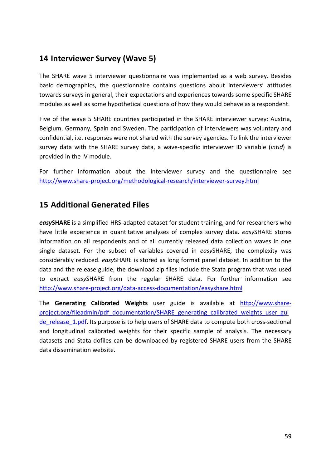# <span id="page-58-0"></span>**14 Interviewer Survey (Wave 5)**

The SHARE wave 5 interviewer questionnaire was implemented as a web survey. Besides basic demographics, the questionnaire contains questions about interviewers' attitudes towards surveys in general, their expectations and experiences towards some specific SHARE modules as well as some hypothetical questions of how they would behave as a respondent.

Five of the wave 5 SHARE countries participated in the SHARE interviewer survey: Austria, Belgium, Germany, Spain and Sweden. The participation of interviewers was voluntary and confidential, i.e. responses were not shared with the survey agencies. To link the interviewer survey data with the SHARE survey data, a wave-specific interviewer ID variable (*intid*) is provided in the IV module.

For further information about the interviewer survey and the questionnaire see <http://www.share-project.org/methodological-research/interviewer-survey.html>

# **15 Additional Generated Files**

*easy***SHARE** is a simplified HRS-adapted dataset for student training, and for researchers who have little experience in quantitative analyses of complex survey data. *easy*SHARE stores information on all respondents and of all currently released data collection waves in one single dataset. For the subset of variables covered in *easy*SHARE, the complexity was considerably reduced. *easy*SHARE is stored as long format panel dataset. In addition to the data and the release guide, the download zip files include the Stata program that was used to extract *easy*SHARE from the regular SHARE data. For further information see <http://www.share-project.org/data-access-documentation/easyshare.html>

The **Generating Calibrated Weights** user guide is available at [http://www.share](http://www.share-project.org/fileadmin/pdf_documentation/SHARE_generating_calibrated_weights_user_guide_release_1.pdf)[project.org/fileadmin/pdf\\_documentation/SHARE\\_generating\\_calibrated\\_weights\\_user\\_gui](http://www.share-project.org/fileadmin/pdf_documentation/SHARE_generating_calibrated_weights_user_guide_release_1.pdf) de release 1.pdf. Its purpose is to help users of SHARE data to compute both cross-sectional and longitudinal calibrated weights for their specific sample of analysis. The necessary datasets and Stata dofiles can be downloaded by registered SHARE users from the SHARE data dissemination website.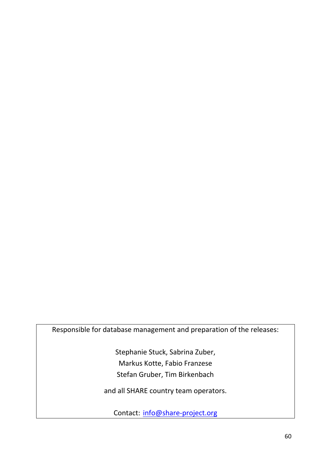Responsible for database management and preparation of the releases:

Stephanie Stuck, Sabrina Zuber, Markus Kotte, Fabio Franzese Stefan Gruber, Tim Birkenbach

and all SHARE country team operators.

Contact: [info@share-project.org](mailto:info@share-project.org)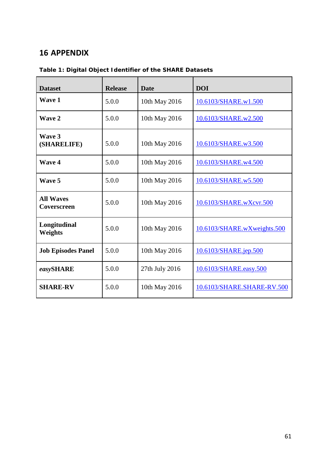# **16 APPENDIX**

| <b>Dataset</b>                  | <b>Release</b> | <b>Date</b>    | <b>DOI</b>                  |
|---------------------------------|----------------|----------------|-----------------------------|
| <b>Wave 1</b>                   | 5.0.0          | 10th May 2016  | 10.6103/SHARE.w1.500        |
| Wave 2                          | 5.0.0          | 10th May 2016  | 10.6103/SHARE.w2.500        |
| Wave 3<br>(SHARELIFE)           | 5.0.0          | 10th May 2016  | 10.6103/SHARE.w3.500        |
| <b>Wave 4</b>                   | 5.0.0          | 10th May 2016  | 10.6103/SHARE.w4.500        |
| Wave 5                          | 5.0.0          | 10th May 2016  | 10.6103/SHARE.w5.500        |
| <b>All Waves</b><br>Coverscreen | 5.0.0          | 10th May 2016  | 10.6103/SHARE.wXcvr.500     |
| Longitudinal<br><b>Weights</b>  | 5.0.0          | 10th May 2016  | 10.6103/SHARE.wXweights.500 |
| <b>Job Episodes Panel</b>       | 5.0.0          | 10th May 2016  | 10.6103/SHARE.jep.500       |
| easySHARE                       | 5.0.0          | 27th July 2016 | 10.6103/SHARE.easy.500      |
| <b>SHARE-RV</b>                 | 5.0.0          | 10th May 2016  | 10.6103/SHARE.SHARE-RV.500  |

**Table 1: Digital Object Identifier of the SHARE Datasets**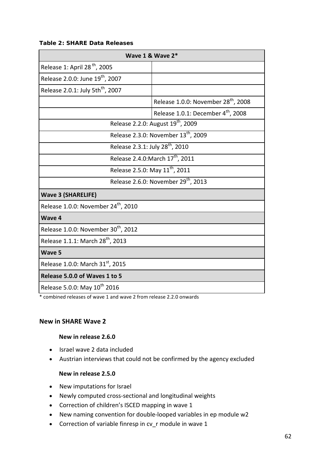#### **Table 2: SHARE Data Releases**

| Wave $1$ & Wave $2^*$                           |                                                 |  |  |  |  |
|-------------------------------------------------|-------------------------------------------------|--|--|--|--|
| Release 1: April 28 <sup>th</sup> , 2005        |                                                 |  |  |  |  |
| Release 2.0.0: June 19 <sup>th</sup> , 2007     |                                                 |  |  |  |  |
| Release 2.0.1: July 5th <sup>th</sup> , 2007    |                                                 |  |  |  |  |
|                                                 | Release 1.0.0: November 28 <sup>th</sup> , 2008 |  |  |  |  |
|                                                 | Release 1.0.1: December 4 <sup>th</sup> , 2008  |  |  |  |  |
|                                                 | Release 2.2.0: August 19 <sup>th</sup> , 2009   |  |  |  |  |
|                                                 | Release 2.3.0: November 13 <sup>th</sup> , 2009 |  |  |  |  |
| Release 2.3.1: July 28 <sup>th</sup> , 2010     |                                                 |  |  |  |  |
|                                                 | Release 2.4.0: March 17 <sup>th</sup> , 2011    |  |  |  |  |
| Release 2.5.0: May 11 <sup>th</sup> , 2011      |                                                 |  |  |  |  |
| Release 2.6.0: November 29 <sup>th</sup> , 2013 |                                                 |  |  |  |  |
| <b>Wave 3 (SHARELIFE)</b>                       |                                                 |  |  |  |  |
| Release 1.0.0: November 24 <sup>th</sup> , 2010 |                                                 |  |  |  |  |
| Wave 4                                          |                                                 |  |  |  |  |
| Release 1.0.0: November 30 <sup>th</sup> , 2012 |                                                 |  |  |  |  |
| Release 1.1.1: March 28 <sup>th</sup> , 2013    |                                                 |  |  |  |  |
| Wave 5                                          |                                                 |  |  |  |  |
| Release 1.0.0: March 31 <sup>st</sup> , 2015    |                                                 |  |  |  |  |
| Release 5.0.0 of Waves 1 to 5                   |                                                 |  |  |  |  |
| Release 5.0.0: May 10 <sup>th</sup> 2016        |                                                 |  |  |  |  |

\* combined releases of wave 1 and wave 2 from release 2.2.0 onwards

#### **New in SHARE Wave 2**

#### **New in release 2.6.0**

- Israel wave 2 data included
- Austrian interviews that could not be confirmed by the agency excluded

#### **New in release 2.5.0**

- New imputations for Israel
- Newly computed cross-sectional and longitudinal weights
- Correction of children's ISCED mapping in wave 1
- New naming convention for double-looped variables in ep module w2
- Correction of variable finresp in cv\_r module in wave 1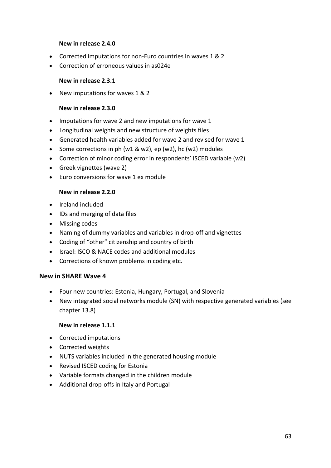#### **New in release 2.4.0**

- Corrected imputations for non-Euro countries in waves 1 & 2
- Correction of erroneous values in as024e

#### **New in release 2.3.1**

• New imputations for waves 1 & 2

#### **New in release 2.3.0**

- Imputations for wave 2 and new imputations for wave 1
- Longitudinal weights and new structure of weights files
- Generated health variables added for wave 2 and revised for wave 1
- Some corrections in ph (w1 & w2), ep (w2), hc (w2) modules
- Correction of minor coding error in respondents' ISCED variable (w2)
- Greek vignettes (wave 2)
- Euro conversions for wave 1 ex module

#### **New in release 2.2.0**

- Ireland included
- ΙDs and merging of data files
- Missing codes
- Naming of dummy variables and variables in drop-off and vignettes
- Coding of "other" citizenship and country of birth
- Israel: ISCO & NACE codes and additional modules
- Corrections of known problems in coding etc.

### **New in SHARE Wave 4**

- Four new countries: Estonia, Hungary, Portugal, and Slovenia
- New integrated social networks module (SN) with respective generated variables (see chapter [13.8\)](#page-53-0)

#### **New in release 1.1.1**

- Corrected imputations
- Corrected weights
- NUTS variables included in the generated housing module
- Revised ISCED coding for Estonia
- Variable formats changed in the children module
- Additional drop-offs in Italy and Portugal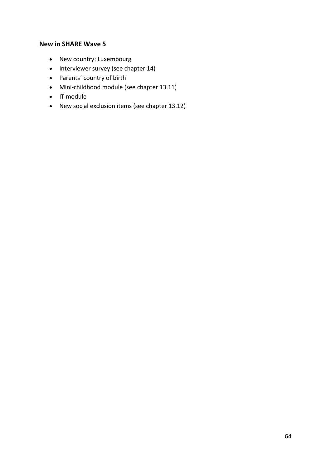### **New in SHARE Wave 5**

- New country: Luxembourg
- Interviewer survey (see chapter [14\)](#page-58-0)
- Parents´ country of birth
- Mini-childhood module (see chapter [13.11\)](#page-56-0)
- IT module
- New social exclusion items (see chapter [13.12\)](#page-57-0)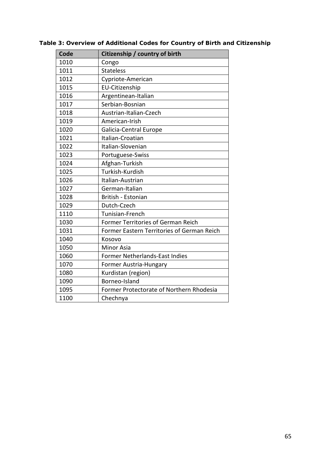<span id="page-64-0"></span>

| Code | Citizenship / country of birth             |
|------|--------------------------------------------|
| 1010 | Congo                                      |
| 1011 | <b>Stateless</b>                           |
| 1012 | Cypriote-American                          |
| 1015 | <b>EU-Citizenship</b>                      |
| 1016 | Argentinean-Italian                        |
| 1017 | Serbian-Bosnian                            |
| 1018 | Austrian-Italian-Czech                     |
| 1019 | American-Irish                             |
| 1020 | Galicia-Central Europe                     |
| 1021 | Italian-Croatian                           |
| 1022 | Italian-Slovenian                          |
| 1023 | Portuguese-Swiss                           |
| 1024 | Afghan-Turkish                             |
| 1025 | Turkish-Kurdish                            |
| 1026 | Italian-Austrian                           |
| 1027 | German-Italian                             |
| 1028 | British - Estonian                         |
| 1029 | Dutch-Czech                                |
| 1110 | Tunisian-French                            |
| 1030 | Former Territories of German Reich         |
| 1031 | Former Eastern Territories of German Reich |
| 1040 | Kosovo                                     |
| 1050 | <b>Minor Asia</b>                          |
| 1060 | Former Netherlands-East Indies             |
| 1070 | Former Austria-Hungary                     |
| 1080 | Kurdistan (region)                         |
| 1090 | Borneo-Island                              |
| 1095 | Former Protectorate of Northern Rhodesia   |
| 1100 | Chechnya                                   |

**Table 3: Overview of Additional Codes for Country of Birth and Citizenship**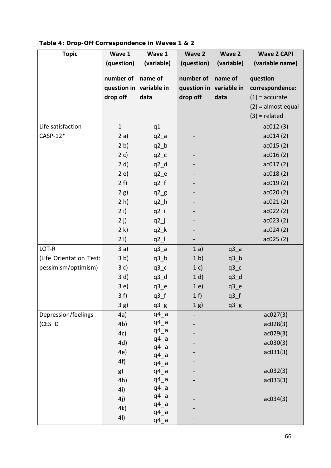| <b>Topic</b>            | Wave 1                  | Wave 1            | Wave 2                  | Wave 2                         | <b>Wave 2 CAPI</b>   |
|-------------------------|-------------------------|-------------------|-------------------------|--------------------------------|----------------------|
|                         | (question)              | (variable)        | (question)              | (variable)                     | (variable name)      |
|                         | number of               | name of           | number of               | name of                        | question             |
|                         | question in variable in |                   | question in variable in |                                | correspondence:      |
|                         | drop off                | data              | drop off                | data                           | $(1)$ = accurate     |
|                         |                         |                   |                         |                                | $(2)$ = almost equal |
|                         |                         |                   |                         |                                | $(3)$ = related      |
|                         |                         |                   |                         |                                |                      |
| Life satisfaction       | $\mathbf{1}$            | q1                |                         |                                | ac012(3)             |
| $CASP-12*$              | 2a)                     | $q2_a$            |                         |                                | ac014(2)             |
|                         | 2 b)                    | $q2_b$            |                         |                                | ac015(2)             |
|                         | 2 c)                    | $q2_c$            |                         |                                | ac016(2)             |
|                         | 2 d)                    | $q2_d$            |                         |                                | ac017(2)             |
|                         | 2e)                     | $q2_e$            |                         |                                | ac018(2)             |
|                         | 2 f)                    | $q2_f$            |                         |                                | ac019(2)             |
|                         | 2 g)                    | $q2_g$            |                         |                                | ac020(2)             |
|                         | 2 h)                    | $q2_h$            |                         |                                | ac021(2)             |
|                         | 2 i)                    | $q2_i$            |                         |                                | ac022(2)             |
|                         | 2j)                     | $q2$ $j$          |                         |                                | ac023(2)             |
|                         | 2 k)                    | $q2_k$            |                         |                                | ac024(2)             |
|                         | 21)                     | $q2_l$            |                         |                                | ac025(2)             |
| LOT-R                   | 3a)                     | $q3_a$            | 1a)                     | $q3_a$                         |                      |
| (Life Orientation Test: | 3 <sub>b</sub>          | $q3_b$            | 1 <sub>b</sub>          | $q3_b$                         |                      |
| pessimism/optimism)     | 3c)                     | $q3_c$            | 1 c)                    | $q3_c$                         |                      |
|                         | 3 d)                    | $q3_d$            | 1 d)                    | $q3_d$                         |                      |
|                         | 3e)                     | $q3$ <sup>e</sup> | 1e)                     | $q3$ <sup>e</sup>              |                      |
|                         | 3f                      | $q3_f$            | 1 f                     | $q3_f$                         |                      |
|                         | 3g)                     | $q3_g$            | $1g$ )                  | $q3$ <sub><math>g</math></sub> |                      |
| Depression/feelings     | 4a)                     | $q4_a$            |                         |                                | ac027(3)             |
| $(CES_D$                | 4 <sub>b</sub>          | $q4_a$            |                         |                                | ac028(3)             |
|                         | 4c)                     | $q4_a$            |                         |                                | ac029(3)             |
|                         | 4d)                     | $q4_a$            |                         |                                | ac030(3)             |
|                         | 4e)                     | $q4_a$            |                         |                                | ac031(3)             |
|                         | 4f)                     | $q4_a$<br>$q4_a$  |                         |                                |                      |
|                         | g)                      | $q4_a$            |                         |                                | ac032(3)             |
|                         | 4h)                     | $q4_a$            |                         |                                | ac033(3)             |
|                         | 4i)                     | $q4_a$            |                         |                                |                      |
|                         | 4j)                     | $q4_a$            |                         |                                | ac034(3)             |
|                         | 4k)                     | $q4_a$            |                         |                                |                      |
|                         | 4I)                     | $q4_a$            |                         |                                |                      |
|                         |                         | $q4_a$            |                         |                                |                      |

## **Table 4: Drop-Off Correspondence in Waves 1 & 2**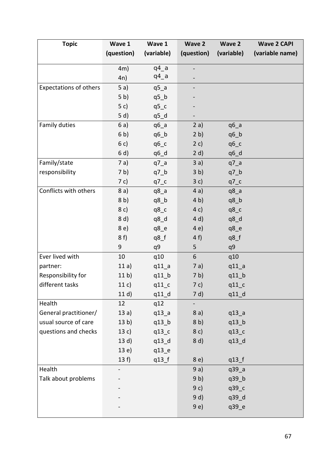| <b>Topic</b>                  | Wave 1          | Wave 1            | <b>Wave 2</b>  | Wave 2            | <b>Wave 2 CAPI</b> |
|-------------------------------|-----------------|-------------------|----------------|-------------------|--------------------|
|                               | (question)      | (variable)        | (question)     | (variable)        | (variable name)    |
|                               |                 |                   |                |                   |                    |
|                               | 4m)             | $q4_a$<br>$q4_a$  |                |                   |                    |
|                               | 4n)             |                   |                |                   |                    |
| <b>Expectations of others</b> | 5a)             | $q5_a$            |                |                   |                    |
|                               | 5 <sub>b</sub>  | $q5_b$            |                |                   |                    |
|                               | 5c)             | $q5_c$            |                |                   |                    |
|                               | 5 d)            | $q5_d$            |                |                   |                    |
| Family duties                 | 6a)             | $q6_a$            | 2a)            | $q6_a$            |                    |
|                               | 6 <sub>b</sub>  | $q6_b$            | 2 b)           | $q6_b$            |                    |
|                               | 6 c)            | $q6_c$            | 2 c)           | $q6_c$            |                    |
|                               | 6 d)            | q6_d              | 2 d)           | $q6_d$            |                    |
| Family/state                  | 7 a)            | $q7_a$            | 3a)            | $q7_a$            |                    |
| responsibility                | 7 b)            | $q7_b$            | 3 <sub>b</sub> | $q7_b$            |                    |
|                               | 7 c)            | $q7_c$            | 3c)            | $q7_c$            |                    |
| Conflicts with others         | 8a)             | $q8_a$            | 4a)            | $q8_a$            |                    |
|                               | 8 <sub>b</sub>  | $q8_b$            | 4 b)           | $q8_b$            |                    |
|                               | 8c)             | $q8_c$            | 4 c)           | $q8_c$            |                    |
|                               | 8 d)            | $q8_d$            | 4 d)           | $q8_d$            |                    |
|                               | 8 e)            | $q8$ <sup>e</sup> | 4 e)           | $q8$ <sup>e</sup> |                    |
|                               | 8f              | $q8_f$            | 4f             | $q8_f$            |                    |
|                               | 9               | q9                | 5              | q9                |                    |
| Ever lived with               | 10              | q10               | 6              | q10               |                    |
| partner:                      | 11a)            | $q11_a$           | 7a)            | $q11_a$           |                    |
| Responsibility for            | 11 <sub>b</sub> | $q11_b$           | 7 <sub>b</sub> | $q11_b$           |                    |
| different tasks               | 11 c)           | $q11_c$           | 7 c)           | $q11_c$           |                    |
|                               | 11 d)           | $q11_d$           | 7 d)           | $q11_d$           |                    |
| Health                        | 12              | q12               |                |                   |                    |
| General practitioner/         | 13a)            | q13a              | 8a)            | q13a              |                    |
| usual source of care          | 13 <sub>b</sub> | $q13$ _b          | 8 <sub>b</sub> | $q13$ _b          |                    |
| questions and checks          | 13 c)           | $q13_c$           | 8c)            | $q13_c$           |                    |
|                               | 13 d)           | $q13_d$           | 8 d)           | q13_d             |                    |
|                               | 13e)            | q13_e             |                |                   |                    |
|                               | 13 f            | $q13_f$           | 8e)            | $q13$ _f          |                    |
| Health                        |                 |                   | 9a)            | q39_a             |                    |
| Talk about problems           |                 |                   | 9 <sub>b</sub> | q39_b             |                    |
|                               |                 |                   | 9c)            | q39_c             |                    |
|                               |                 |                   | 9 d)           | q39_d             |                    |
|                               |                 |                   | 9e)            | q39_e             |                    |
|                               |                 |                   |                |                   |                    |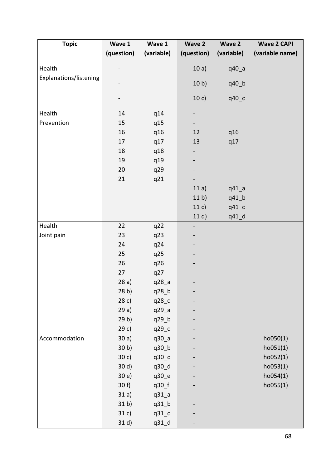| <b>Topic</b>           | Wave 1          | Wave 1             | Wave 2                       | Wave 2             | <b>Wave 2 CAPI</b> |
|------------------------|-----------------|--------------------|------------------------------|--------------------|--------------------|
|                        | (question)      | (variable)         | (question)                   | (variable)         | (variable name)    |
| Health                 |                 |                    | 10a)                         | q40_a              |                    |
| Explanations/listening |                 |                    | 10 <sub>b</sub>              | q40_b              |                    |
|                        |                 |                    | 10 c)                        | q40_c              |                    |
| Health                 | 14              | q14                | $\qquad \qquad \blacksquare$ |                    |                    |
| Prevention             | 15              | q15                |                              |                    |                    |
|                        | 16              | q16                | 12                           | q16                |                    |
|                        | 17              | q17                | 13                           | q17                |                    |
|                        | 18              | q18                |                              |                    |                    |
|                        | 19              | q19                |                              |                    |                    |
|                        | 20              | q29                |                              |                    |                    |
|                        | 21              | q21                |                              |                    |                    |
|                        |                 |                    | 11a)                         | $q41$ <sup>a</sup> |                    |
|                        |                 |                    | 11 <sub>b</sub>              | q41_b              |                    |
|                        |                 |                    | 11 c)                        | $q41_c$            |                    |
|                        |                 |                    | 11 d)                        | q41_d              |                    |
| Health                 | 22              | q22                | $\overline{\phantom{0}}$     |                    |                    |
| Joint pain             | 23              | q23                |                              |                    |                    |
|                        | 24              | q24                |                              |                    |                    |
|                        | 25              | q25                |                              |                    |                    |
|                        | 26              | q26                |                              |                    |                    |
|                        | 27              | q27                |                              |                    |                    |
|                        | 28a)            | q28_a              |                              |                    |                    |
|                        | 28 <sub>b</sub> | q28_b              |                              |                    |                    |
|                        | 28c)            | q28_c              |                              |                    |                    |
|                        | 29a)            | q29_a              |                              |                    |                    |
|                        | 29 <sub>b</sub> | q29_b              |                              |                    |                    |
|                        | 29c)            | q29_c              |                              |                    |                    |
| Accommodation          | 30a)            | q30a               |                              |                    | ho050(1)           |
|                        | 30 <sub>b</sub> | q30_b              |                              |                    | ho051(1)           |
|                        | 30 c)           | q30_c              |                              |                    | ho052(1)           |
|                        | 30 d)           | q30_d              |                              |                    | ho053(1)           |
|                        | 30 e)           | q30_e              |                              |                    | ho054(1)           |
|                        | 30 f            | q30_f              |                              |                    | ho055(1)           |
|                        | 31a)            | $q31$ <sup>a</sup> |                              |                    |                    |
|                        | 31 <sub>b</sub> | $q31$ _ $b$        |                              |                    |                    |
|                        | 31 c)           | $q31_c$            |                              |                    |                    |
|                        | 31 d)           | q31_d              |                              |                    |                    |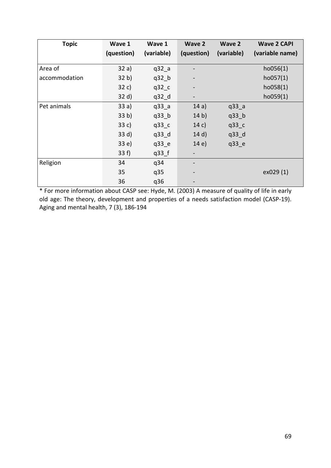| <b>Topic</b>  | Wave 1          | Wave 1             | <b>Wave 2</b> | <b>Wave 2</b> | <b>Wave 2 CAPI</b> |
|---------------|-----------------|--------------------|---------------|---------------|--------------------|
|               | (question)      | (variable)         | (question)    | (variable)    | (variable name)    |
| Area of       | 32a)            | $q32$ <sup>a</sup> |               |               | ho056(1)           |
| accommodation | 32 b)           | $q32$ _b           | -             |               | ho057(1)           |
|               | 32 c)           | q32 c              |               |               | ho058(1)           |
|               | 32 d)           | $q32_d$            | -             |               | ho059(1)           |
| Pet animals   | 33a)            | q33a               | 14a)          | q33a          |                    |
|               | 33 <sub>b</sub> | $q33$ _b           | 14 b)         | $q33$ _b      |                    |
|               | 33 c)           | q33 c              | 14 c)         | $q33_c$       |                    |
|               | 33 d)           | q33 d              | 14 d)         | $q33_d$       |                    |
|               | 33 e)           | $q33$ <sup>e</sup> | 14e)          | q33 e         |                    |
|               | 33 f            | $q33$ _f           |               |               |                    |
| Religion      | 34              | q34                |               |               |                    |
|               | 35              | q35                |               |               | ex029 (1)          |
|               | 36              | q36                |               |               |                    |

\* For more information about CASP see: Hyde, M. (2003) A measure of quality of life in early old age: The theory, development and properties of a needs satisfaction model (CASP-19). Aging and mental health, 7 (3), 186-194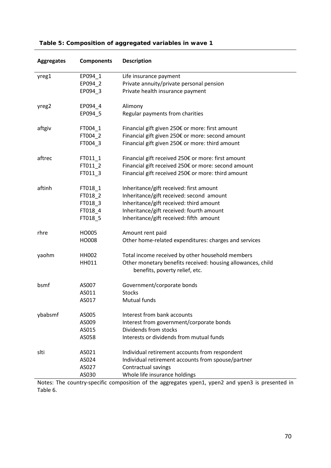| <b>Aggregates</b> | <b>Components</b> | <b>Description</b>                                                                                                                    |
|-------------------|-------------------|---------------------------------------------------------------------------------------------------------------------------------------|
| yreg1             | EP094 1           | Life insurance payment                                                                                                                |
|                   | EP094_2           | Private annuity/private personal pension                                                                                              |
|                   | EP094_3           | Private health insurance payment                                                                                                      |
| yreg2             | EP094_4           | Alimony                                                                                                                               |
|                   | EP094_5           | Regular payments from charities                                                                                                       |
| aftgiv            | FT004_1           | Financial gift given 250€ or more: first amount                                                                                       |
|                   | FT004_2           | Financial gift given 250€ or more: second amount                                                                                      |
|                   | FT004_3           | Financial gift given 250€ or more: third amount                                                                                       |
| aftrec            | FT011_1           | Financial gift received 250€ or more: first amount                                                                                    |
|                   | FT011_2           | Financial gift received 250€ or more: second amount                                                                                   |
|                   | FT011_3           | Financial gift received 250€ or more: third amount                                                                                    |
| aftinh            | FT018_1           | Inheritance/gift received: first amount                                                                                               |
|                   | FT018_2           | Inheritance/gift received: second amount                                                                                              |
|                   | FT018_3           | Inheritance/gift received: third amount                                                                                               |
|                   | FT018_4           | Inheritance/gift received: fourth amount                                                                                              |
|                   | FT018_5           | Inheritance/gift received: fifth amount                                                                                               |
| rhre              | HO005             | Amount rent paid                                                                                                                      |
|                   | HO008             | Other home-related expenditures: charges and services                                                                                 |
| yaohm             | <b>HH002</b>      | Total income received by other household members                                                                                      |
|                   | HH011             | Other monetary benefits received: housing allowances, child<br>benefits, poverty relief, etc.                                         |
| bsmf              | AS007             | Government/corporate bonds                                                                                                            |
|                   | AS011             | <b>Stocks</b>                                                                                                                         |
|                   | AS017             | Mutual funds                                                                                                                          |
| ybabsmf           | AS005             | Interest from bank accounts                                                                                                           |
|                   | AS009             | Interest from government/corporate bonds                                                                                              |
|                   | AS015             | Dividends from stocks                                                                                                                 |
|                   | AS058             | Interests or dividends from mutual funds                                                                                              |
| slti              | AS021             | Individual retirement accounts from respondent                                                                                        |
|                   | AS024             | Individual retirement accounts from spouse/partner                                                                                    |
|                   | AS027             | Contractual savings                                                                                                                   |
|                   | AS030             | Whole life insurance holdings<br>composition of the aggregates upon <sup>1</sup> upon <sup>2</sup> and upon <sup>2</sup> is procented |

## **Table 5: Composition of aggregated variables in wave 1**

Notes: The country-specific composition of the aggregates ypen1, ypen2 and ypen3 is presented in Table 6.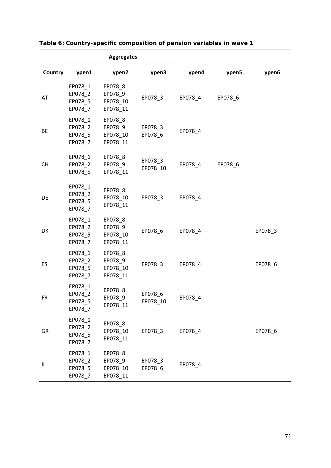|           |                                          | <b>Aggregates</b>                          |                     |         |         |         |
|-----------|------------------------------------------|--------------------------------------------|---------------------|---------|---------|---------|
| Country   | ypen1                                    | ypen2                                      | ypen3               | ypen4   | ypen5   | ypen6   |
| AT        | EP078_1<br>EP078_2<br>EP078_5<br>EP078_7 | EP078_8<br>EP078_9<br>EP078_10<br>EP078_11 | EP078_3             | EP078_4 | EP078_6 |         |
| BE        | EP078_1<br>EP078_2<br>EP078_5<br>EP078_7 | EP078 8<br>EP078_9<br>EP078 10<br>EP078_11 | EP078_3<br>EP078_6  | EP078_4 |         |         |
| <b>CH</b> | EP078_1<br>EP078_2<br>EP078_5            | EP078_8<br>EP078_9<br>EP078_11             | EP078_3<br>EP078_10 | EP078 4 | EP078 6 |         |
| DE        | EP078_1<br>EP078_2<br>EP078_5<br>EP078_7 | EP078_8<br>EP078_10<br>EP078_11            | EP078_3             | EP078_4 |         |         |
| DK        | EP078_1<br>EP078_2<br>EP078_5<br>EP078_7 | EP078_8<br>EP078_9<br>EP078_10<br>EP078_11 | EP078_6             | EP078_4 |         | EP078_3 |
| ES        | EP078_1<br>EP078_2<br>EP078_5<br>EP078_7 | EP078_8<br>EP078_9<br>EP078_10<br>EP078_11 | EP078_3             | EP078_4 |         | EP078_6 |
| <b>FR</b> | EP078_1<br>EP078_2<br>EP078_5<br>EP078_7 | EP078_8<br>EP078_9<br>EP078_11             | EP078_6<br>EP078 10 | EP078_4 |         |         |
| GR        | EP078_1<br>EP078_2<br>EP078_5<br>EP078_7 | EP078_8<br>EP078_10<br>EP078 11            | EP078_3             | EP078_4 |         | EP078 6 |
| IL        | EP078_1<br>EP078_2<br>EP078_5<br>EP078_7 | EP078_8<br>EP078_9<br>EP078_10<br>EP078_11 | EP078_3<br>EP078_6  | EP078_4 |         |         |

**Table 6: Country-specific composition of pension variables in wave 1**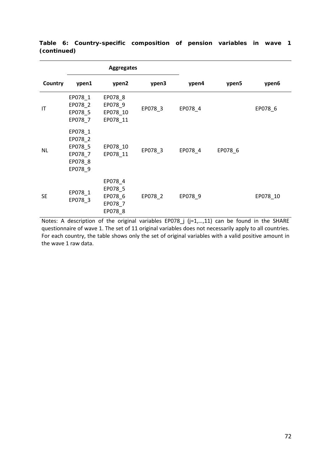|           | <b>Aggregates</b>                                              |                                                     |         |         |         |          |
|-----------|----------------------------------------------------------------|-----------------------------------------------------|---------|---------|---------|----------|
| Country   | ypen1                                                          | ypen2                                               | ypen3   | ypen4   | ypen5   | ypen6    |
| ΙT        | EP078_1<br>EP078_2<br>EP078_5<br>EP078_7                       | EP078_8<br>EP078_9<br>EP078_10<br>EP078_11          | EP078_3 | EP078_4 |         | EP078_6  |
| <b>NL</b> | EP078_1<br>EP078_2<br>EP078_5<br>EP078_7<br>EP078_8<br>EP078_9 | EP078_10<br>EP078_11                                | EP078_3 | EP078_4 | EP078_6 |          |
| <b>SE</b> | EP078_1<br>EP078_3                                             | EP078_4<br>EP078_5<br>EP078_6<br>EP078_7<br>EP078_8 | EP078_2 | EP078_9 |         | EP078_10 |

**Table 6: Country-specific composition of pension variables in wave 1 (continued)**

Notes: A description of the original variables EP078\_j (j=1,…,11) can be found in the SHARE questionnaire of wave 1. The set of 11 original variables does not necessarily apply to all countries. For each country, the table shows only the set of original variables with a valid positive amount in the wave 1 raw data.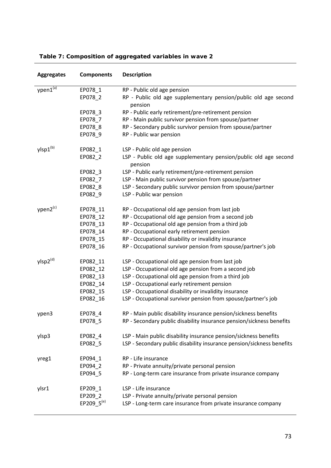| <b>Aggregates</b>    | <b>Components</b>      | <b>Description</b>                                                          |
|----------------------|------------------------|-----------------------------------------------------------------------------|
| ypen1(a)             | EP078_1                | RP - Public old age pension                                                 |
|                      | EP078_2                | RP - Public old age supplementary pension/public old age second<br>pension  |
|                      | EP078 3                | RP - Public early retirement/pre-retirement pension                         |
|                      | EP078_7                | RP - Main public survivor pension from spouse/partner                       |
|                      | EP078 8                | RP - Secondary public survivor pension from spouse/partner                  |
|                      | EP078_9                | RP - Public war pension                                                     |
| ylsp1 <sup>(b)</sup> | EP082_1                | LSP - Public old age pension                                                |
|                      | EP082_2                | LSP - Public old age supplementary pension/public old age second<br>pension |
|                      | EP082_3                | LSP - Public early retirement/pre-retirement pension                        |
|                      | EP082_7                | LSP - Main public survivor pension from spouse/partner                      |
|                      | EP082 8                | LSP - Secondary public survivor pension from spouse/partner                 |
|                      | EP082_9                | LSP - Public war pension                                                    |
| ypen2 <sup>(c)</sup> | EP078_11               | RP - Occupational old age pension from last job                             |
|                      | EP078 12               | RP - Occupational old age pension from a second job                         |
|                      | EP078_13               | RP - Occupational old age pension from a third job                          |
|                      | EP078_14               | RP - Occupational early retirement pension                                  |
|                      | EP078_15               | RP - Occupational disability or invalidity insurance                        |
|                      | EP078_16               | RP - Occupational survivor pension from spouse/partner's job                |
| ylsp2 <sup>(d)</sup> | EP082_11               | LSP - Occupational old age pension from last job                            |
|                      | EP082_12               | LSP - Occupational old age pension from a second job                        |
|                      | EP082_13               | LSP - Occupational old age pension from a third job                         |
|                      | EP082_14               | LSP - Occupational early retirement pension                                 |
|                      | EP082_15               | LSP - Occupational disability or invalidity insurance                       |
|                      | EP082_16               | LSP - Occupational survivor pension from spouse/partner's job               |
| ypen3                | EP078_4                | RP - Main public disability insurance pension/sickness benefits             |
|                      | EP078_5                | RP - Secondary public disability insurance pension/sickness benefits        |
| ylsp3                | EP082_4                | LSP - Main public disability insurance pension/sickness benefits            |
|                      | EP082_5                | LSP - Secondary public disability insurance pension/sickness benefits       |
| yreg1                | EP094_1                | RP - Life insurance                                                         |
|                      | EP094 2                | RP - Private annuity/private personal pension                               |
|                      | EP094_5                | RP - Long-term care insurance from private insurance company                |
| ylsr1                | EP209_1                | LSP - Life insurance                                                        |
|                      | EP209_2                | LSP - Private annuity/private personal pension                              |
|                      | EP209_5 <sup>(e)</sup> | LSP - Long-term care insurance from private insurance company               |
|                      |                        |                                                                             |

### **Table 7: Composition of aggregated variables in wave 2**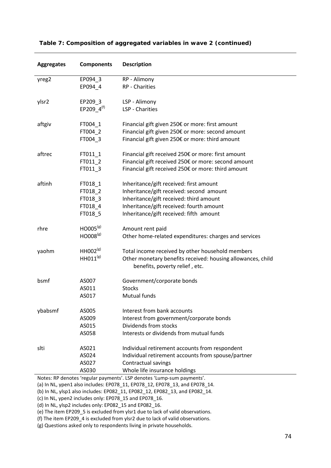| <b>Aggregates</b> | <b>Components</b>                                   | <b>Description</b>                                                                                                                                                                                                    |
|-------------------|-----------------------------------------------------|-----------------------------------------------------------------------------------------------------------------------------------------------------------------------------------------------------------------------|
| yreg2             | EP094_3<br>EP094_4                                  | RP - Alimony<br>RP - Charities                                                                                                                                                                                        |
| ylsr2             | EP209_3<br>EP209 $4^{(f)}$                          | LSP - Alimony<br>LSP - Charities                                                                                                                                                                                      |
| aftgiv            | FT004 1<br>FT004 2<br>FT004_3                       | Financial gift given 250€ or more: first amount<br>Financial gift given 250€ or more: second amount<br>Financial gift given 250€ or more: third amount                                                                |
| aftrec            | FT011_1<br>FT011_2<br>FT011 3                       | Financial gift received 250€ or more: first amount<br>Financial gift received 250€ or more: second amount<br>Financial gift received 250€ or more: third amount                                                       |
| aftinh            | FT018_1<br>FT018_2<br>FT018_3<br>FT018_4<br>FT018_5 | Inheritance/gift received: first amount<br>Inheritance/gift received: second amount<br>Inheritance/gift received: third amount<br>Inheritance/gift received: fourth amount<br>Inheritance/gift received: fifth amount |
| rhre              | HO005 <sup>(g)</sup><br>HO008 <sup>(g)</sup>        | Amount rent paid<br>Other home-related expenditures: charges and services                                                                                                                                             |
| yaohm             | HH002 <sup>(g)</sup><br>$HH011^{(g)}$               | Total income received by other household members<br>Other monetary benefits received: housing allowances, child<br>benefits, poverty relief, etc.                                                                     |
| bsmf              | AS007<br>AS011<br>AS017                             | Government/corporate bonds<br><b>Stocks</b><br>Mutual funds                                                                                                                                                           |
| ybabsmf           | AS005<br>AS009<br>AS015<br>AS058                    | Interest from bank accounts<br>Interest from government/corporate bonds<br>Dividends from stocks<br>Interests or dividends from mutual funds                                                                          |
| slti              | AS021<br>AS024<br>AS027<br>AS030                    | Individual retirement accounts from respondent<br>Individual retirement accounts from spouse/partner<br>Contractual savings<br>Whole life insurance holdings                                                          |
|                   |                                                     | Notes: RP denotes 'regular payments'. LSP denotes 'Lump-sum payments'.                                                                                                                                                |

#### **Table 7: Composition of aggregated variables in wave 2 (continued)**

(a) In NL, ypen1 also includes: EP078\_11, EP078\_12, EP078\_13, and EP078\_14.

(b) In NL, ylsp1 also includes: EP082\_11, EP082\_12, EP082\_13, and EP082\_14.

(c) In NL, ypen2 includes only: EP078\_15 and EP078\_16.

(d) In NL, ylsp2 includes only: EP082  $\overline{15}$  and EP082  $\overline{16}$ .

(e) The item EP209\_5 is excluded from ylsr1 due to lack of valid observations.

(f) The item EP209\_4 is excluded from ylsr2 due to lack of valid observations.

(g) Questions asked only to respondents living in private households.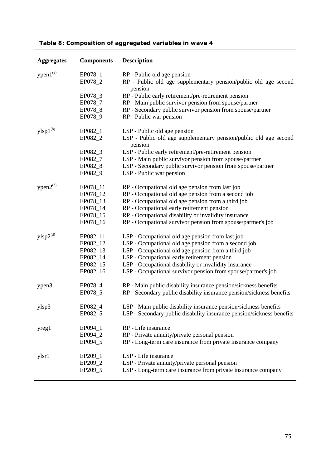| <b>Aggregates</b> | <b>Components</b>                                                    | <b>Description</b>                                                                                                                                                                                                                                                                                                                       |
|-------------------|----------------------------------------------------------------------|------------------------------------------------------------------------------------------------------------------------------------------------------------------------------------------------------------------------------------------------------------------------------------------------------------------------------------------|
| $ypen1^{(a)}$     | EP078_1<br>EP078_2                                                   | RP - Public old age pension<br>RP - Public old age supplementary pension/public old age second<br>pension                                                                                                                                                                                                                                |
|                   | EP078_3<br>EP078_7<br>EP078_8<br>EP078_9                             | RP - Public early retirement/pre-retirement pension<br>RP - Main public survivor pension from spouse/partner<br>RP - Secondary public survivor pension from spouse/partner<br>RP - Public war pension                                                                                                                                    |
| $ylsp1^{(b)}$     | EP082_1<br>EP082_2<br>EP082_3<br>EP082_7<br>EP082_8<br>EP082_9       | LSP - Public old age pension<br>LSP - Public old age supplementary pension/public old age second<br>pension<br>LSP - Public early retirement/pre-retirement pension<br>LSP - Main public survivor pension from spouse/partner<br>LSP - Secondary public survivor pension from spouse/partner<br>LSP - Public war pension                 |
| $ypen2^{\rm (c)}$ | EP078_11<br>EP078_12<br>EP078_13<br>EP078_14<br>EP078_15<br>EP078_16 | RP - Occupational old age pension from last job<br>RP - Occupational old age pension from a second job<br>RP - Occupational old age pension from a third job<br>RP - Occupational early retirement pension<br>RP - Occupational disability or invalidity insurance<br>RP - Occupational survivor pension from spouse/partner's job       |
| $ylsp2^{(d)}$     | EP082_11<br>EP082_12<br>EP082_13<br>EP082_14<br>EP082_15<br>EP082_16 | LSP - Occupational old age pension from last job<br>LSP - Occupational old age pension from a second job<br>LSP - Occupational old age pension from a third job<br>LSP - Occupational early retirement pension<br>LSP - Occupational disability or invalidity insurance<br>LSP - Occupational survivor pension from spouse/partner's job |
| ypen3             | EP078_4<br>EP078_5                                                   | RP - Main public disability insurance pension/sickness benefits<br>RP - Secondary public disability insurance pension/sickness benefits                                                                                                                                                                                                  |
| ylsp3             | EP082_4<br>EP082_5                                                   | LSP - Main public disability insurance pension/sickness benefits<br>LSP - Secondary public disability insurance pension/sickness benefits                                                                                                                                                                                                |
| yreg1             | EP094_1<br>EP094_2<br>EP094_5                                        | RP - Life insurance<br>RP - Private annuity/private personal pension<br>RP - Long-term care insurance from private insurance company                                                                                                                                                                                                     |
| ylsr1             | EP209_1<br>EP209 2<br>EP209 5                                        | LSP - Life insurance<br>LSP - Private annuity/private personal pension<br>LSP - Long-term care insurance from private insurance company                                                                                                                                                                                                  |

# **Table 8: Composition of aggregated variables in wave 4**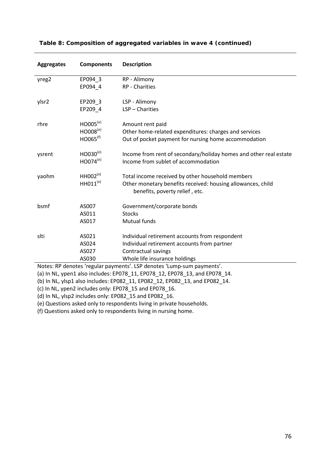| <b>Aggregates</b>                                                      | <b>Components</b>                | <b>Description</b>                                                                            |  |
|------------------------------------------------------------------------|----------------------------------|-----------------------------------------------------------------------------------------------|--|
| yreg2                                                                  | EP094 3                          | RP - Alimony                                                                                  |  |
|                                                                        | EP094 4                          | <b>RP</b> - Charities                                                                         |  |
| ylsr2                                                                  | EP209 3                          | LSP - Alimony                                                                                 |  |
|                                                                        | EP209 4                          | LSP - Charities                                                                               |  |
| rhre                                                                   | HOOO5 <sup>(e)</sup>             | Amount rent paid                                                                              |  |
|                                                                        | $HOOO8^{(e)}$                    | Other home-related expenditures: charges and services                                         |  |
|                                                                        | HO065 <sup>(f)</sup>             | Out of pocket payment for nursing home accommodation                                          |  |
| ysrent                                                                 | HO <sub>030</sub> <sup>(e)</sup> | Income from rent of secondary/holiday homes and other real estate                             |  |
|                                                                        | HO074(e)                         | Income from sublet of accommodation                                                           |  |
| yaohm                                                                  | $HHOO2^{(e)}$                    | Total income received by other household members                                              |  |
|                                                                        | $HH011^{(e)}$                    | Other monetary benefits received: housing allowances, child<br>benefits, poverty relief, etc. |  |
| bsmf                                                                   | AS007                            | Government/corporate bonds                                                                    |  |
|                                                                        | AS011                            | <b>Stocks</b>                                                                                 |  |
|                                                                        | AS017                            | Mutual funds                                                                                  |  |
| slti                                                                   | AS021                            | Individual retirement accounts from respondent                                                |  |
|                                                                        | AS024                            | Individual retirement accounts from partner                                                   |  |
|                                                                        | AS027                            | Contractual savings                                                                           |  |
|                                                                        | AS030                            | Whole life insurance holdings                                                                 |  |
| Notes: RP denotes 'regular payments'. LSP denotes 'Lump-sum payments'. |                                  |                                                                                               |  |

### **Table 8: Composition of aggregated variables in wave 4 (continued)**

(a) In NL, ypen1 also includes: EP078\_11, EP078\_12, EP078\_13, and EP078\_14.

(b) In NL, ylsp1 also includes: EP082\_11, EP082\_12, EP082\_13, and EP082\_14.

(c) In NL, ypen2 includes only: EP078\_15 and EP078\_16.

(d) In NL, ylsp2 includes only: EP082\_15 and EP082\_16.

(e) Questions asked only to respondents living in private households.

(f) Questions asked only to respondents living in nursing home.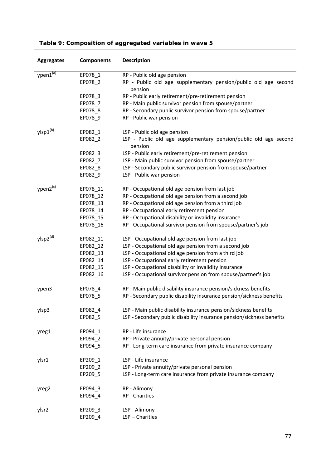| <b>Aggregates</b>    | <b>Components</b> | <b>Description</b>                                                          |
|----------------------|-------------------|-----------------------------------------------------------------------------|
| ypen1 <sup>(a)</sup> | EP078_1           | RP - Public old age pension                                                 |
|                      | EP078_2           | RP - Public old age supplementary pension/public old age second<br>pension  |
|                      | EP078_3           | RP - Public early retirement/pre-retirement pension                         |
|                      | EP078_7           | RP - Main public survivor pension from spouse/partner                       |
|                      | EP078_8           | RP - Secondary public survivor pension from spouse/partner                  |
|                      | EP078_9           | RP - Public war pension                                                     |
| ylsp1(b)             | EP082_1           | LSP - Public old age pension                                                |
|                      | EP082_2           | LSP - Public old age supplementary pension/public old age second<br>pension |
|                      | EP082_3           | LSP - Public early retirement/pre-retirement pension                        |
|                      | EP082_7           | LSP - Main public survivor pension from spouse/partner                      |
|                      | EP082_8           | LSP - Secondary public survivor pension from spouse/partner                 |
|                      | EP082_9           | LSP - Public war pension                                                    |
| ypen2 <sup>(c)</sup> | EP078_11          | RP - Occupational old age pension from last job                             |
|                      | EP078_12          | RP - Occupational old age pension from a second job                         |
|                      | EP078_13          | RP - Occupational old age pension from a third job                          |
|                      | EP078_14          | RP - Occupational early retirement pension                                  |
|                      | EP078_15          | RP - Occupational disability or invalidity insurance                        |
|                      | EP078_16          | RP - Occupational survivor pension from spouse/partner's job                |
| ylsp2 <sup>(d)</sup> | EP082_11          | LSP - Occupational old age pension from last job                            |
|                      | EP082_12          | LSP - Occupational old age pension from a second job                        |
|                      | EP082_13          | LSP - Occupational old age pension from a third job                         |
|                      | EP082_14          | LSP - Occupational early retirement pension                                 |
|                      | EP082_15          | LSP - Occupational disability or invalidity insurance                       |
|                      | EP082_16          | LSP - Occupational survivor pension from spouse/partner's job               |
| ypen3                | EP078_4           | RP - Main public disability insurance pension/sickness benefits             |
|                      | EP078_5           | RP - Secondary public disability insurance pension/sickness benefits        |
| ylsp3                | EP082 4           | LSP - Main public disability insurance pension/sickness benefits            |
|                      | EP082_5           | LSP - Secondary public disability insurance pension/sickness benefits       |
| yreg1                | EP094_1           | RP - Life insurance                                                         |
|                      | EP094_2           | RP - Private annuity/private personal pension                               |
|                      | EP094_5           | RP - Long-term care insurance from private insurance company                |
| ylsr1                | EP209 1           | LSP - Life insurance                                                        |
|                      | EP209 2           | LSP - Private annuity/private personal pension                              |
|                      | EP209_5           | LSP - Long-term care insurance from private insurance company               |
| yreg2                | EP094_3           | RP - Alimony                                                                |
|                      | EP094_4           | RP - Charities                                                              |
| ylsr2                | EP209_3           | LSP - Alimony                                                               |
|                      | EP209_4           | LSP - Charities                                                             |
|                      |                   |                                                                             |

# **Table 9: Composition of aggregated variables in wave 5**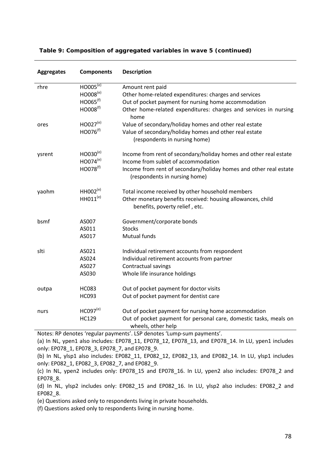| <b>Aggregates</b> | <b>Components</b>    | <b>Description</b>                                                                                 |
|-------------------|----------------------|----------------------------------------------------------------------------------------------------|
| rhre              | $HOOO5^{(e)}$        | Amount rent paid                                                                                   |
|                   | HO008 <sup>(e)</sup> | Other home-related expenditures: charges and services                                              |
|                   | HO065 <sup>(f)</sup> | Out of pocket payment for nursing home accommodation                                               |
|                   | HO008 <sup>(f)</sup> | Other home-related expenditures: charges and services in nursing<br>home                           |
| ores              | HO027 <sup>(e)</sup> | Value of secondary/holiday homes and other real estate                                             |
|                   | HO076 <sup>(f)</sup> | Value of secondary/holiday homes and other real estate                                             |
|                   |                      | (respondents in nursing home)                                                                      |
| ysrent            | $HOO30^{(e)}$        | Income from rent of secondary/holiday homes and other real estate                                  |
|                   | HO074 <sup>(e)</sup> | Income from sublet of accommodation                                                                |
|                   | HO078 <sup>(f)</sup> | Income from rent of secondary/holiday homes and other real estate<br>(respondents in nursing home) |
| yaohm             | $HH002^{(e)}$        | Total income received by other household members                                                   |
|                   | $HH011^{(e)}$        | Other monetary benefits received: housing allowances, child<br>benefits, poverty relief, etc.      |
| bsmf              | AS007                | Government/corporate bonds                                                                         |
|                   | AS011                | <b>Stocks</b>                                                                                      |
|                   | AS017                | Mutual funds                                                                                       |
| slti              | AS021                | Individual retirement accounts from respondent                                                     |
|                   | AS024                | Individual retirement accounts from partner                                                        |
|                   | AS027                | Contractual savings                                                                                |
|                   | AS030                | Whole life insurance holdings                                                                      |
| outpa             | <b>HC083</b>         | Out of pocket payment for doctor visits                                                            |
|                   | HC093                | Out of pocket payment for dentist care                                                             |
| nurs              | HCO97 <sup>(e)</sup> | Out of pocket payment for nursing home accommodation                                               |
|                   | <b>HC129</b>         | Out of pocket payment for personal care, domestic tasks, meals on<br>wheels, other help            |

### **Table 9: Composition of aggregated variables in wave 5 (continued)**

Notes: RP denotes 'regular payments'. LSP denotes 'Lump-sum payments'.

(a) In NL, ypen1 also includes: EP078 11, EP078 12, EP078 13, and EP078 14. In LU, ypen1 includes only: EP078\_1, EP078\_3, EP078\_7, and EP078\_9.

(b) In NL, ylsp1 also includes: EP082 11, EP082 12, EP082 13, and EP082 14. In LU, ylsp1 includes only: EP082\_1, EP082\_3, EP082\_7, and EP082\_9.

(c) In NL, ypen2 includes only: EP078\_15 and EP078\_16. In LU, ypen2 also includes: EP078\_2 and EP078\_8.

(d) In NL, ylsp2 includes only: EP082\_15 and EP082\_16. In LU, ylsp2 also includes: EP082\_2 and EP082\_8.

(e) Questions asked only to respondents living in private households.

(f) Questions asked only to respondents living in nursing home.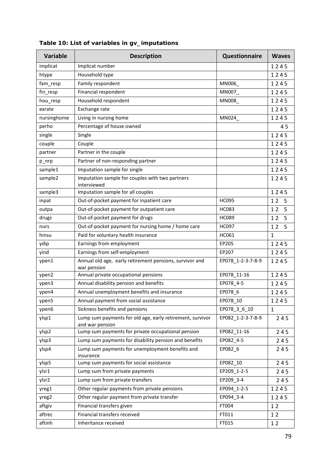| <b>Variable</b> | <b>Description</b>                                                                                | Questionnaire     | <b>Waves</b> |
|-----------------|---------------------------------------------------------------------------------------------------|-------------------|--------------|
| implicat        | Implicat number                                                                                   |                   | 1245         |
| htype           | Household type                                                                                    |                   | 1245         |
| fam_resp        | Family respondent                                                                                 | MN006             | 1245         |
| fin_resp        | Financial respondent                                                                              | MN007_            | 1245         |
| hou_resp        | Household respondent                                                                              | <b>MN008</b>      | 1245         |
| exrate          | Exchange rate                                                                                     |                   | 1245         |
| nursinghome     | Living in nursing home                                                                            | MN024_            | 1245         |
| perho           | Percentage of house owned                                                                         |                   | 45           |
| single          | Single                                                                                            |                   | 1245         |
| couple          | Couple                                                                                            |                   | 1245         |
| partner         | Partner in the couple                                                                             |                   | 1245         |
| p_nrp           | Partner of non-responding partner                                                                 |                   | 1245         |
| sample1         | Imputation sample for single                                                                      |                   | 1245         |
| sample2         | Imputation sample for couples with two partners<br>interviewed                                    |                   | 1245         |
| sample3         | Imputation sample for all couples                                                                 |                   | 1245         |
| inpat           | Out-of-pocket payment for inpatient care                                                          | <b>HC095</b>      | 12<br>5      |
| outpa           | Out-of-pocket payment for outpatient care                                                         | <b>HC083</b>      | 12<br>5      |
| drugs           | Out-of-pocket payment for drugs                                                                   | <b>HC089</b>      | 12<br>5      |
| nurs            | Out-of-pocket payment for nursing home / home care                                                | <b>HC097</b>      | 12<br>5      |
| hinsu           | Paid for voluntary health insurance                                                               | HC061             | $\mathbf{1}$ |
| ydip            | Earnings from employment                                                                          | EP205             | 1245         |
| yind            | Earnings from self-employment                                                                     | EP207             | 1245         |
| ypen1           | Annual old age, early retirement pensions, survivor and<br>war pension                            | EP078_1-2-3-7-8-9 | 1245         |
| ypen2           | Annual private occupational pensions                                                              | EP078_11-16       | 1245         |
| ypen3           | Annual disability pension and benefits                                                            | EP078_4-5         | 1245         |
| ypen4           | Annual unemployment benefits and insurance                                                        | EP078_6           | 1245         |
| ypen5           | Annual payment from social assistance                                                             | EP078 10          | 1245         |
| ypen6           | EP078_3_6_10<br>Sickness benefits and pensions                                                    |                   | $\mathbf{1}$ |
| ylsp1           | Lump sum payments for old age, early retirement, survivor<br>EP082_1-2-3-7-8-9<br>and war pension |                   | 245          |
| ylsp2           | Lump sum payments for private occupational pension                                                | EP082 11-16       | 245          |
| ylsp3           | Lump sum payments for disability pension and benefits                                             | EP082_4-5         | 245          |
| ylsp4           | Lump sum payments for unemployment benefits and<br>EP082_6<br>insurance                           |                   | 245          |
| ylsp5           | Lump sum payments for social assistance                                                           | EP082_10          | 245          |
| ylsr1           | Lump sum from private payments                                                                    | EP209 1-2-5       | 245          |
| ylsr2           | Lump sum from private transfers                                                                   | EP209 3-4         | 245          |
| yreg1           | Other regular payments from private pensions                                                      | EP094 1-2-5       | 1245         |
| yreg2           | Other regular payment from private transfer                                                       | EP094_3-4         | 1245         |
| aftgiv          | Financial transfers given                                                                         | FT004             | 12           |
| aftrec          | Financial transfers received                                                                      | FT011             | 12           |
| aftinh          | Inheritance received                                                                              | FT015             | 12           |

# **Table 10: List of variables in gv\_imputations**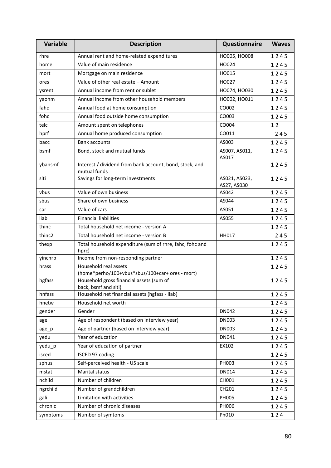| Variable | <b>Description</b>                                                       | <b>Questionnaire</b>         | <b>Waves</b> |
|----------|--------------------------------------------------------------------------|------------------------------|--------------|
| rhre     | Annual rent and home-related expenditures                                | HO005, HO008                 | 1245         |
| home     | Value of main residence                                                  | HO024                        | 1245         |
| mort     | Mortgage on main residence                                               | HO015                        | 1245         |
| ores     | Value of other real estate - Amount                                      | HO027                        | 1245         |
| ysrent   | Annual income from rent or sublet                                        | HO074, HO030                 | 1245         |
| yaohm    | Annual income from other household members                               | HO002, HO011                 | 1245         |
| fahc     | Annual food at home consumption                                          | CO002                        | 1245         |
| fohc     | Annual food outside home consumption                                     | CO003                        | 1245         |
| telc     | Amount spent on telephones                                               | CO004                        | 12           |
| hprf     | Annual home produced consumption                                         | CO011                        | 245          |
| bacc     | <b>Bank accounts</b>                                                     | AS003                        | 1245         |
| bsmf     | Bond, stock and mutual funds                                             | AS007, AS011,<br>AS017       | 1245         |
| ybabsmf  | Interest / dividend from bank account, bond, stock, and<br>mutual funds  |                              | 1245         |
| slti     | Savings for long-term investments                                        | AS021, AS023,<br>AS27, AS030 | 1245         |
| vbus     | Value of own business                                                    | AS042                        | 1245         |
| sbus     | Share of own business                                                    | AS044                        | 1245         |
| car      | Value of cars                                                            | AS051                        | 1245         |
| liab     | <b>Financial liabilities</b><br>AS055                                    |                              | 1245         |
| thinc    | Total household net income - version A                                   |                              | 1245         |
| thinc2   | Total household net income - version B                                   | <b>HH017</b>                 | 245          |
| thexp    | Total household expenditure (sum of rhre, fahc, fohc and<br>hprc)        |                              | 1245         |
| yincnrp  | Income from non-responding partner                                       |                              | 1245         |
| hrass    | Household real assets<br>(home*perho/100+vbus*sbus/100+car+ ores - mort) |                              | 1245         |
| hgfass   | Household gross financial assets (sum of<br>back, bsmf and slti)         |                              | 1245         |
| hnfass   | Household net financial assets (hgfass - liab)                           |                              | 1245         |
| hnetw    | Household net worth                                                      |                              | 1245         |
| gender   | Gender                                                                   | DN042                        | 1245         |
| age      | Age of respondent (based on interview year)                              | <b>DN003</b>                 | 1245         |
| age_p    | Age of partner (based on interview year)                                 | <b>DN003</b>                 | 1245         |
| yedu     | Year of education                                                        | DN041                        | 1245         |
| yedu_p   | Year of education of partner                                             | EX102                        | 1245         |
| isced    | ISCED 97 coding                                                          |                              | 1245         |
| sphus    | Self-perceived health - US scale                                         | PH003                        | 1245         |
| mstat    | Marital status                                                           | DN014                        | 1245         |
| nchild   | Number of children                                                       | CH001                        | 1245         |
| ngrchild | Number of grandchildren                                                  | CH201                        | 1245         |
| gali     | Limitation with activities                                               | PH005                        | 1245         |
| chronic  | Number of chronic diseases                                               | PH006                        | 1245         |
| symptoms | Number of symtoms                                                        | Ph010                        | 124          |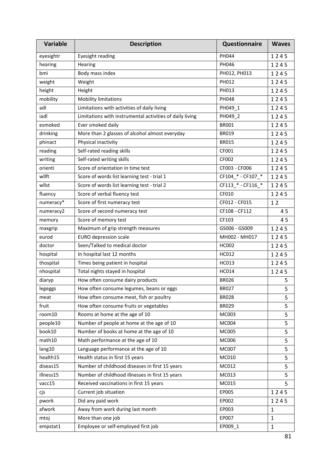| <b>Variable</b> | <b>Description</b>                                       | <b>Questionnaire</b> | <b>Waves</b> |
|-----------------|----------------------------------------------------------|----------------------|--------------|
| eyesightr       | Eyesight reading                                         | PH044                | 1245         |
| hearing         | Hearing                                                  | PH046                | 1245         |
| bmi             | Body mass index                                          | PH012, PH013         | 1245         |
| weight          | Weight                                                   | PH012                | 1245         |
| height          | Height                                                   | PH013                | 1245         |
| mobility        | <b>Mobility limitations</b>                              | PH048                | 1245         |
| adl             | Limitations with activities of daily living              | PH049_1              | 1245         |
| iadl            | Limitations with instrumental activities of daily living | PH049_2              | 1245         |
| esmoked         | Ever smoked daily                                        | <b>BR001</b>         | 1245         |
| drinking        | More than 2 glasses of alcohol almost everyday           | <b>BR019</b>         | 1245         |
| phinact         | Physical inactivity                                      | <b>BR015</b>         | 1245         |
| reading         | Self-rated reading skills                                | CF001                | 1245         |
| writing         | Self-rated writing skills                                | CF002                | 1245         |
| orienti         | Score of orientation in time test                        | CF003 - CF006        | 1245         |
| wllft           | Score of words list learning test - trial 1              | CF104_* - CF107_*    | 1245         |
| wllst           | Score of words list learning test - trial 2              | CF113_* - CF116_*    | 1245         |
| fluency         | Score of verbal fluency test                             | CF010                | 1245         |
| numeracy*       | Score of first numeracy test                             | CF012 - CF015        | 12           |
| numeracy2       | Score of second numeracy test                            | CF108 - CF112        | 45           |
| memory          | Score of memory test                                     | CF103                | 45           |
| maxgrip         | Maximum of grip strength measures                        | GS006 - GS009        | 1245         |
| eurod           | <b>EURO depression scale</b>                             | MH002 - MH017        | 1245         |
| doctor          | Seen/Talked to medical doctor                            | HC002                | 1245         |
| hospital        | In hospital last 12 months                               | HC012                | 1245         |
| thospital       | Times being patient in hospital                          | HC013                | 1245         |
| nhospital       | Total nights stayed in hospital                          | HC014                | 1245         |
| diaryp          | How often consume dairy products                         | <b>BR026</b>         | 5            |
| legeggs         | How often consume legumes, beans or eggs<br><b>BR027</b> |                      | 5            |
| meat            | How often consume meat, fish or poultry<br><b>BR028</b>  |                      | 5            |
| fruit           | How often consume fruits or vegetables                   | <b>BR029</b>         | 5            |
| room10          | Rooms at home at the age of 10                           | MC003                | 5            |
| people10        | Number of people at home at the age of 10                | MC004                | 5            |
| book10          | Number of books at home at the age of 10                 | <b>MC005</b>         | 5            |
| math10          | Math performance at the age of 10                        | MC006                | 5            |
| lang10          | Language performance at the age of 10                    | MC007                | 5            |
| health15        | Health status in first 15 years                          | MC010                | 5            |
| diseas15        | Number of childhood diseases in first 15 years           | MC012                | 5            |
| illness15       | Number of childhood illnesses in first 15 years<br>MC013 |                      | 5            |
| vacc15          | Received vaccinations in first 15 years                  | MC015                | 5            |
| cjs             | Current job situation                                    | EP005                | 1245         |
| pwork           | Did any paid work                                        | EP002                | 1245         |
| afwork          | Away from work during last month                         | EP003                | $\mathbf{1}$ |
| mtoj            | More than one job                                        | EP007                | $\mathbf{1}$ |
| empstat1        | Employee or self-employed first job<br>EP009_1           |                      | 1            |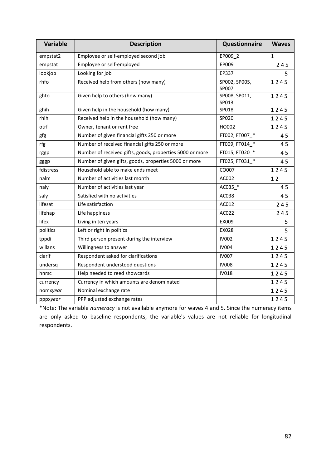| Variable  | <b>Description</b>                                       | <b>Questionnaire</b>   | <b>Waves</b> |
|-----------|----------------------------------------------------------|------------------------|--------------|
| empstat2  | Employee or self-employed second job                     | EP009 2                | $\mathbf{1}$ |
| empstat   | Employee or self-employed                                | EP009                  | 245          |
| lookjob   | Looking for job                                          | EP337                  | 5            |
| rhfo      | Received help from others (how many)                     | SP002, SP005,<br>SP007 | 1245         |
| ghto      | Given help to others (how many)                          | SP008, SP011,<br>SP013 | 1245         |
| ghih      | Given help in the household (how many)                   | SP018                  | 1245         |
| rhih      | Received help in the household (how many)                | SP020                  | 1245         |
| otrf      | Owner, tenant or rent free                               | HO002                  | 1245         |
| gfg       | Number of given financial gifts 250 or more              | FT002, FT007 *         | 45           |
| rfg       | Number of received financial gifts 250 or more           | FT009, FT014 *         | 45           |
| rggp      | Number of received gifts, goods, properties 5000 or more | FT015, FT020 *         | 45           |
| gggp      | Number of given gifts, goods, properties 5000 or more    | FT025, FT031_*         | 45           |
| fdistress | Household able to make ends meet                         | CO007                  | 1245         |
| nalm      | Number of activities last month                          | AC002                  | 12           |
| naly      | Number of activities last year                           | AC035 *                | 45           |
| saly      | Satisfied with no activities                             | AC038                  | 45           |
| lifesat   | Life satisfaction                                        | AC012                  | 245          |
| lifehap   | Life happiness                                           | AC022                  | 245          |
| lifex     | Living in ten years                                      | EX009                  | 5            |
| politics  | Left or right in politics                                | EX028                  | 5            |
| tppdi     | Third person present during the interview                | <b>IV002</b>           | 1245         |
| willans   | Willingness to answer                                    | <b>IV004</b>           | 1245         |
| clarif    | Respondent asked for clarifications<br><b>IV007</b>      |                        | 1245         |
| undersq   | Respondent understood questions                          | <b>IV008</b>           | 1245         |
| hnrsc     | Help needed to reed showcards                            | <b>IV018</b>           | 1245         |
| currency  | Currency in which amounts are denominated                |                        | 1245         |
| nomxyear  | Nominal exchange rate                                    |                        | 1245         |
| pppxyear  | PPP adjusted exchange rates                              |                        | 1245         |

\*Note: The variable *numeracy* is not available anymore for waves 4 and 5. Since the numeracy items are only asked to baseline respondents, the variable's values are not reliable for longitudinal respondents.